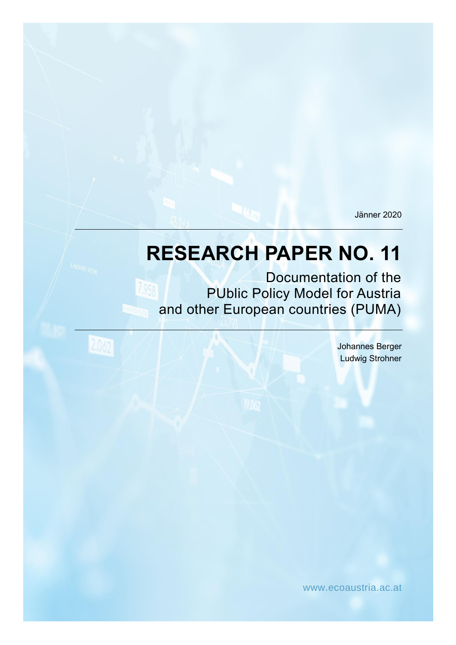Jänner 2020

# **RESEARCH PAPER NO. 11**

Documentation of the 7.958 PUblic Policy Model for Austria and other European countries (PUMA)

2.062

Johannes Berger Ludwig Strohner

www.ecoaustria.ac.at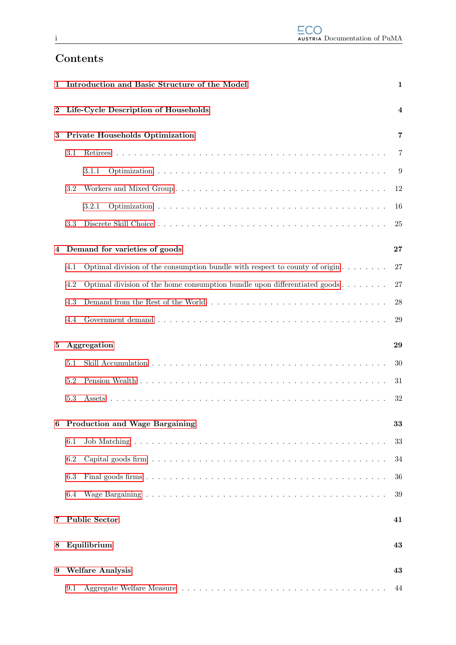# Contents

| 1        |                                       | Introduction and Basic Structure of the Model                                             | $\mathbf{1}$            |  |
|----------|---------------------------------------|-------------------------------------------------------------------------------------------|-------------------------|--|
| 2        |                                       | Life-Cycle Description of Households                                                      | $\overline{\mathbf{4}}$ |  |
| 3        | Private Households Optimization       |                                                                                           |                         |  |
|          | 3.1                                   |                                                                                           | 7                       |  |
|          |                                       | 3.1.1                                                                                     | 9                       |  |
|          | 3.2                                   |                                                                                           | 12                      |  |
|          |                                       | 3.2.1                                                                                     | 16                      |  |
|          | 3.3                                   |                                                                                           | 25                      |  |
| 4        |                                       | Demand for varieties of goods                                                             | 27                      |  |
|          | 4.1                                   | Optimal division of the consumption bundle with respect to county of origin $\dots \dots$ | 27                      |  |
|          | 4.2                                   | Optimal division of the home consumption bundle upon differentiated goods $\dots \dots$   | 27                      |  |
|          | 4.3                                   |                                                                                           | 28                      |  |
|          | 4.4                                   |                                                                                           | 29                      |  |
| $\bf{5}$ | Aggregation                           |                                                                                           |                         |  |
|          | 5.1                                   |                                                                                           | 30                      |  |
|          | 5.2                                   |                                                                                           | 31                      |  |
|          | 5.3                                   |                                                                                           | 32                      |  |
| 6        | <b>Production and Wage Bargaining</b> |                                                                                           |                         |  |
|          | 6.1                                   |                                                                                           | 33                      |  |
|          | 6.2                                   |                                                                                           | 34                      |  |
|          | 6.3                                   |                                                                                           | 36                      |  |
|          | 6.4                                   |                                                                                           | 39                      |  |
| 7        | <b>Public Sector</b>                  |                                                                                           | 41                      |  |
| 8        | Equilibrium<br>43                     |                                                                                           |                         |  |
|          |                                       |                                                                                           |                         |  |
| 9        |                                       | <b>Welfare Analysis</b>                                                                   | 43                      |  |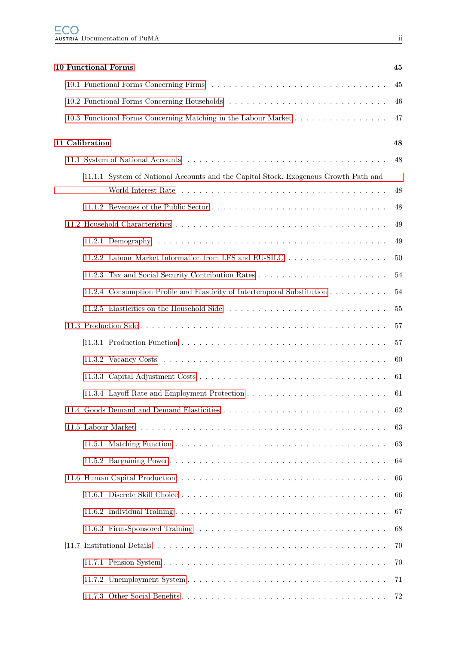|  | <b>10 Functional Forms</b>                                                          | 45 |
|--|-------------------------------------------------------------------------------------|----|
|  |                                                                                     | 45 |
|  |                                                                                     | 46 |
|  | 10.3 Functional Forms Concerning Matching in the Labour Market                      | 47 |
|  | 11 Calibration                                                                      | 48 |
|  |                                                                                     | 48 |
|  | 11.1.1 System of National Accounts and the Capital Stock, Exogenous Growth Path and |    |
|  |                                                                                     | 48 |
|  |                                                                                     | 48 |
|  |                                                                                     | 49 |
|  |                                                                                     | 49 |
|  | 11.2.2 Labour Market Information from LFS and EU-SILC                               | 50 |
|  |                                                                                     | 54 |
|  | 11.2.4 Consumption Profile and Elasticity of Intertemporal Substitution             | 54 |
|  | 11.2.5 Elasticities on the Household Side                                           | 55 |
|  |                                                                                     | 57 |
|  |                                                                                     | 57 |
|  |                                                                                     | 60 |
|  |                                                                                     | 61 |
|  |                                                                                     | 61 |
|  |                                                                                     | 62 |
|  |                                                                                     | 63 |
|  |                                                                                     | 63 |
|  |                                                                                     | 64 |
|  |                                                                                     | 66 |
|  |                                                                                     | 66 |
|  |                                                                                     | 67 |
|  |                                                                                     | 68 |
|  |                                                                                     | 70 |
|  |                                                                                     | 70 |
|  |                                                                                     | 71 |
|  |                                                                                     | 72 |
|  |                                                                                     |    |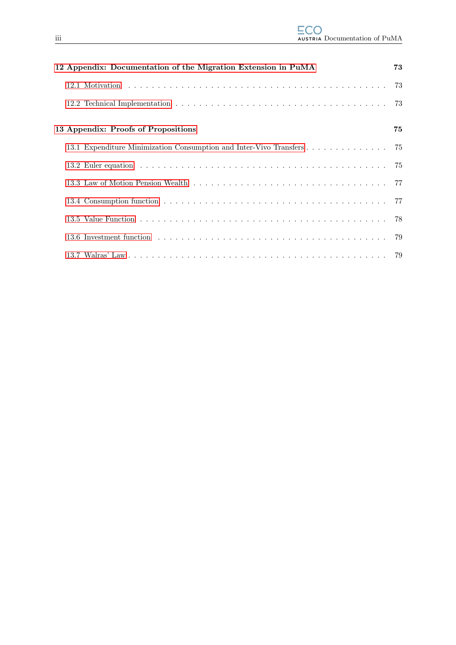| 12 Appendix: Documentation of the Migration Extension in PuMA         | 73 |
|-----------------------------------------------------------------------|----|
|                                                                       |    |
|                                                                       |    |
| 13 Appendix: Proofs of Propositions                                   | 75 |
| 13.1 Expenditure Minimization Consumption and Inter-Vivo Transfers 75 |    |
|                                                                       |    |
|                                                                       |    |
|                                                                       |    |
|                                                                       |    |
|                                                                       |    |
|                                                                       |    |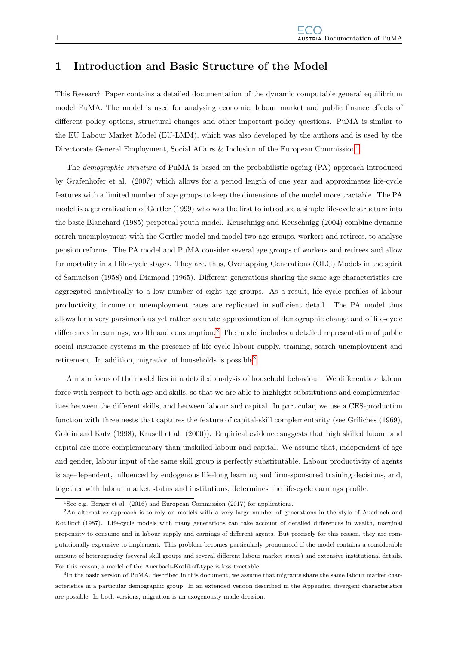## <span id="page-4-0"></span>1 Introduction and Basic Structure of the Model

This Research Paper contains a detailed documentation of the dynamic computable general equilibrium model PuMA. The model is used for analysing economic, labour market and public finance effects of different policy options, structural changes and other important policy questions. PuMA is similar to the EU Labour Market Model (EU-LMM), which was also developed by the authors and is used by the Directorate General Employment, Social Affairs & Inclusion of the European Commission<sup>[1](#page-4-1)</sup>.

The demographic structure of PuMA is based on the probabilistic ageing (PA) approach introduced by Grafenhofer et al. (2007) which allows for a period length of one year and approximates life-cycle features with a limited number of age groups to keep the dimensions of the model more tractable. The PA model is a generalization of Gertler (1999) who was the first to introduce a simple life-cycle structure into the basic Blanchard (1985) perpetual youth model. Keuschnigg and Keuschnigg (2004) combine dynamic search unemployment with the Gertler model and model two age groups, workers and retirees, to analyse pension reforms. The PA model and PuMA consider several age groups of workers and retirees and allow for mortality in all life-cycle stages. They are, thus, Overlapping Generations (OLG) Models in the spirit of Samuelson (1958) and Diamond (1965). Different generations sharing the same age characteristics are aggregated analytically to a low number of eight age groups. As a result, life-cycle profiles of labour productivity, income or unemployment rates are replicated in sufficient detail. The PA model thus allows for a very parsimonious yet rather accurate approximation of demographic change and of life-cycle differences in earnings, wealth and consumption.<sup>[2](#page-4-2)</sup> The model includes a detailed representation of public social insurance systems in the presence of life-cycle labour supply, training, search unemployment and retirement. In addition, migration of households is possible<sup>[3](#page-4-3)</sup>.

A main focus of the model lies in a detailed analysis of household behaviour. We differentiate labour force with respect to both age and skills, so that we are able to highlight substitutions and complementarities between the different skills, and between labour and capital. In particular, we use a CES-production function with three nests that captures the feature of capital-skill complementarity (see Griliches (1969), Goldin and Katz (1998), Krusell et al. (2000)). Empirical evidence suggests that high skilled labour and capital are more complementary than unskilled labour and capital. We assume that, independent of age and gender, labour input of the same skill group is perfectly substitutable. Labour productivity of agents is age-dependent, influenced by endogenous life-long learning and firm-sponsored training decisions, and, together with labour market status and institutions, determines the life-cycle earnings profile.

<span id="page-4-2"></span><span id="page-4-1"></span><sup>&</sup>lt;sup>1</sup>See e.g. Berger et al.  $(2016)$  and European Commission  $(2017)$  for applications.

<sup>2</sup>An alternative approach is to rely on models with a very large number of generations in the style of Auerbach and Kotlikoff (1987). Life-cycle models with many generations can take account of detailed differences in wealth, marginal propensity to consume and in labour supply and earnings of different agents. But precisely for this reason, they are computationally expensive to implement. This problem becomes particularly pronounced if the model contains a considerable amount of heterogeneity (several skill groups and several different labour market states) and extensive institutional details. For this reason, a model of the Auerbach-Kotlikoff-type is less tractable.

<span id="page-4-3"></span><sup>&</sup>lt;sup>3</sup>In the basic version of PuMA, described in this document, we assume that migrants share the same labour market characteristics in a particular demographic group. In an extended version described in the Appendix, divergent characteristics are possible. In both versions, migration is an exogenously made decision.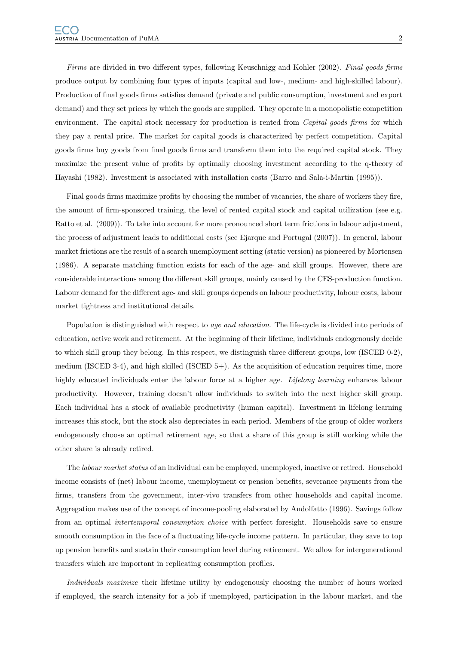Firms are divided in two different types, following Keuschnigg and Kohler (2002). Final goods firms produce output by combining four types of inputs (capital and low-, medium- and high-skilled labour). Production of final goods firms satisfies demand (private and public consumption, investment and export demand) and they set prices by which the goods are supplied. They operate in a monopolistic competition environment. The capital stock necessary for production is rented from *Capital goods firms* for which they pay a rental price. The market for capital goods is characterized by perfect competition. Capital goods firms buy goods from final goods firms and transform them into the required capital stock. They maximize the present value of profits by optimally choosing investment according to the q-theory of Hayashi (1982). Investment is associated with installation costs (Barro and Sala-i-Martin (1995)).

Final goods firms maximize profits by choosing the number of vacancies, the share of workers they fire, the amount of firm-sponsored training, the level of rented capital stock and capital utilization (see e.g. Ratto et al. (2009)). To take into account for more pronounced short term frictions in labour adjustment, the process of adjustment leads to additional costs (see Ejarque and Portugal (2007)). In general, labour market frictions are the result of a search unemployment setting (static version) as pioneered by Mortensen (1986). A separate matching function exists for each of the age- and skill groups. However, there are considerable interactions among the different skill groups, mainly caused by the CES-production function. Labour demand for the different age- and skill groups depends on labour productivity, labour costs, labour market tightness and institutional details.

Population is distinguished with respect to age and education. The life-cycle is divided into periods of education, active work and retirement. At the beginning of their lifetime, individuals endogenously decide to which skill group they belong. In this respect, we distinguish three different groups, low (ISCED 0-2), medium (ISCED 3-4), and high skilled (ISCED 5+). As the acquisition of education requires time, more highly educated individuals enter the labour force at a higher age. Lifelong learning enhances labour productivity. However, training doesn't allow individuals to switch into the next higher skill group. Each individual has a stock of available productivity (human capital). Investment in lifelong learning increases this stock, but the stock also depreciates in each period. Members of the group of older workers endogenously choose an optimal retirement age, so that a share of this group is still working while the other share is already retired.

The labour market status of an individual can be employed, unemployed, inactive or retired. Household income consists of (net) labour income, unemployment or pension benefits, severance payments from the firms, transfers from the government, inter-vivo transfers from other households and capital income. Aggregation makes use of the concept of income-pooling elaborated by Andolfatto (1996). Savings follow from an optimal intertemporal consumption choice with perfect foresight. Households save to ensure smooth consumption in the face of a fluctuating life-cycle income pattern. In particular, they save to top up pension benefits and sustain their consumption level during retirement. We allow for intergenerational transfers which are important in replicating consumption profiles.

Individuals maximize their lifetime utility by endogenously choosing the number of hours worked if employed, the search intensity for a job if unemployed, participation in the labour market, and the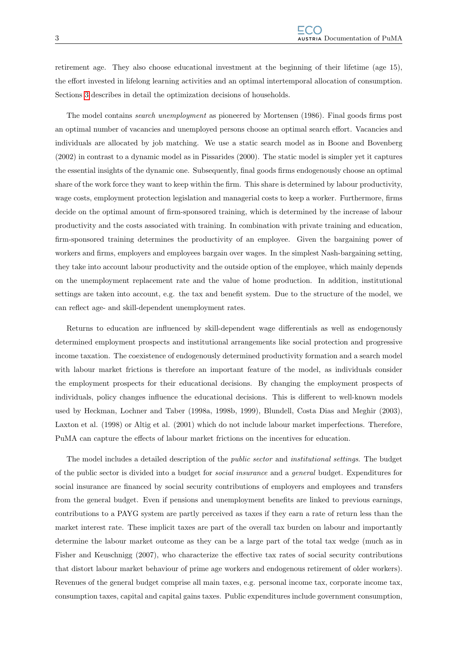retirement age. They also choose educational investment at the beginning of their lifetime (age 15), the effort invested in lifelong learning activities and an optimal intertemporal allocation of consumption. Sections [3](#page-10-0) describes in detail the optimization decisions of households.

The model contains search unemployment as pioneered by Mortensen (1986). Final goods firms post an optimal number of vacancies and unemployed persons choose an optimal search effort. Vacancies and individuals are allocated by job matching. We use a static search model as in Boone and Bovenberg (2002) in contrast to a dynamic model as in Pissarides (2000). The static model is simpler yet it captures the essential insights of the dynamic one. Subsequently, final goods firms endogenously choose an optimal share of the work force they want to keep within the firm. This share is determined by labour productivity, wage costs, employment protection legislation and managerial costs to keep a worker. Furthermore, firms decide on the optimal amount of firm-sponsored training, which is determined by the increase of labour productivity and the costs associated with training. In combination with private training and education, firm-sponsored training determines the productivity of an employee. Given the bargaining power of workers and firms, employers and employees bargain over wages. In the simplest Nash-bargaining setting, they take into account labour productivity and the outside option of the employee, which mainly depends on the unemployment replacement rate and the value of home production. In addition, institutional settings are taken into account, e.g. the tax and benefit system. Due to the structure of the model, we can reflect age- and skill-dependent unemployment rates.

Returns to education are influenced by skill-dependent wage differentials as well as endogenously determined employment prospects and institutional arrangements like social protection and progressive income taxation. The coexistence of endogenously determined productivity formation and a search model with labour market frictions is therefore an important feature of the model, as individuals consider the employment prospects for their educational decisions. By changing the employment prospects of individuals, policy changes influence the educational decisions. This is different to well-known models used by Heckman, Lochner and Taber (1998a, 1998b, 1999), Blundell, Costa Dias and Meghir (2003), Laxton et al. (1998) or Altig et al. (2001) which do not include labour market imperfections. Therefore, PuMA can capture the effects of labour market frictions on the incentives for education.

The model includes a detailed description of the public sector and institutional settings. The budget of the public sector is divided into a budget for social insurance and a general budget. Expenditures for social insurance are financed by social security contributions of employers and employees and transfers from the general budget. Even if pensions and unemployment benefits are linked to previous earnings, contributions to a PAYG system are partly perceived as taxes if they earn a rate of return less than the market interest rate. These implicit taxes are part of the overall tax burden on labour and importantly determine the labour market outcome as they can be a large part of the total tax wedge (much as in Fisher and Keuschnigg (2007), who characterize the effective tax rates of social security contributions that distort labour market behaviour of prime age workers and endogenous retirement of older workers). Revenues of the general budget comprise all main taxes, e.g. personal income tax, corporate income tax, consumption taxes, capital and capital gains taxes. Public expenditures include government consumption,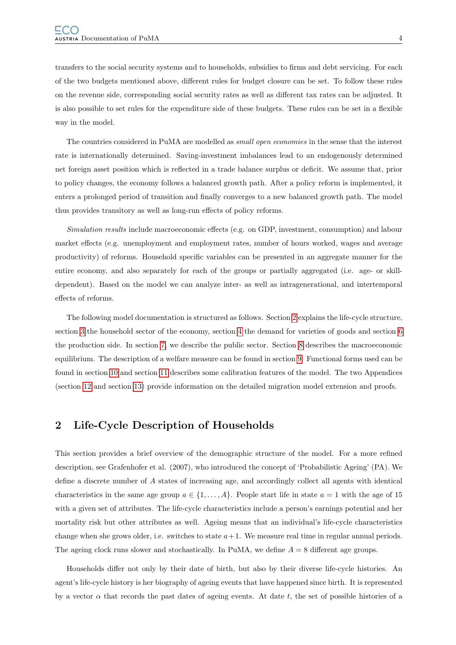transfers to the social security systems and to households, subsidies to firms and debt servicing. For each of the two budgets mentioned above, different rules for budget closure can be set. To follow these rules on the revenue side, corresponding social security rates as well as different tax rates can be adjusted. It is also possible to set rules for the expenditure side of these budgets. These rules can be set in a flexible way in the model.

The countries considered in PuMA are modelled as *small open economies* in the sense that the interest rate is internationally determined. Saving-investment imbalances lead to an endogenously determined net foreign asset position which is reflected in a trade balance surplus or deficit. We assume that, prior to policy changes, the economy follows a balanced growth path. After a policy reform is implemented, it enters a prolonged period of transition and finally converges to a new balanced growth path. The model thus provides transitory as well as long-run effects of policy reforms.

Simulation results include macroeconomic effects (e.g. on GDP, investment, consumption) and labour market effects (e.g. unemployment and employment rates, number of hours worked, wages and average productivity) of reforms. Household specific variables can be presented in an aggregate manner for the entire economy, and also separately for each of the groups or partially aggregated (i.e. age- or skilldependent). Based on the model we can analyze inter- as well as intragenerational, and intertemporal effects of reforms.

The following model documentation is structured as follows. Section [2](#page-7-0) explains the life-cycle structure, section [3](#page-10-0) the household sector of the economy, section [4](#page-30-0) the demand for varieties of goods and section [6](#page-36-0) the production side. In section [7,](#page-44-0) we describe the public sector. Section [8](#page-46-0) describes the macroeconomic equilibrium. The description of a welfare measure can be found in section [9.](#page-46-1) Functional forms used can be found in section [10](#page-48-0) and section [11](#page-51-0) describes some calibration features of the model. The two Appendices (section [12](#page-76-0) and section [13\)](#page-78-0) provide information on the detailed migration model extension and proofs.

## <span id="page-7-0"></span>2 Life-Cycle Description of Households

This section provides a brief overview of the demographic structure of the model. For a more refined description, see Grafenhofer et al. (2007), who introduced the concept of 'Probabilistic Ageing' (PA). We define a discrete number of A states of increasing age, and accordingly collect all agents with identical characteristics in the same age group  $a \in \{1, \ldots, A\}$ . People start life in state  $a = 1$  with the age of 15 with a given set of attributes. The life-cycle characteristics include a person's earnings potential and her mortality risk but other attributes as well. Ageing means that an individual's life-cycle characteristics change when she grows older, i.e. switches to state  $a+1$ . We measure real time in regular annual periods. The ageing clock runs slower and stochastically. In PuMA, we define  $A = 8$  different age groups.

Households differ not only by their date of birth, but also by their diverse life-cycle histories. An agent's life-cycle history is her biography of ageing events that have happened since birth. It is represented by a vector  $\alpha$  that records the past dates of ageing events. At date t, the set of possible histories of a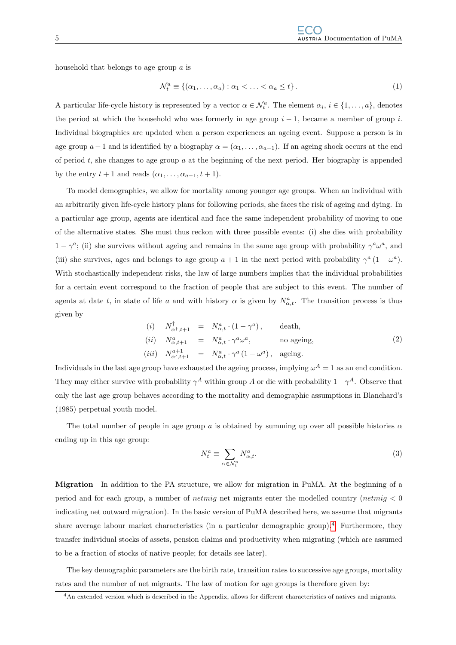household that belongs to age group a is

$$
\mathcal{N}_t^a \equiv \{ (\alpha_1, \dots, \alpha_a) : \alpha_1 < \dots < \alpha_a \leq t \}. \tag{1}
$$

A particular life-cycle history is represented by a vector  $\alpha \in \mathcal{N}_t^a$ . The element  $\alpha_i, i \in \{1, \ldots, a\}$ , denotes the period at which the household who was formerly in age group  $i-1$ , became a member of group i. Individual biographies are updated when a person experiences an ageing event. Suppose a person is in age group  $a-1$  and is identified by a biography  $\alpha = (\alpha_1, \ldots, \alpha_{a-1})$ . If an ageing shock occurs at the end of period  $t$ , she changes to age group  $a$  at the beginning of the next period. Her biography is appended by the entry  $t + 1$  and reads  $(\alpha_1, \ldots, \alpha_{a-1}, t + 1)$ .

To model demographics, we allow for mortality among younger age groups. When an individual with an arbitrarily given life-cycle history plans for following periods, she faces the risk of ageing and dying. In a particular age group, agents are identical and face the same independent probability of moving to one of the alternative states. She must thus reckon with three possible events: (i) she dies with probability  $1 - \gamma^a$ ; (ii) she survives without ageing and remains in the same age group with probability  $\gamma^a \omega^a$ , and (iii) she survives, ages and belongs to age group  $a + 1$  in the next period with probability  $\gamma^a (1 - \omega^a)$ . With stochastically independent risks, the law of large numbers implies that the individual probabilities for a certain event correspond to the fraction of people that are subject to this event. The number of agents at date t, in state of life a and with history  $\alpha$  is given by  $N_{\alpha,t}^a$ . The transition process is thus given by

<span id="page-8-1"></span>
$$
(i) \quad N_{\alpha^{\dagger},t+1}^{\dagger} = N_{\alpha,t}^{a} \cdot (1 - \gamma^{a}), \qquad \text{death},
$$
\n
$$
(ii) \quad N_{\alpha,t+1}^{a} = N_{\alpha,t}^{a} \cdot \gamma^{a} \omega^{a}, \qquad \text{no ageing},
$$
\n
$$
(iii) \quad N_{\alpha^{\dagger},t+1}^{a+1} = N_{\alpha,t}^{a} \cdot \gamma^{a} (1 - \omega^{a}), \text{ ageing}.
$$
\n
$$
(2)
$$

Individuals in the last age group have exhausted the ageing process, implying  $\omega^A = 1$  as an end condition. They may either survive with probability  $\gamma^A$  within group A or die with probability  $1-\gamma^A$ . Observe that only the last age group behaves according to the mortality and demographic assumptions in Blanchard's (1985) perpetual youth model.

The total number of people in age group a is obtained by summing up over all possible histories  $\alpha$ ending up in this age group:

$$
N_t^a \equiv \sum_{\alpha \in \mathcal{N}_t^a} N_{\alpha, t}^a. \tag{3}
$$

Migration In addition to the PA structure, we allow for migration in PuMA. At the beginning of a period and for each group, a number of *netmig* net migrants enter the modelled country (*netmig*  $\lt 0$ indicating net outward migration). In the basic version of PuMA described here, we assume that migrants share average labour market characteristics (in a particular demographic group).<sup>[4](#page-8-0)</sup> Furthermore, they transfer individual stocks of assets, pension claims and productivity when migrating (which are assumed to be a fraction of stocks of native people; for details see later).

The key demographic parameters are the birth rate, transition rates to successive age groups, mortality rates and the number of net migrants. The law of motion for age groups is therefore given by:

<span id="page-8-0"></span><sup>4</sup>An extended version which is described in the Appendix, allows for different characteristics of natives and migrants.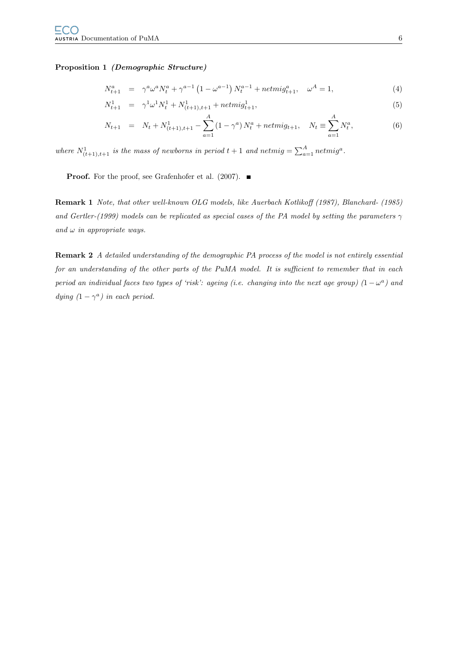#### Proposition 1 (Demographic Structure)

$$
N_{t+1}^{a} = \gamma^{a} \omega^{a} N_{t}^{a} + \gamma^{a-1} \left( 1 - \omega^{a-1} \right) N_{t}^{a-1} + netmig_{t+1}^{a}, \quad \omega^{A} = 1,
$$
\n(4)

$$
N_{t+1}^1 = \gamma^1 \omega^1 N_t^1 + N_{(t+1),t+1}^1 + netmig_{t+1}^1,
$$
\n
$$
(5)
$$

$$
N_{t+1} = N_t + N_{(t+1),t+1}^1 - \sum_{a=1}^A (1 - \gamma^a) N_t^a + netmig_{t+1}, \quad N_t \equiv \sum_{a=1}^A N_t^a,
$$
 (6)

where  $N^1_{(t+1),t+1}$  is the mass of newborns in period  $t+1$  and netmig  $=\sum_{a=1}^A netmig^a$ .

**Proof.** For the proof, see Grafenhofer et al. (2007).  $\blacksquare$ 

Remark 1 Note, that other well-known OLG models, like Auerbach Kotlikoff (1987), Blanchard- (1985) and Gertler-(1999) models can be replicated as special cases of the PA model by setting the parameters  $\gamma$ and  $\omega$  in appropriate ways.

Remark 2 A detailed understanding of the demographic PA process of the model is not entirely essential for an understanding of the other parts of the PuMA model. It is sufficient to remember that in each period an individual faces two types of 'risk': ageing (i.e. changing into the next age group)  $(1 - \omega^a)$  and dying  $(1 - \gamma^a)$  in each period.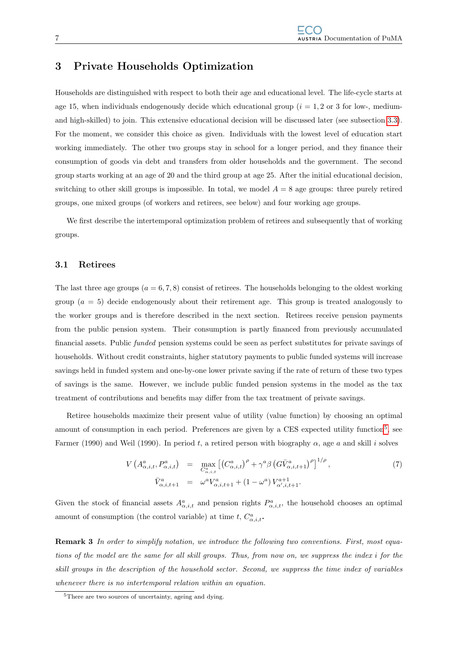## <span id="page-10-0"></span>3 Private Households Optimization

Households are distinguished with respect to both their age and educational level. The life-cycle starts at age 15, when individuals endogenously decide which educational group  $(i = 1, 2 \text{ or } 3 \text{ for low-}, \text{medium-}$ and high-skilled) to join. This extensive educational decision will be discussed later (see subsection [3.3\)](#page-28-0). For the moment, we consider this choice as given. Individuals with the lowest level of education start working immediately. The other two groups stay in school for a longer period, and they finance their consumption of goods via debt and transfers from older households and the government. The second group starts working at an age of 20 and the third group at age 25. After the initial educational decision, switching to other skill groups is impossible. In total, we model  $A = 8$  age groups: three purely retired groups, one mixed groups (of workers and retirees, see below) and four working age groups.

We first describe the intertemporal optimization problem of retirees and subsequently that of working groups.

#### <span id="page-10-1"></span>3.1 Retirees

The last three age groups ( $a = 6, 7, 8$ ) consist of retirees. The households belonging to the oldest working group  $(a = 5)$  decide endogenously about their retirement age. This group is treated analogously to the worker groups and is therefore described in the next section. Retirees receive pension payments from the public pension system. Their consumption is partly financed from previously accumulated financial assets. Public funded pension systems could be seen as perfect substitutes for private savings of households. Without credit constraints, higher statutory payments to public funded systems will increase savings held in funded system and one-by-one lower private saving if the rate of return of these two types of savings is the same. However, we include public funded pension systems in the model as the tax treatment of contributions and benefits may differ from the tax treatment of private savings.

Retiree households maximize their present value of utility (value function) by choosing an optimal amount of consumption in each period. Preferences are given by a CES expected utility function<sup>[5](#page-10-2)</sup>, see Farmer (1990) and Weil (1990). In period t, a retired person with biography  $\alpha$ , age a and skill i solves

<span id="page-10-3"></span>
$$
V\left(A^{a}_{\alpha,i,t}, P^{a}_{\alpha,i,t}\right) = \max_{C^{a}_{\alpha,i,t}} \left[ \left(C^{a}_{\alpha,i,t}\right)^{\rho} + \gamma^{a} \beta \left(G\bar{V}^{a}_{\alpha,i,t+1}\right)^{\rho} \right]^{1/\rho},
$$
\n
$$
\bar{V}^{a}_{\alpha,i,t+1} = \omega^{a} V^{a}_{\alpha,i,t+1} + (1 - \omega^{a}) V^{a+1}_{\alpha',i,t+1}.
$$
\n(7)

Given the stock of financial assets  $A^a_{\alpha,i,t}$  and pension rights  $P^a_{\alpha,i,t}$ , the household chooses an optimal amount of consumption (the control variable) at time  $t, C^a_{\alpha,i,t}$ .

Remark 3 In order to simplify notation, we introduce the following two conventions. First, most equations of the model are the same for all skill groups. Thus, from now on, we suppress the index i for the skill groups in the description of the household sector. Second, we suppress the time index of variables whenever there is no intertemporal relation within an equation.

<span id="page-10-2"></span><sup>5</sup>There are two sources of uncertainty, ageing and dying.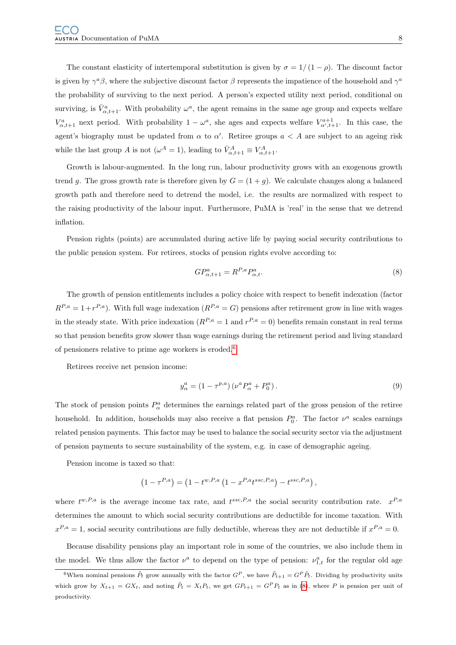The constant elasticity of intertemporal substitution is given by  $\sigma = 1/(1-\rho)$ . The discount factor is given by  $\gamma^a\beta$ , where the subjective discount factor  $\beta$  represents the impatience of the household and  $\gamma^a$ the probability of surviving to the next period. A person's expected utility next period, conditional on surviving, is  $\bar{V}^a_{\alpha,t+1}$ . With probability  $\omega^a$ , the agent remains in the same age group and expects welfare  $V_{\alpha,t+1}^a$  next period. With probability  $1-\omega^a$ , she ages and expects welfare  $V_{\alpha',t+1}^{a+1}$ . In this case, the agent's biography must be updated from  $\alpha$  to  $\alpha'$ . Retiree groups  $a < A$  are subject to an ageing risk while the last group A is not  $(\omega^A = 1)$ , leading to  $\bar{V}_{\alpha,t+1}^A \equiv V_{\alpha,t+1}^A$ .

Growth is labour-augmented. In the long run, labour productivity grows with an exogenous growth trend g. The gross growth rate is therefore given by  $G = (1 + g)$ . We calculate changes along a balanced growth path and therefore need to detrend the model, i.e. the results are normalized with respect to the raising productivity of the labour input. Furthermore, PuMA is 'real' in the sense that we detrend inflation.

Pension rights (points) are accumulated during active life by paying social security contributions to the public pension system. For retirees, stocks of pension rights evolve according to:

<span id="page-11-1"></span>
$$
GP_{\alpha,t+1}^a = R^{P,a} P_{\alpha,t}^a. \tag{8}
$$

The growth of pension entitlements includes a policy choice with respect to benefit indexation (factor  $R^{P,a} = 1 + r^{P,a}$ . With full wage indexation  $(R^{P,a} = G)$  pensions after retirement grow in line with wages in the steady state. With price indexation  $(R^{P,a} = 1 \text{ and } r^{P,a} = 0)$  benefits remain constant in real terms so that pension benefits grow slower than wage earnings during the retirement period and living standard of pensioners relative to prime age workers is eroded.[6](#page-11-0)

Retirees receive net pension income:

$$
y_{\alpha}^{a} = (1 - \tau^{p,a}) \left( \nu^{a} P_{\alpha}^{a} + P_{0}^{a} \right). \tag{9}
$$

The stock of pension points  $P^a_\alpha$  determines the earnings related part of the gross pension of the retiree household. In addition, households may also receive a flat pension  $P_0^a$ . The factor  $\nu^a$  scales earnings related pension payments. This factor may be used to balance the social security sector via the adjustment of pension payments to secure sustainability of the system, e.g. in case of demographic ageing.

Pension income is taxed so that:

$$
\left(1 - \tau^{P,a}\right) = \left(1 - t^{w,P,a} \left(1 - x^{P,a} t^{ssc,P,a}\right) - t^{ssc,P,a}\right),
$$

where  $t^{w,P,a}$  is the average income tax rate, and  $t^{ssc,P,a}$  the social security contribution rate.  $x^{P,a}$ determines the amount to which social security contributions are deductible for income taxation. With  $x^{P,a} = 1$ , social security contributions are fully deductible, whereas they are not deductible if  $x^{P,a} = 0$ .

Because disability pensions play an important role in some of the countries, we also include them in the model. We thus allow the factor  $\nu^a$  to depend on the type of pension:  $\nu^a_{1,t}$  for the regular old age

<span id="page-11-0"></span><sup>&</sup>lt;sup>6</sup>When nominal pensions  $\tilde{P}_t$  grow annually with the factor  $G^P$ , we have  $\tilde{P}_{t+1} = G^P \tilde{P}_t$ . Dividing by productivity units which grow by  $X_{t+1} = GX_t$ , and noting  $\tilde{P}_t = X_t P_t$ , we get  $GP_{t+1} = G^P P_t$  as in [\(8\)](#page-11-1), where P is pension per unit of productivity.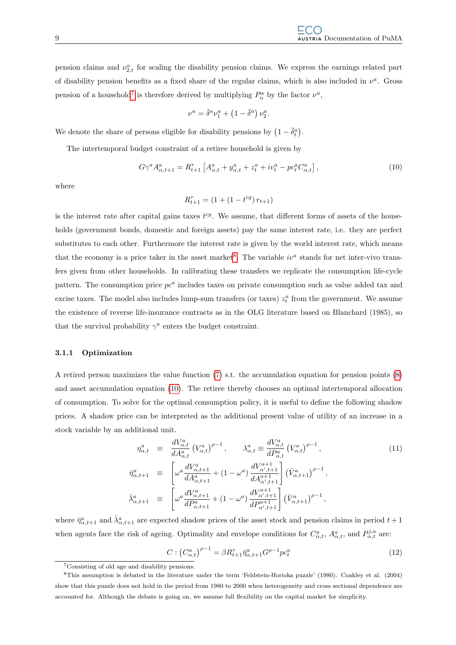pension claims and  $\nu_{2,t}^a$  for scaling the disability pension claims. We express the earnings related part of disability pension benefits as a fixed share of the regular claims, which is also included in  $\nu^a$ . Gross pension of a household<sup>[7](#page-12-1)</sup> is therefore derived by multiplying  $P^a_\alpha$  by the factor  $\nu^a$ ,

$$
\nu^a = \bar{\delta}^a \nu_1^a + \left(1 - \bar{\delta}^a\right) \nu_2^a
$$

We denote the share of persons eligible for disability pensions by  $(1 - \bar{\delta}_t^a)$ .

The intertemporal budget constraint of a retiree household is given by

<span id="page-12-3"></span>
$$
G\gamma^{a} A^{a}_{\alpha,t+1} = R_{t+1}^{\tau} \left[ A^{a}_{\alpha,t} + y^{a}_{\alpha,t} + z^{a}_{t} + iv^{a}_{t} - pc^{a}_{t} C^{a}_{\alpha,t} \right],
$$
\n(10)

.

where

$$
R^\tau_{t+1} = \left(1 + \left(1 - t^{cg}\right)r_{t+1}\right)
$$

is the interest rate after capital gains taxes  $t^{cg}$ . We assume, that different forms of assets of the households (government bonds, domestic and foreign assets) pay the same interest rate, i.e. they are perfect substitutes to each other. Furthermore the interest rate is given by the world interest rate, which means that the economy is a price taker in the asset market<sup>[8](#page-12-2)</sup>. The variable  $iv^a$  stands for net inter-vivo transfers given from other households. In calibrating these transfers we replicate the consumption life-cycle pattern. The consumption price  $pc<sup>a</sup>$  includes taxes on private consumption such as value added tax and excise taxes. The model also includes lump-sum transfers (or taxes)  $z_t^a$  from the government. We assume the existence of reverse life-insurance contracts as in the OLG literature based on Blanchard (1985), so that the survival probability  $\gamma^a$  enters the budget constraint.

#### <span id="page-12-0"></span>3.1.1 Optimization

A retired person maximizes the value function [\(7\)](#page-10-3) s.t. the accumulation equation for pension points [\(8\)](#page-11-1) and asset accumulation equation [\(10\)](#page-12-3). The retiree thereby chooses an optimal intertemporal allocation of consumption. To solve for the optimal consumption policy, it is useful to define the following shadow prices. A shadow price can be interpreted as the additional present value of utility of an increase in a stock variable by an additional unit.

$$
\eta_{\alpha,t}^{a} \equiv \frac{dV_{\alpha,t}^{a}}{dA_{\alpha,t}^{a}} (V_{\alpha,t}^{a})^{\rho-1}, \qquad \lambda_{\alpha,t}^{a} \equiv \frac{dV_{\alpha,t}^{a}}{dP_{\alpha,t}^{a}} (V_{\alpha,t}^{a})^{\rho-1},
$$
\n
$$
\bar{\eta}_{\alpha,t+1}^{a} \equiv \left[ \omega^{a} \frac{dV_{\alpha,t+1}^{a}}{dA_{\alpha,t+1}^{a}} + (1 - \omega^{a}) \frac{dV_{\alpha,t+1}^{a+1}}{dA_{\alpha,t+1}^{a+1}} \right] (\bar{V}_{\alpha,t+1}^{a})^{\rho-1},
$$
\n
$$
\bar{\lambda}_{\alpha,t+1}^{a} \equiv \left[ \omega^{a} \frac{dV_{\alpha,t+1}^{a}}{dP_{\alpha,t+1}^{a}} + (1 - \omega^{a}) \frac{dV_{\alpha,t+1}^{a+1}}{dP_{\alpha,t+1}^{a+1}} \right] (\bar{V}_{\alpha,t+1}^{a})^{\rho-1},
$$
\n(11)

where  $\bar{\eta}^a_{\alpha,t+1}$  and  $\bar{\lambda}^a_{\alpha,t+1}$  are expected shadow prices of the asset stock and pension claims in period  $t+1$ when agents face the risk of ageing. Optimality and envelope conditions for  $C^a_{\alpha,t}$ ,  $A^a_{\alpha,t}$ , and  $P^{j,a}_{\alpha,t}$  are:

$$
C: \left(C_{\alpha,t}^{a}\right)^{\rho-1} = \beta R_{t+1}^{\tau} \bar{\eta}_{\alpha,t+1}^{a} G^{\rho-1} p c_t^{a}
$$
\n(12)

<span id="page-12-2"></span><span id="page-12-1"></span><sup>7</sup>Consisting of old age and disability pensions.

<sup>8</sup>This assumption is debated in the literature under the term 'Feldstein-Horioka puzzle' (1980). Coakley et al. (2004) show that this puzzle does not hold in the period from 1980 to 2000 when heterogeneity and cross sectional dependence are accounted for. Although the debate is going on, we assume full flexibility on the capital market for simplicity.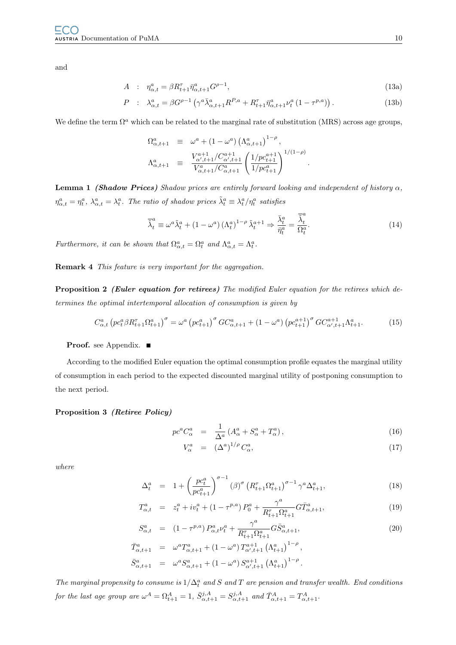and

$$
A : \eta_{\alpha,t}^a = \beta R_{t+1}^\tau \bar{\eta}_{\alpha,t+1}^a G^{\rho-1}, \tag{13a}
$$

$$
P : \lambda_{\alpha,t}^a = \beta G^{\rho-1} \left( \gamma^a \bar{\lambda}_{\alpha,t+1}^a R^{P,a} + R_{t+1}^\tau \bar{\eta}_{\alpha,t+1}^a \nu_t^a \left( 1 - \tau^{p,a} \right) \right). \tag{13b}
$$

We define the term  $\Omega^a$  which can be related to the marginal rate of substitution (MRS) across age groups,

$$
\begin{array}{rcl}\n\Omega_{\alpha,t+1}^{a} & \equiv & \omega^{a} + \left(1 - \omega^{a}\right) \left(\Lambda_{\alpha,t+1}^{a}\right)^{1-\rho}, \\
\Lambda_{\alpha,t+1}^{a} & \equiv & \frac{V_{\alpha',t+1}^{a+1}/C_{\alpha',t+1}^{a+1}}{V_{\alpha,t+1}^{a}/C_{\alpha,t+1}^{a}} \left(\frac{1/p c_{t+1}^{a+1}}{1/p c_{t+1}^{a}}\right)^{1/(1-\rho)}.\n\end{array}
$$

**Lemma 1 (Shadow Prices)** Shadow prices are entirely forward looking and independent of history  $\alpha$ ,  $\eta_{\alpha,t}^a = \eta_t^a$ ,  $\lambda_{\alpha,t}^a = \lambda_t^a$ . The ratio of shadow prices  $\tilde{\lambda}_t^a \equiv \lambda_t^a / \eta_t^a$  satisfies

$$
\overline{\tilde{\lambda}}_t^a \equiv \omega^a \tilde{\lambda}_t^a + (1 - \omega^a) (\Lambda_t^a)^{1 - \rho} \tilde{\lambda}_t^{a+1} \Rightarrow \frac{\overline{\lambda}_t^a}{\overline{\eta}_t^a} = \frac{\overline{\tilde{\lambda}}_t^a}{\Omega_t^a}.
$$
\n(14)

Furthermore, it can be shown that  $\Omega_{\alpha,t}^a = \Omega_t^a$  and  $\Lambda_{\alpha,t}^a = \Lambda_t^a$ .

Remark 4 This feature is very important for the aggregation.

Proposition 2 (Euler equation for retirees) The modified Euler equation for the retirees which determines the optimal intertemporal allocation of consumption is given by

$$
C_{\alpha,t}^{a} \left( pc_{t}^{a} \beta R_{t+1}^{\tau} \Omega_{t+1}^{a} \right)^{\sigma} = \omega^{a} \left( pc_{t+1}^{a} \right)^{\sigma} G C_{\alpha,t+1}^{a} + (1 - \omega^{a}) \left( pc_{t+1}^{a+1} \right)^{\sigma} G C_{\alpha',t+1}^{a+1} \Lambda_{t+1}^{a}.
$$
 (15)

#### Proof. see Appendix. ■

According to the modified Euler equation the optimal consumption profile equates the marginal utility of consumption in each period to the expected discounted marginal utility of postponing consumption to the next period.

#### <span id="page-13-1"></span>Proposition 3 (Retiree Policy)

<span id="page-13-0"></span>
$$
pc^{a}C_{\alpha}^{a} = \frac{1}{\Delta^{a}} \left( A_{\alpha}^{a} + S_{\alpha}^{a} + T_{\alpha}^{a} \right), \qquad (16)
$$

$$
V_{\alpha}^{a} = (\Delta^{a})^{1/\rho} C_{\alpha}^{a}, \qquad (17)
$$

where

$$
\Delta_t^a = 1 + \left(\frac{pc_t^a}{pc_{t+1}^a}\right)^{\sigma-1} (\beta)^\sigma \left(R_{t+1}^\tau \Omega_{t+1}^a\right)^{\sigma-1} \gamma^a \Delta_{t+1}^a, \tag{18}
$$

$$
T_{\alpha,t}^a = z_t^a + iv_t^a + (1 - \tau^{p,a}) P_0^a + \frac{\gamma^a}{R_{t+1}^{\tau} \Omega_{t+1}^a} G \bar{T}_{\alpha,t+1}^a, \tag{19}
$$

$$
S_{\alpha,t}^{a} = (1 - \tau^{p,a}) P_{\alpha,t}^{a} \nu_{t}^{a} + \frac{\gamma^{a}}{R_{t+1}^{T} \Omega_{t+1}^{a}} G \bar{S}_{\alpha,t+1}^{a},
$$
  
\n
$$
\bar{T}_{\alpha,t+1}^{a} = \omega^{a} T_{\alpha,t+1}^{a} + (1 - \omega^{a}) T_{\alpha',t+1}^{a+1} (\Lambda_{t+1}^{a})^{1-\rho},
$$
\n(20)

$$
\bar{S}^{a}_{\alpha,t+1} = \omega^{a} S^{a}_{\alpha,t+1} + (1 - \omega^{a}) S^{a+1}_{\alpha',t+1} (\Lambda^{a}_{t+1})^{1-\rho}.
$$

The marginal propensity to consume is  $1/\Delta_t^a$  and S and T are pension and transfer wealth. End conditions for the last age group are  $\omega^A = \Omega_{t+1}^A = 1$ ,  $\bar{S}_{\alpha,t+1}^{j,A} = S_{\alpha,t+1}^{j,A}$  and  $\bar{T}_{\alpha,t+1}^A = T_{\alpha,t+1}^A$ .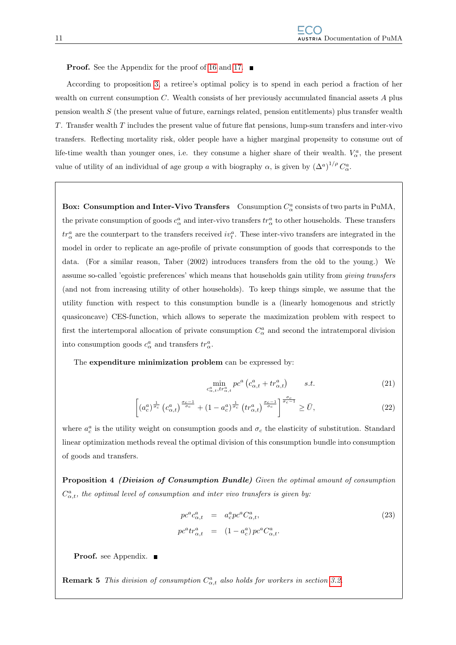**Proof.** See the Appendix for the proof of [16](#page-13-0) and [17.](#page-13-0)  $\blacksquare$ 

According to proposition [3,](#page-13-1) a retiree's optimal policy is to spend in each period a fraction of her wealth on current consumption  $C$ . Wealth consists of her previously accumulated financial assets  $A$  plus pension wealth S (the present value of future, earnings related, pension entitlements) plus transfer wealth T. Transfer wealth T includes the present value of future flat pensions, lump-sum transfers and inter-vivo transfers. Reflecting mortality risk, older people have a higher marginal propensity to consume out of life-time wealth than younger ones, i.e. they consume a higher share of their wealth.  $V^a_\alpha$ , the present value of utility of an individual of age group a with biography  $\alpha$ , is given by  $(\Delta^a)^{1/\rho} C^a_{\alpha}$ .

Box: Consumption and Inter-Vivo Transfers Consumption  $C^a_\alpha$  consists of two parts in PuMA, the private consumption of goods  $c^a_\alpha$  and inter-vivo transfers  $tr^a_\alpha$  to other households. These transfers  $tr_{\alpha}^{a}$  are the counterpart to the transfers received  $iv_{t}^{a}$ . These inter-vivo transfers are integrated in the model in order to replicate an age-profile of private consumption of goods that corresponds to the data. (For a similar reason, Taber (2002) introduces transfers from the old to the young.) We assume so-called 'egoistic preferences' which means that households gain utility from giving transfers (and not from increasing utility of other households). To keep things simple, we assume that the utility function with respect to this consumption bundle is a (linearly homogenous and strictly quasiconcave) CES-function, which allows to seperate the maximization problem with respect to first the intertemporal allocation of private consumption  $C^a_\alpha$  and second the intratemporal division into consumption goods  $c^a_\alpha$  and transfers  $tr^a_\alpha$ .

The expenditure minimization problem can be expressed by:

$$
\min_{c_{\alpha,t}^a, tr_{\alpha,t}^a} pc^a \left( c_{\alpha,t}^a + tr_{\alpha,t}^a \right) \qquad s.t. \tag{21}
$$

$$
\left[ \left( a_c^a \right)^{\frac{1}{\sigma_c}} \left( c_{\alpha,t}^a \right)^{\frac{\sigma_c - 1}{\sigma_c}} + \left( 1 - a_c^a \right)^{\frac{1}{\sigma_c}} \left( tr_{\alpha,t}^a \right)^{\frac{\sigma_c - 1}{\sigma_c}} \right]^{\frac{\sigma_c}{\sigma_c - 1}} \ge \bar{U},\tag{22}
$$

where  $a_c^a$  is the utility weight on consumption goods and  $\sigma_c$  the elasticity of substitution. Standard linear optimization methods reveal the optimal division of this consumption bundle into consumption of goods and transfers.

Proposition 4 (Division of Consumption Bundle) Given the optimal amount of consumption  $C_{\alpha,t}^a$ , the optimal level of consumption and inter vivo transfers is given by:

$$
pc^{a}c_{\alpha,t}^{a} = a_{c}^{a}pc^{a}C_{\alpha,t}^{a},
$$
  
\n
$$
pc^{a}tr_{\alpha,t}^{a} = (1 - a_{c}^{a})pc^{a}C_{\alpha,t}^{a}.
$$
\n(23)

Proof. see Appendix. ■

**Remark 5** This division of consumption  $C_{\alpha,t}^a$  also holds for workers in section [3.2.](#page-15-0)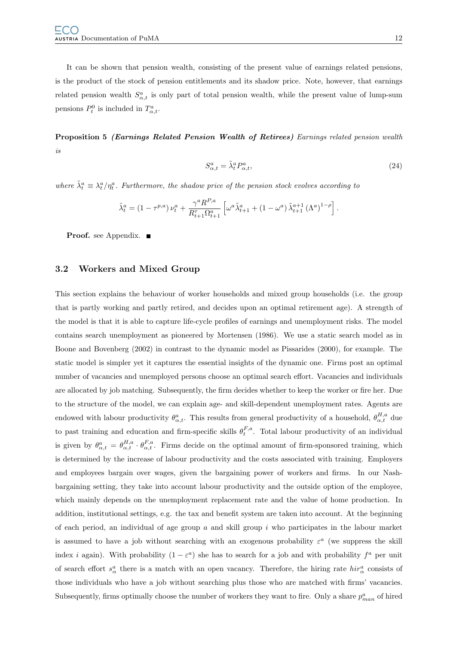It can be shown that pension wealth, consisting of the present value of earnings related pensions, is the product of the stock of pension entitlements and its shadow price. Note, however, that earnings related pension wealth  $S^a_{\alpha,t}$  is only part of total pension wealth, while the present value of lump-sum pensions  $P_t^0$  is included in  $T_{\alpha,t}^a$ .

Proposition 5 (Earnings Related Pension Wealth of Retirees) Earnings related pension wealth is

$$
S_{\alpha,t}^a = \tilde{\lambda}_t^a P_{\alpha,t}^a,\tag{24}
$$

where  $\tilde{\lambda}_t^a \equiv \lambda_t^a / \eta_t^a$ . Furthermore, the shadow price of the pension stock evolves according to

$$
\tilde{\lambda}_t^a = \left(1 - \tau^{p,a}\right)\nu_t^a + \frac{\gamma^a R^{P,a}}{R_{t+1}^{\tau}\Omega_{t+1}^a} \left[\omega^a \tilde{\lambda}_{t+1}^a + \left(1 - \omega^a\right) \tilde{\lambda}_{t+1}^{a+1} \left(\Lambda^a\right)^{1-\rho}\right].
$$

**Proof.** see Appendix. ■

#### <span id="page-15-0"></span>3.2 Workers and Mixed Group

This section explains the behaviour of worker households and mixed group households (i.e. the group that is partly working and partly retired, and decides upon an optimal retirement age). A strength of the model is that it is able to capture life-cycle profiles of earnings and unemployment risks. The model contains search unemployment as pioneered by Mortensen (1986). We use a static search model as in Boone and Bovenberg (2002) in contrast to the dynamic model as Pissarides (2000), for example. The static model is simpler yet it captures the essential insights of the dynamic one. Firms post an optimal number of vacancies and unemployed persons choose an optimal search effort. Vacancies and individuals are allocated by job matching. Subsequently, the firm decides whether to keep the worker or fire her. Due to the structure of the model, we can explain age- and skill-dependent unemployment rates. Agents are endowed with labour productivity  $\theta_{\alpha,t}^a$ . This results from general productivity of a household,  $\theta_{\alpha,t}^{H,a}$  due to past training and education and firm-specific skills  $\theta_t^{F,a}$ . Total labour productivity of an individual is given by  $\theta_{\alpha,t}^a = \theta_{\alpha,t}^{H,a} \cdot \theta_{\alpha,t}^{F,a}$ . Firms decide on the optimal amount of firm-sponsored training, which is determined by the increase of labour productivity and the costs associated with training. Employers and employees bargain over wages, given the bargaining power of workers and firms. In our Nashbargaining setting, they take into account labour productivity and the outside option of the employee, which mainly depends on the unemployment replacement rate and the value of home production. In addition, institutional settings, e.g. the tax and benefit system are taken into account. At the beginning of each period, an individual of age group  $a$  and skill group  $i$  who participates in the labour market is assumed to have a job without searching with an exogenous probability  $\varepsilon^a$  (we suppress the skill index *i* again). With probability  $(1 - \varepsilon^a)$  she has to search for a job and with probability  $f^a$  per unit of search effort  $s^a_\alpha$  there is a match with an open vacancy. Therefore, the hiring rate  $\hat{h}ir^a_\alpha$  consists of those individuals who have a job without searching plus those who are matched with firms' vacancies. Subsequently, firms optimally choose the number of workers they want to fire. Only a share  $p_{man}^a$  of hired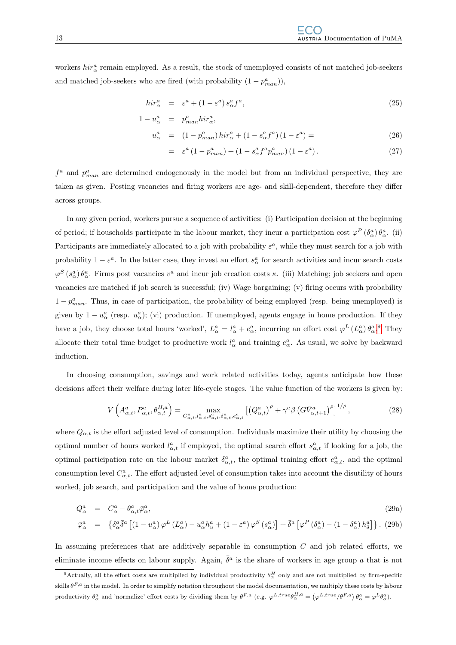workers  $hir^a_\alpha$  remain employed. As a result, the stock of unemployed consists of not matched job-seekers and matched job-seekers who are fired (with probability  $(1 - p_{man}^a)$ ),

$$
hir^a_\alpha = \varepsilon^a + (1 - \varepsilon^a) s^a_\alpha f^a,
$$
\n(25)

$$
1 - u_{\alpha}^{a} = p_{man}^{a}hir_{\alpha}^{a},
$$

$$
u_{\alpha}^{a} = (1 - p_{man}^{a})\operatorname{hir}_{\alpha}^{a} + (1 - s_{\alpha}^{a} f^{a})\left(1 - \varepsilon^{a}\right) = \tag{26}
$$

$$
= \varepsilon^{a} \left(1 - p_{man}^{a}\right) + \left(1 - s_{\alpha}^{a} f^{a} p_{man}^{a}\right) \left(1 - \varepsilon^{a}\right). \tag{27}
$$

 $f^a$  and  $p^a_{man}$  are determined endogenously in the model but from an individual perspective, they are taken as given. Posting vacancies and firing workers are age- and skill-dependent, therefore they differ across groups.

In any given period, workers pursue a sequence of activities: (i) Participation decision at the beginning of period; if households participate in the labour market, they incur a participation cost  $\varphi^P(\delta^a_\alpha)\theta^a_\alpha$ . (ii) Participants are immediately allocated to a job with probability  $\varepsilon^a$ , while they must search for a job with probability  $1-\varepsilon^a$ . In the latter case, they invest an effort  $s^a_\alpha$  for search activities and incur search costs  $\varphi^S(s^a_\alpha)\theta^a_\alpha$ . Firms post vacancies  $v^a$  and incur job creation costs  $\kappa$ . (iii) Matching; job seekers and open vacancies are matched if job search is successful; (iv) Wage bargaining; (v) firing occurs with probability  $1 - p_{man}^a$ . Thus, in case of participation, the probability of being employed (resp. being unemployed) is given by  $1 - u_\alpha^a$  (resp.  $u_\alpha^a$ ); (vi) production. If unemployed, agents engage in home production. If they have a job, they choose total hours 'worked',  $L^a_\alpha = l^a_\alpha + e^a_\alpha$ , incurring an effort cost  $\varphi^L(L^a_\alpha) \theta^a_\alpha$ .<sup>[9](#page-16-0)</sup> They allocate their total time budget to productive work  $l^a_\alpha$  and training  $e^a_\alpha$ . As usual, we solve by backward induction.

In choosing consumption, savings and work related activities today, agents anticipate how these decisions affect their welfare during later life-cycle stages. The value function of the workers is given by:

<span id="page-16-1"></span>
$$
V\left(A_{\alpha,t}^{a}, P_{\alpha,t}^{a}, \theta_{\alpha,t}^{H,a}\right) = \max_{C_{\alpha,t}^{a}, l_{\alpha,t}^{a}, s_{\alpha,t}^{a}, \delta_{\alpha,t}^{a}, c_{\alpha,t}^{a}} \left[ \left(Q_{\alpha,t}^{a}\right)^{\rho} + \gamma^{a} \beta \left(G\bar{V}_{\alpha,t+1}^{a}\right)^{\rho}\right]^{1/\rho},\tag{28}
$$

where  $Q_{\alpha,t}$  is the effort adjusted level of consumption. Individuals maximize their utility by choosing the optimal number of hours worked  $l_{\alpha,t}^a$  if employed, the optimal search effort  $s_{\alpha,t}^a$  if looking for a job, the optimal participation rate on the labour market  $\delta_{\alpha,t}^a$ , the optimal training effort  $e_{\alpha,t}^a$ , and the optimal consumption level  $C_{\alpha,t}^a$ . The effort adjusted level of consumption takes into account the disutility of hours worked, job search, and participation and the value of home production:

$$
Q_{\alpha}^{a} = C_{\alpha}^{a} - \theta_{\alpha,t}^{a} \bar{\varphi}_{\alpha}^{a},
$$
\n
$$
\bar{\varphi}_{\alpha}^{a} = \left\{ \delta_{\alpha}^{a} \bar{\delta}^{a} \left[ (1 - u_{\alpha}^{a}) \varphi^{L} (L_{\alpha}^{a}) - u_{\alpha}^{a} h_{u}^{a} + (1 - \varepsilon^{a}) \varphi^{S} (s_{\alpha}^{a}) \right] + \bar{\delta}^{a} \left[ \varphi^{P} (\delta_{\alpha}^{a}) - (1 - \delta_{\alpha}^{a}) h_{\delta}^{a} \right] \right\}.
$$
\n(29a)

In assuming preferences that are additively separable in consumption  $C$  and job related efforts, we eliminate income effects on labour supply. Again,  $\bar{\delta}^a$  is the share of workers in age group a that is not

<span id="page-16-0"></span><sup>&</sup>lt;sup>9</sup>Actually, all the effort costs are multiplied by individual productivity  $\theta^H_\alpha$  only and are not multiplied by firm-specific skills  $\theta^{F,a}$  in the model. In order to simplify notation throughout the model documentation, we multiply these costs by labour productivity  $\theta^a_\alpha$  and 'normalize' effort costs by dividing them by  $\theta^{F,a}$  (e.g.  $\varphi^{L,true} \theta^{H,a}_\alpha = (\varphi^{L,true}/\theta^{F,a}) \theta^a_\alpha = \varphi^L \theta^a_\alpha$ ).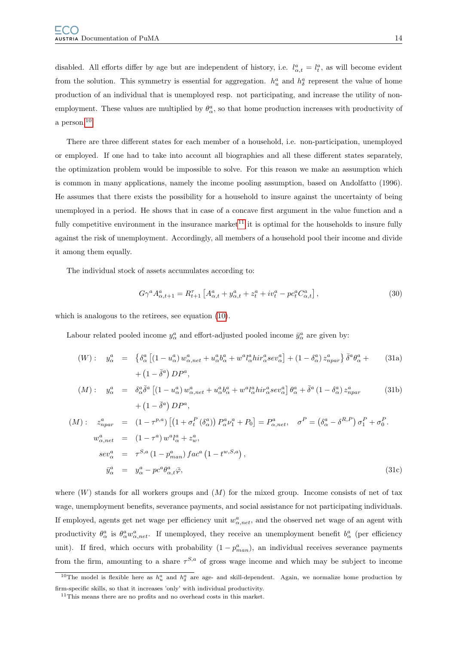disabled. All efforts differ by age but are independent of history, i.e.  $l_{\alpha,t}^a = l_t^a$ , as will become evident from the solution. This symmetry is essential for aggregation.  $h_u^a$  and  $h_{\delta}^a$  represent the value of home production of an individual that is unemployed resp. not participating, and increase the utility of nonemployment. These values are multiplied by  $\theta_{\alpha}^{a}$ , so that home production increases with productivity of a person.[10](#page-17-0)

There are three different states for each member of a household, i.e. non-participation, unemployed or employed. If one had to take into account all biographies and all these different states separately, the optimization problem would be impossible to solve. For this reason we make an assumption which is common in many applications, namely the income pooling assumption, based on Andolfatto (1996). He assumes that there exists the possibility for a household to insure against the uncertainty of being unemployed in a period. He shows that in case of a concave first argument in the value function and a fully competitive environment in the insurance market<sup>[11](#page-17-1)</sup> it is optimal for the households to insure fully against the risk of unemployment. Accordingly, all members of a household pool their income and divide it among them equally.

The individual stock of assets accumulates according to:

<span id="page-17-2"></span>
$$
G\gamma^{a} A^{a}_{\alpha,t+1} = R_{t+1}^{\tau} \left[ A^{a}_{\alpha,t} + y^{a}_{\alpha,t} + z^{a}_{t} + iv^{a}_{t} - pc^{a}_{t} C^{a}_{\alpha,t} \right],
$$
\n(30)

which is analogous to the retirees, see equation [\(10\)](#page-12-3).

Labour related pooled income  $y^a_\alpha$  and effort-adjusted pooled income  $\bar{y}^a_\alpha$  are given by:

$$
(W): y_{\alpha}^{a} = \left\{ \delta_{\alpha}^{a} \left[ (1 - u_{\alpha}^{a}) w_{\alpha,net}^{a} + u_{\alpha}^{a} b_{\alpha}^{a} + w^{a} l_{\alpha}^{a} h i r_{\alpha}^{a} s e v_{\alpha}^{a} \right] + (1 - \delta_{\alpha}^{a}) z_{npar}^{a} \right\} \bar{\delta}^{a} \theta_{\alpha}^{a} + (1 - \bar{\delta}^{a}) DP^{a}, \tag{31a}
$$

$$
(M): \quad y_{\alpha}^{a} = \delta_{\alpha}^{a} \bar{\delta}^{a} \left[ (1 - u_{\alpha}^{a}) w_{\alpha,net}^{a} + u_{\alpha}^{a} b_{\alpha}^{a} + w^{a} l_{\alpha}^{a} h i r_{\alpha}^{a} s e v_{\alpha}^{a} \right] \theta_{\alpha}^{a} + \bar{\delta}^{a} (1 - \delta_{\alpha}^{a}) z_{npar}^{a} \tag{31b}
$$

$$
+ (1 - \bar{\delta}^{a}) DP^{a},
$$

$$
(M): \t z_{npar}^{a} = (1 - \tau^{p,a}) \left[ \left( 1 + \sigma_t^P \left( \delta_{\alpha}^a \right) \right) P_{\alpha}^a \nu_1^a + P_0 \right] = P_{\alpha,net}^a, \t \sigma^P = \left( \delta_{\alpha}^a - \delta^{R,P} \right) \sigma_1^P + \sigma_0^P.
$$
  
\n
$$
w_{\alpha,net}^a = (1 - \tau^a) w^a l_{\alpha}^a + z_w^a,
$$
  
\n
$$
se v_{\alpha}^a = \tau^{S,a} \left( 1 - p_{man}^a \right) fac^a \left( 1 - t^{w,S,a} \right),
$$
  
\n
$$
\bar{y}_{\alpha}^a = y_{\alpha}^a - pc^a \theta_{\alpha,t}^a \bar{\varphi},
$$
\n(31c)

where  $(W)$  stands for all workers groups and  $(M)$  for the mixed group. Income consists of net of tax wage, unemployment benefits, severance payments, and social assistance for not participating individuals. If employed, agents get net wage per efficiency unit  $w_{\alpha,net}^a$ , and the observed net wage of an agent with productivity  $\theta^a_\alpha$  is  $\theta^a_\alpha w^a_{\alpha,net}$ . If unemployed, they receive an unemployment benefit  $b^a_\alpha$  (per efficiency unit). If fired, which occurs with probability  $(1 - p_{man}^a)$ , an individual receives severance payments from the firm, amounting to a share  $\tau^{S,a}$  of gross wage income and which may be subject to income

<span id="page-17-0"></span><sup>&</sup>lt;sup>10</sup>The model is flexible here as  $h_u^a$  and  $h_\delta^a$  are age- and skill-dependent. Again, we normalize home production by firm-specific skills, so that it increases 'only' with individual productivity.

<span id="page-17-1"></span> $11$ This means there are no profits and no overhead costs in this market.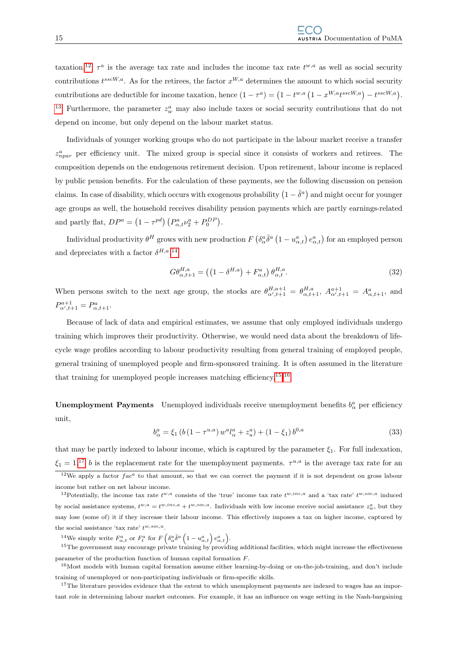taxation.<sup>[12](#page-18-0)</sup>  $\tau^a$  is the average tax rate and includes the income tax rate  $t^{w,a}$  as well as social security contributions  $t^{sscW,a}$ . As for the retirees, the factor  $x^{W,a}$  determines the amount to which social security contributions are deductible for income taxation, hence  $(1 - \tau^a) = (1 - t^{w,a} (1 - x^{W,a} t^{sscW,a}) - t^{sscW,a}).$ <sup>[13](#page-18-1)</sup> Furthermore, the parameter  $z_w^a$  may also include taxes or social security contributions that do not depend on income, but only depend on the labour market status.

Individuals of younger working groups who do not participate in the labour market receive a transfer  $z_{npar}^a$  per efficiency unit. The mixed group is special since it consists of workers and retirees. The composition depends on the endogenous retirement decision. Upon retirement, labour income is replaced by public pension benefits. For the calculation of these payments, see the following discussion on pension claims. In case of disability, which occurs with exogenous probability  $(1 - \bar{\delta}^a)$  and might occur for younger age groups as well, the household receives disability pension payments which are partly earnings-related and partly flat,  $DP^a = (1 - \tau^{pd}) \left( P^a_{\alpha,t} \nu^a_2 + P^{DP}_0 \right)$ .

Individual productivity  $\theta^H$  grows with new production  $F(\delta^a_\alpha \bar{\delta}^a (1-u^a_{\alpha,t}) e^a_{\alpha,t})$  for an employed person and depreciates with a factor  $\delta^{H,a}$ .<sup>[14](#page-18-2)</sup>

<span id="page-18-6"></span>
$$
G\theta_{\alpha,t+1}^{H,a} = \left( \left( 1 - \delta^{H,a} \right) + F_{\alpha,t}^a \right) \theta_{\alpha,t}^{H,a}.
$$
\n
$$
(32)
$$

When persons switch to the next age group, the stocks are  $\theta_{\alpha',t+1}^{H,a+1} = \theta_{\alpha,t+1}^{H,a}$ ,  $A_{\alpha',t+1}^{a+1} = A_{\alpha,t+1}^{a}$ , and  $P_{\alpha',t+1}^{a+1} = P_{\alpha,t+1}^{a}.$ 

Because of lack of data and empirical estimates, we assume that only employed individuals undergo training which improves their productivity. Otherwise, we would need data about the breakdown of lifecycle wage profiles according to labour productivity resulting from general training of employed people, general training of unemployed people and firm-sponsored training. It is often assumed in the literature that training for unemployed people increases matching efficiency.[15](#page-18-3),[16](#page-18-4)

**Unemployment Payments** Unemployed individuals receive unemployment benefits  $b^a_\alpha$  per efficiency unit,

$$
b_{\alpha}^{a} = \xi_{1} \left( b \left( 1 - \tau^{u,a} \right) w^{a} l_{\alpha}^{a} + z_{u}^{a} \right) + \left( 1 - \xi_{1} \right) b^{0,a} \tag{33}
$$

that may be partly indexed to labour income, which is captured by the parameter  $\xi_1$ . For full indexation,  $\xi_1 = 1$ .<sup>[17](#page-18-5)</sup> b is the replacement rate for the unemployment payments.  $\tau^{u,a}$  is the average tax rate for an

<span id="page-18-3"></span><span id="page-18-2"></span><sup>14</sup>We simply write  $F^a_{\alpha,t}$  or  $F^a_t$  for  $F\left(\delta^a_\alpha\overline{\delta}^a\left(1-u^a_{\alpha,t}\right)e^a_{\alpha,t}\right)$ .

<sup>15</sup>The government may encourage private training by providing additional facilities, which might increase the effectiveness parameter of the production function of human capital formation F.

<span id="page-18-4"></span><sup>16</sup>Most models with human capital formation assume either learning-by-doing or on-the-job-training, and don't include training of unemployed or non-participating individuals or firm-specific skills.

<span id="page-18-5"></span><sup>17</sup>The literature provides evidence that the extent to which unemployment payments are indexed to wages has an important role in determining labour market outcomes. For example, it has an influence on wage setting in the Nash-bargaining

<span id="page-18-0"></span> $12$ We apply a factor  $fac^a$  to that amount, so that we can correct the payment if it is not dependent on gross labour income but rather on net labour income.

<span id="page-18-1"></span><sup>&</sup>lt;sup>13</sup>Potentially, the income tax rate  $t^{w,a}$  consists of the 'true' income tax rate  $t^{w,inc,a}$  and a 'tax rate'  $t^{w,soc,a}$  induced by social assistance systems,  $t^{w,a} = t^{w,inc,a} + t^{w,soc,a}$ . Individuals with low income receive social assistance  $z_w^a$ , but they may lose (some of) it if they increase their labour income. This effectively imposes a tax on higher income, captured by the social assistance 'tax rate'  $t^{w, soc, a}$ .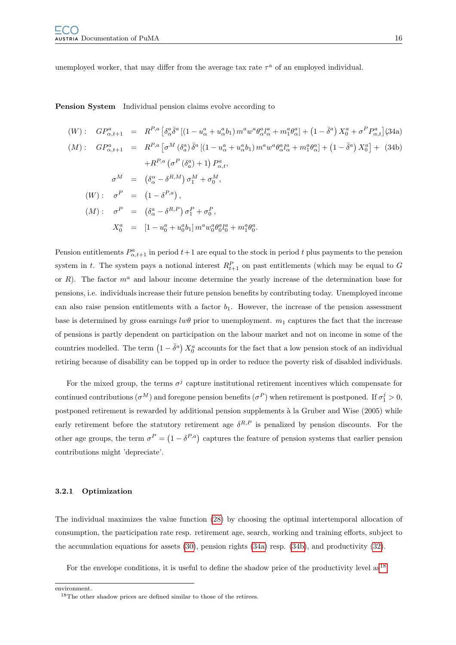unemployed worker, that may differ from the average tax rate  $\tau^a$  of an employed individual.

Pension System Individual pension claims evolve according to

<span id="page-19-1"></span>
$$
(W): GP_{\alpha,t+1}^{a} = R^{P,a} \left[ \delta_{\alpha}^{a} \bar{\delta}^{a} \left[ (1 - u_{\alpha}^{a} + u_{\alpha}^{a} b_{1}) m^{a} w^{a} \theta_{\alpha}^{a} l_{\alpha}^{a} + m_{1}^{a} \theta_{\alpha}^{a} \right] + (1 - \bar{\delta}^{a}) X_{0}^{a} + \sigma^{P} P_{\alpha,t}^{a} \right] (34a)
$$
  
\n
$$
(M): GP_{\alpha,t+1}^{a} = R^{P,a} \left[ \sigma^{M} \left( \delta_{a}^{a} \right) \bar{\delta}^{a} \left[ (1 - u_{\alpha}^{a} + u_{\alpha}^{a} b_{1}) m^{a} w^{a} \theta_{\alpha}^{a} l_{\alpha}^{a} + m_{1}^{a} \theta_{\alpha}^{a} \right] + (1 - \bar{\delta}^{a}) X_{0}^{a} \right] + (34b)
$$
  
\n
$$
+ R^{P,a} \left( \sigma^{P} \left( \delta_{a}^{a} \right) + 1 \right) P_{\alpha,t}^{a},
$$
  
\n
$$
\sigma^{M} = \left( \delta_{\alpha}^{a} - \delta^{R,M} \right) \sigma_{1}^{M} + \sigma_{0}^{M},
$$
  
\n
$$
(W): \sigma^{P} = (1 - \delta^{P,a}),
$$
  
\n
$$
(M): \sigma^{P} = \left( \delta_{\alpha}^{a} - \delta^{R,P} \right) \sigma_{1}^{P} + \sigma_{0}^{P},
$$
  
\n
$$
X_{0}^{a} = [1 - u_{0}^{a} + u_{0}^{a} b_{1}] m^{a} w_{0}^{a} \theta_{0}^{a} l_{0}^{a} + m_{1}^{a} \theta_{0}^{a}.
$$

Pension entitlements  $P^a_{\alpha,t+1}$  in period  $t+1$  are equal to the stock in period t plus payments to the pension system in t. The system pays a notional interest  $R_{t+1}^P$  on past entitlements (which may be equal to G or R). The factor  $m^a$  and labour income determine the yearly increase of the determination base for pensions, i.e. individuals increase their future pension benefits by contributing today. Unemployed income can also raise pension entitlements with a factor  $b_1$ . However, the increase of the pension assessment base is determined by gross earnings  $lw\theta$  prior to unemployment.  $m_1$  captures the fact that the increase of pensions is partly dependent on participation on the labour market and not on income in some of the countries modelled. The term  $(1 - \bar{\delta}^a) X_0^a$  accounts for the fact that a low pension stock of an individual retiring because of disability can be topped up in order to reduce the poverty risk of disabled individuals.

For the mixed group, the terms  $\sigma^j$  capture institutional retirement incentives which compensate for continued contributions  $(\sigma^M)$  and foregone pension benefits  $(\sigma^P)$  when retirement is postponed. If  $\sigma_1^j > 0$ , postponed retirement is rewarded by additional pension supplements à la Gruber and Wise (2005) while early retirement before the statutory retirement age  $\delta^{R,P}$  is penalized by pension discounts. For the other age groups, the term  $\sigma^P = (1 - \delta^{P,a})$  captures the feature of pension systems that earlier pension contributions might 'depreciate'.

#### <span id="page-19-0"></span>3.2.1 Optimization

The individual maximizes the value function [\(28\)](#page-16-1) by choosing the optimal intertemporal allocation of consumption, the participation rate resp. retirement age, search, working and training efforts, subject to the accumulation equations for assets [\(30\)](#page-17-2), pension rights [\(34a\)](#page-19-1) resp. [\(34b\)](#page-19-1), and productivity [\(32\)](#page-18-6).

For the envelope conditions, it is useful to define the shadow price of the productivity level as<sup>[18](#page-19-2)</sup>

environment.

<span id="page-19-2"></span><sup>18</sup>The other shadow prices are defined similar to those of the retirees.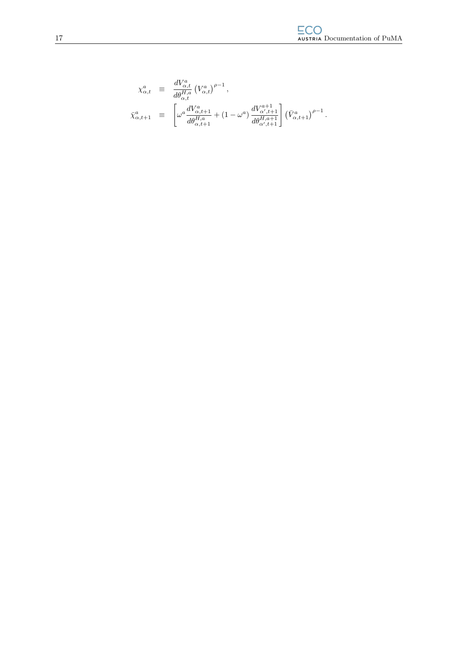$$
\begin{array}{rcl} \chi_{\alpha,t}^{a} & \equiv & \frac{dV_{\alpha,t}^{a}}{d\theta_{\alpha,t}^{H,a}} \left(V_{\alpha,t}^{a}\right)^{\rho-1}, \\[0.2cm] \bar{\chi}_{\alpha,t+1}^{a} & \equiv & \left[\omega^{a} \frac{dV_{\alpha,t+1}^{a}}{d\theta_{\alpha,t+1}^{H,a}} + (1-\omega^{a}) \frac{dV_{\alpha,t+1}^{a+1}}{d\theta_{\alpha',t+1}^{H,a+1}}\right] \left(\bar{V}_{\alpha,t+1}^{a}\right)^{\rho-1}.\end{array}
$$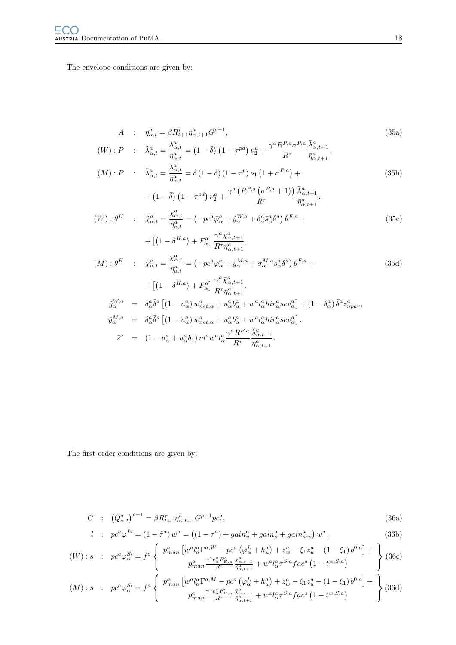The envelope conditions are given by:

$$
A: \eta_{\alpha,t}^{a} = \beta R_{t+1}^{\tau} \bar{\eta}_{\alpha,t+1}^{a} G^{\rho-1},
$$
\n
$$
(W): P: \tilde{\lambda}_{\alpha,t}^{a} = \frac{\lambda_{\alpha,t}^{a}}{\eta_{\alpha,t}^{a}} = (1 - \bar{\delta}) (1 - \tau^{pd}) \nu_{2}^{a} + \frac{\gamma^{a} R^{P,a} \sigma^{P,a}}{R^{\tau}} \frac{\bar{\lambda}_{\alpha,t+1}^{a}}{\bar{\eta}_{\alpha,t+1}^{a}},
$$
\n
$$
(M): P: \tilde{\lambda}_{\alpha,t}^{a} = \frac{\lambda_{\alpha,t}^{a}}{\eta_{\alpha,t}^{a}} = \bar{\delta} (1 - \delta) (1 - \tau^{p}) \nu_{1} (1 + \sigma^{P,a}) +
$$
\n
$$
+ (1 - \bar{\delta}) (1 - \tau^{pd}) \nu_{2}^{a} + \frac{\gamma^{a} (R^{P,a} (\sigma^{P,a} + 1))}{R^{\tau}} \frac{\bar{\lambda}_{\alpha,t+1}^{a}}{\bar{\eta}_{\alpha,t+1}^{a}},
$$
\n
$$
(W): \theta^{H}: \tilde{\chi}_{\alpha,t}^{a} = \frac{\chi_{\alpha,t}^{a}}{\eta_{\alpha,t}^{a}} = (-p c^{a} \bar{\varphi}_{\alpha}^{a} + \tilde{y}_{\alpha}^{W,a} + \delta_{\alpha}^{a} \bar{s}_{\alpha}^{a} \bar{\delta}^{a}) \theta^{F,a} +
$$
\n
$$
+ [(1 - \delta^{H,a}) + F_{\alpha}^{a}] \frac{\gamma^{a} \bar{\chi}_{\alpha,t+1}^{a}}{R^{\tau} \bar{\eta}_{\alpha,t+1}^{a}},
$$
\n
$$
(M): \theta^{H}: \tilde{\chi}_{\alpha,t}^{a} = \frac{\chi_{\alpha,t}^{a}}{\eta_{\alpha,t}^{a}} = (-p c^{a} \bar{\varphi}_{\alpha}^{a} + \tilde{y}_{\alpha}^{W,a} + \sigma_{\alpha}^{M,a} \bar{s}_{\alpha}^{a} \bar{\delta}^{a}) \theta^{F,a} +
$$
\n
$$
+ [(1 - \delta^{H,a}) + F_{\alpha}^{a}] \frac{\gamma^{a} \bar{\chi}_{\alpha,t+1}^{a}}{R^{\tau} \bar{\eta}_{\alpha,t+1}^{a}},
$$
\n
$$
\tilde{y}_{\alpha}^{W
$$

The first order conditions are given by:

<span id="page-21-0"></span>
$$
C : (Q_{\alpha,t}^a)^{\rho-1} = \beta R_{t+1}^\tau \bar{\eta}_{\alpha,t+1}^a G^{\rho-1} p c_t^a,
$$
\n(36a)

$$
l : pc^{a} \varphi^{L'} = (1 - \hat{\tau}^{a}) w^{a} = ((1 - \tau^{a}) + gain_{u}^{a} + gain_{g}^{a} + gain_{sev}^{a}) w^{a},
$$
\n(36b)

$$
(W): s: pc^a \varphi_{\alpha}^{S} = f^a \left\{ p_{man}^a \left[ w^a l_{\alpha}^{a} \Gamma^{a,W} - pc^a \left( \varphi_{\alpha}^L + h_u^a \right) + z_w^a - \xi_1 z_u^a - (1 - \xi_1) b^{0,a} \right] + \right\} (36c)
$$
  

$$
p_{man}^a \frac{\gamma^a e_{\alpha}^a F_{E,\alpha}^a}{R^{\tau}} \frac{\bar{\chi}_{\alpha,t+1}^a}{\bar{\eta}_{\alpha,t+1}^a} + w^a l_{\alpha}^a \tau^{S,a} fac^a \left( 1 - t^{w,S,a} \right)
$$

$$
(M): s: pc^a \varphi_{\alpha}^{S} = f^a \left\{ p_{man}^a \left[ w^a l_{\alpha}^a \Gamma^{a,M} - pc^a \left( \varphi_{\alpha}^L + h_u^a \right) + z_w^a - \xi_1 z_u^a - (1 - \xi_1) b^{0,a} \right] + \atop p_{man}^a \frac{\gamma^a e_{\alpha}^a F_{E,\alpha}^a}{R^{\tau}} \frac{\tilde{\chi}_{\alpha,t+1}^a}{\tilde{\eta}_{\alpha,t+1}^a} + w^a l_{\alpha}^a \tau^{S,a} fac^a \left( 1 - t^{w,S,a} \right) \right\} (36d)
$$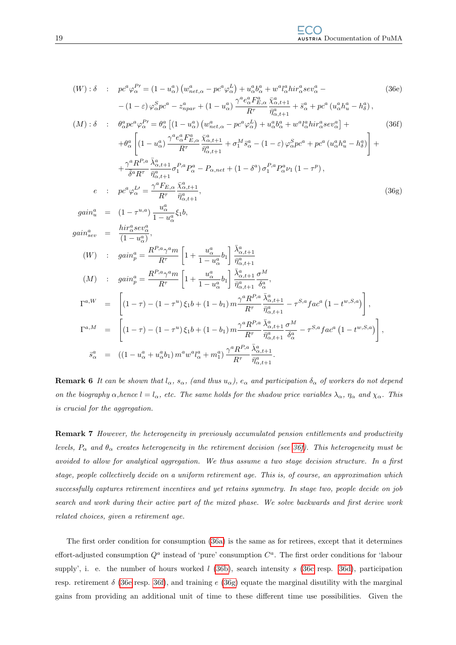<span id="page-22-0"></span>
$$
(W): \delta : p c^{a} \varphi_{\alpha}^{P} = (1 - u_{\alpha}^{a}) (w_{net,\alpha}^{a} - p c^{a} \varphi_{\alpha}^{L}) + u_{\alpha}^{a} b_{\alpha}^{a} + w^{a} l_{\alpha}^{a} h i r_{\alpha}^{a} s e v_{\alpha}^{a} - (36e)
$$
\n
$$
- (1 - \varepsilon) \varphi_{\alpha}^{S} p c^{a} - z_{npar}^{a} + (1 - u_{\alpha}^{a}) \frac{\gamma^{a} e_{\alpha}^{a} F_{Z,\alpha}^{a} \bar{X}_{\alpha,t+1}^{a}}{\bar{\eta}_{\alpha,t+1}^{a} + \bar{s}^{a}} + p c^{a} (u_{\alpha}^{a} h_{u}^{a} - h_{\delta}^{a}),
$$
\n
$$
(M): \delta : \theta_{\alpha}^{a} p c^{a} \varphi_{\alpha}^{P} = \theta_{\alpha}^{a} [(1 - u_{\alpha}^{a}) (w_{net,\alpha}^{a} - p c^{a} \varphi_{\alpha}^{L}) + u_{\alpha}^{a} b_{\alpha}^{a} + w^{a} l_{\alpha}^{a} h i r_{\alpha}^{a} s e v_{\alpha}^{a}] + (36f)
$$
\n
$$
+ \theta_{\alpha}^{a} \left[ (1 - u_{\alpha}^{a}) \frac{\gamma^{a} e_{\alpha}^{a} F_{Z,\alpha}^{a} \bar{X}_{\alpha,t+1}^{a}}{\bar{\eta}_{\alpha,t+1}^{a}} + \sigma_{1}^{M} s_{\alpha}^{a} - (1 - \varepsilon) \varphi_{\alpha}^{S} p c^{a} + p c^{a} (u_{\alpha}^{a} h_{u}^{a} - h_{\delta}^{a}) \right] + (36f)
$$
\n
$$
+ \frac{\gamma^{a} R^{P,a}}{\delta^{a} R^{r}} \frac{\bar{\eta}_{\alpha,t+1}^{a}}{\bar{\eta}_{\alpha,t+1}^{a}} \sigma_{1}^{P,a} p_{\alpha}^{a} - P_{\alpha,net} + (1 - \delta^{a}) \sigma_{1}^{P,a} P_{\alpha}^{a} \nu_{1} (1 - \tau^{p}),
$$
\n
$$
e : p c^{a} \varphi_{\alpha}^{L} = \frac{\gamma^{a} F_{E,\alpha} \bar{X}_{\alpha,t+1}^{a}}{\bar{R}^{a}} ,
$$
\

 $R^{\tau}$  $\bar{\eta}^a_{\alpha,t+1}$ . **Remark 6** It can be shown that  $l_{\alpha}$ ,  $s_{\alpha}$ , (and thus  $u_{\alpha}$ ),  $e_{\alpha}$  and participation  $\delta_{\alpha}$  of workers do not depend on the biography  $\alpha$ , hence  $l = l_{\alpha}$ , etc. The same holds for the shadow price variables  $\lambda_{\alpha}$ ,  $\eta_{\alpha}$  and  $\chi_{\alpha}$ . This

is crucial for the aggregation.

Remark 7 However, the heterogeneity in previously accumulated pension entitlements and productivity levels,  $P_\alpha$  and  $\theta_\alpha$  creates heterogeneity in the retirement decision (see [36f\)](#page-22-0). This heterogeneity must be avoided to allow for analytical aggregation. We thus assume a two stage decision structure. In a first stage, people collectively decide on a uniform retirement age. This is, of course, an approximation which successfully captures retirement incentives and yet retains symmetry. In stage two, people decide on job search and work during their active part of the mixed phase. We solve backwards and first derive work related choices, given a retirement age.

The first order condition for consumption [\(36a\)](#page-21-0) is the same as for retirees, except that it determines effort-adjusted consumption  $Q^a$  instead of 'pure' consumption  $C^a$ . The first order conditions for 'labour supply', i. e. the number of hours worked  $l$  [\(36b\)](#page-21-0), search intensity s [\(36c](#page-21-0) resp. [36d\)](#page-21-0), participation resp. retirement  $\delta$  [\(36e](#page-22-0) resp. [36f\)](#page-22-0), and training e [\(36g\)](#page-22-0) equate the marginal disutility with the marginal gains from providing an additional unit of time to these different time use possibilities. Given the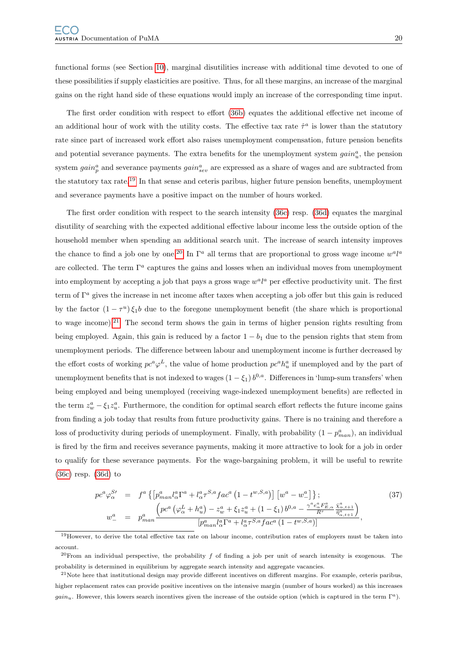functional forms (see Section [10\)](#page-48-0), marginal disutilities increase with additional time devoted to one of these possibilities if supply elasticities are positive. Thus, for all these margins, an increase of the marginal gains on the right hand side of these equations would imply an increase of the corresponding time input.

The first order condition with respect to effort [\(36b\)](#page-21-0) equates the additional effective net income of an additional hour of work with the utility costs. The effective tax rate  $\hat{\tau}^a$  is lower than the statutory rate since part of increased work effort also raises unemployment compensation, future pension benefits and potential severance payments. The extra benefits for the unemployment system  $gain_u^a$ , the pension system  $gain_p^a$  and severance payments  $gain_{sev}^a$  are expressed as a share of wages and are subtracted from the statutory tax rate.[19](#page-23-0) In that sense and ceteris paribus, higher future pension benefits, unemployment and severance payments have a positive impact on the number of hours worked.

The first order condition with respect to the search intensity [\(36c\)](#page-21-0) resp. [\(36d\)](#page-21-0) equates the marginal disutility of searching with the expected additional effective labour income less the outside option of the household member when spending an additional search unit. The increase of search intensity improves the chance to find a job one by one.<sup>[20](#page-23-1)</sup> In  $\Gamma^a$  all terms that are proportional to gross wage income  $w^a l^a$ are collected. The term  $\Gamma^a$  captures the gains and losses when an individual moves from unemployment into employment by accepting a job that pays a gross wage  $w^a l^a$  per effective productivity unit. The first term of  $\Gamma^a$  gives the increase in net income after taxes when accepting a job offer but this gain is reduced by the factor  $(1 - \tau^u)\xi_1 b$  due to the foregone unemployment benefit (the share which is proportional to wage income).<sup>[21](#page-23-2)</sup> The second term shows the gain in terms of higher pension rights resulting from being employed. Again, this gain is reduced by a factor  $1 - b_1$  due to the pension rights that stem from unemployment periods. The difference between labour and unemployment income is further decreased by the effort costs of working  $pe^a\varphi^L$ , the value of home production  $pe^ah_u^a$  if unemployed and by the part of unemployment benefits that is not indexed to wages  $(1 - \xi_1) b^{0,a}$ . Differences in 'lump-sum transfers' when being employed and being unemployed (receiving wage-indexed unemployment benefits) are reflected in the term  $z_w^a - \xi_1 z_w^a$ . Furthermore, the condition for optimal search effort reflects the future income gains from finding a job today that results from future productivity gains. There is no training and therefore a loss of productivity during periods of unemployment. Finally, with probability  $(1 - p_{man}^a)$ , an individual is fired by the firm and receives severance payments, making it more attractive to look for a job in order to qualify for these severance payments. For the wage-bargaining problem, it will be useful to rewrite [\(36c\)](#page-21-0) resp. [\(36d\)](#page-21-0) to

$$
pc^{a}\varphi_{\alpha}^{S'} = f^{a}\left\{ \left[ p_{man}^{a}l_{\alpha}^{a}\Gamma^{a} + l_{\alpha}^{a}\tau^{S,a}fac^{a}\left(1 - t^{w,S,a}\right) \right] \left[ w^{a} - w_{-}^{a} \right] \right\};
$$
\n
$$
w_{-}^{a} = p_{man}^{a}\frac{\left( pc^{a}\left(\varphi_{\alpha}^{L} + h_{u}^{a}\right) - z_{w}^{a} + \xi_{1}z_{u}^{a} + \left(1 - \xi_{1}\right)b^{0,a} - \frac{\gamma^{a}e_{\alpha}^{a}F_{E,\alpha}^{a}}{R^{\tau}} \frac{\bar{x}_{\alpha,t+1}^{a}}{\bar{\eta}_{\alpha,t+1}^{a}} \right)}{\left[ p_{man}^{a}l_{\alpha}^{a}\Gamma^{a} + l_{\alpha}^{a}\tau^{S,a}fac^{a}\left(1 - t^{w,S,a}\right) \right]},
$$
\n
$$
(37)
$$

<span id="page-23-0"></span> $19$  However, to derive the total effective tax rate on labour income, contribution rates of employers must be taken into account.

<span id="page-23-1"></span> $^{20}$ From an individual perspective, the probability f of finding a job per unit of search intensity is exogenous. The probability is determined in equilibrium by aggregate search intensity and aggregate vacancies.

<span id="page-23-2"></span> $21$ Note here that institutional design may provide different incentives on different margins. For example, ceteris paribus, higher replacement rates can provide positive incentives on the intensive margin (number of hours worked) as this increases  $gain_u$ . However, this lowers search incentives given the increase of the outside option (which is captured in the term  $\Gamma^a$ ).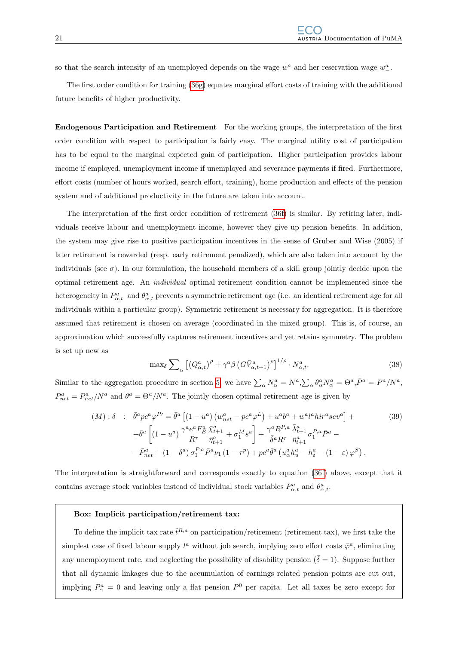so that the search intensity of an unemployed depends on the wage  $w^a$  and her reservation wage  $w^a_-$ .

The first order condition for training [\(36g\)](#page-22-0) equates marginal effort costs of training with the additional future benefits of higher productivity.

Endogenous Participation and Retirement For the working groups, the interpretation of the first order condition with respect to participation is fairly easy. The marginal utility cost of participation has to be equal to the marginal expected gain of participation. Higher participation provides labour income if employed, unemployment income if unemployed and severance payments if fired. Furthermore, effort costs (number of hours worked, search effort, training), home production and effects of the pension system and of additional productivity in the future are taken into account.

The interpretation of the first order condition of retirement [\(36f\)](#page-22-0) is similar. By retiring later, individuals receive labour and unemployment income, however they give up pension benefits. In addition, the system may give rise to positive participation incentives in the sense of Gruber and Wise (2005) if later retirement is rewarded (resp. early retirement penalized), which are also taken into account by the individuals (see  $\sigma$ ). In our formulation, the household members of a skill group jointly decide upon the optimal retirement age. An individual optimal retirement condition cannot be implemented since the heterogeneity in  $P_{\alpha,t}^a$  and  $\theta_{\alpha,t}^a$  prevents a symmetric retirement age (i.e. an identical retirement age for all individuals within a particular group). Symmetric retirement is necessary for aggregation. It is therefore assumed that retirement is chosen on average (coordinated in the mixed group). This is, of course, an approximation which successfully captures retirement incentives and yet retains symmetry. The problem is set up new as

$$
\max_{\delta} \sum_{\alpha} \left[ \left( Q_{\alpha,t}^{a} \right)^{\rho} + \gamma^{a} \beta \left( G \bar{V}_{\alpha,t+1}^{a} \right)^{\rho} \right]^{1/\rho} \cdot N_{\alpha,t}^{a}.
$$
\n(38)

Similar to the aggregation procedure in section [5,](#page-32-1) we have  $\sum_{\alpha} N_{\alpha}^{a} = N^{a}$ ,  $\sum_{\alpha} \theta_{\alpha}^{a} N_{\alpha}^{a} = \Theta^{a}$ ,  $\bar{P}^{a} = P^{a}/N^{a}$ ,  $\bar{P}_{net}^a = P_{net}^a/N^a$  and  $\bar{\theta}^a = \Theta^a/N^a$ . The jointly chosen optimal retirement age is given by

<span id="page-24-0"></span>
$$
(M): \delta : \bar{\theta}^{a} p c^{a} \varphi^{P'} = \bar{\theta}^{a} \left[ (1 - u^{a}) \left( w_{net}^{a} - p c^{a} \varphi^{L} \right) + u^{a} b^{a} + w^{a} l^{a} h i r^{a} s e v^{a} \right] +
$$
  
\n
$$
+ \bar{\theta}^{a} \left[ (1 - u^{a}) \frac{\gamma^{a} e^{a} F_{E}^{a}}{R^{7}} \frac{\bar{\chi}_{t+1}^{a}}{\bar{\eta}_{t+1}^{a}} + \sigma_{1}^{M} \bar{s}^{a} \right] + \frac{\gamma^{a} R^{P,a}}{\bar{\delta}^{a} R^{7}} \frac{\bar{\lambda}_{t+1}^{a}}{\bar{\eta}_{t+1}^{a}} \sigma_{1}^{P,a} \bar{P}^{a} -
$$
  
\n
$$
- \bar{P}_{net}^{a} + (1 - \delta^{a}) \sigma_{1}^{P,a} \bar{P}^{a} \nu_{1} (1 - \tau^{p}) + p c^{a} \bar{\theta}^{a} \left( u_{\alpha}^{a} h_{u}^{a} - h_{\delta}^{a} - (1 - \varepsilon) \varphi^{S} \right).
$$
\n
$$
(39)
$$

The interpretation is straightforward and corresponds exactly to equation [\(36f\)](#page-22-0) above, except that it contains average stock variables instead of individual stock variables  $P^a_{\alpha,t}$  and  $\theta^a_{\alpha,t}$ .

#### Box: Implicit participation/retirement tax:

To define the implicit tax rate  $\hat{t}^{R,a}$  on participation/retirement (retirement tax), we first take the simplest case of fixed labour supply  $l^a$  without job search, implying zero effort costs  $\bar{\varphi}^a$ , eliminating any unemployment rate, and neglecting the possibility of disability pension ( $\overline{\delta} = 1$ ). Suppose further that all dynamic linkages due to the accumulation of earnings related pension points are cut out, implying  $P^a_\alpha = 0$  and leaving only a flat pension  $P^0$  per capita. Let all taxes be zero except for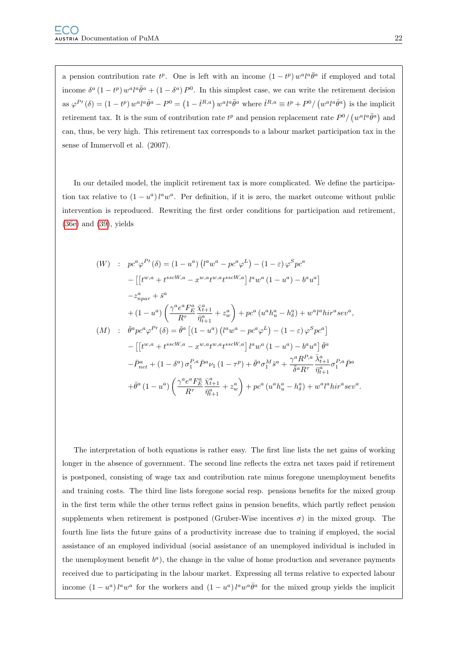a pension contribution rate  $t^p$ . One is left with an income  $(1-t^p) w^a l^a \bar{\theta}^a$  if employed and total income  $\delta^a (1-t^p) w^a l^a \bar{\theta}^a + (1-\delta^a) P^0$ . In this simplest case, we can write the retirement decision as  $\varphi^{P'}(\delta) = (1 - t^p) w^a l^a \bar{\theta}^a - P^0 = (1 - \hat{t}^{R,a}) w^a l^a \bar{\theta}^a$  where  $\hat{t}^{R,a} \equiv t^p + P^0 / (w^a l^a \bar{\theta}^a)$  is the implicit retirement tax. It is the sum of contribution rate  $t^p$  and pension replacement rate  $P^0/ (w^a l^a \bar{\theta}^a)$  and can, thus, be very high. This retirement tax corresponds to a labour market participation tax in the sense of Immervoll et al. (2007).

In our detailed model, the implicit retirement tax is more complicated. We define the participation tax relative to  $(1 - u^a) l^a w^a$ . Per definition, if it is zero, the market outcome without public intervention is reproduced. Rewriting the first order conditions for participation and retirement, [\(36e\)](#page-22-0) and [\(39\)](#page-24-0), yields

$$
(W) : p c^a \varphi^{P'}(\delta) = (1 - u^a) (l^a w^a - p c^a \varphi^L) - (1 - \varepsilon) \varphi^S p c^a
$$
  
\n
$$
- \left[ \left[ t^{w,a} + t^{sscW,a} - x^{w,a} t^{w,a} t^{sscW,a} \right] l^a w^a (1 - u^a) - b^a u^a \right]
$$
  
\n
$$
- z_{npar}^a + \bar{s}^a
$$
  
\n
$$
+ (1 - u^a) \left( \frac{\gamma^a e^a F_E^a}{R^{\tau}} \frac{\bar{\chi}_{t+1}^a}{\bar{\eta}_{t+1}^a} + z_w^a \right) + p c^a (u^a h_u^a - h_\delta^a) + w^a l^a h i r^a s e v^a,
$$
  
\n
$$
(M) : \bar{\theta}^a p c^a \varphi^{P'}(\delta) = \bar{\theta}^a \left[ (1 - u^a) (l^a w^a - p c^a \varphi^L) - (1 - \varepsilon) \varphi^S p c^a \right]
$$
  
\n
$$
- \left[ \left[ t^{w,a} + t^{sscW,a} - x^{w,a} t^{w,a} t^{sscW,a} \right] l^a w^a (1 - u^a) - b^a u^a \right] \bar{\theta}^a
$$
  
\n
$$
- \bar{P}_{net}^a + (1 - \delta^a) \sigma_1^{P,a} \bar{P}^a \nu_1 (1 - \tau^p) + \bar{\theta}^a \sigma_1^M \bar{s}^a + \frac{\gamma^a R^{P,a}}{\bar{\delta}^a R^{\tau}} \frac{\bar{\lambda}_{t+1}^a}{\bar{\eta}_{t+1}^a} \sigma_1^{P,a} \bar{P}^a
$$
  
\n
$$
+ \bar{\theta}^a (1 - u^a) \left( \frac{\gamma^a e^a F_E^a}{R^{\tau}} \frac{\bar{\chi}_{t+1}^a}{\bar{\eta}_{t+1}^a} + z_w^a \right) + p c^a (u^a h_u^a - h_\delta^a) + w^a l^a h i r^a s e v^a.
$$

The interpretation of both equations is rather easy. The first line lists the net gains of working longer in the absence of government. The second line reflects the extra net taxes paid if retirement is postponed, consisting of wage tax and contribution rate minus foregone unemployment benefits and training costs. The third line lists foregone social resp. pensions benefits for the mixed group in the first term while the other terms reflect gains in pension benefits, which partly reflect pension supplements when retirement is postponed (Gruber-Wise incentives  $\sigma$ ) in the mixed group. The fourth line lists the future gains of a productivity increase due to training if employed, the social assistance of an employed individual (social assistance of an unemployed individual is included in the unemployment benefit  $b^a$ ), the change in the value of home production and severance payments received due to participating in the labour market. Expressing all terms relative to expected labour income  $(1 - u^a)l^a w^a$  for the workers and  $(1 - u^a)l^a w^a \bar{\theta}^a$  for the mixed group yields the implicit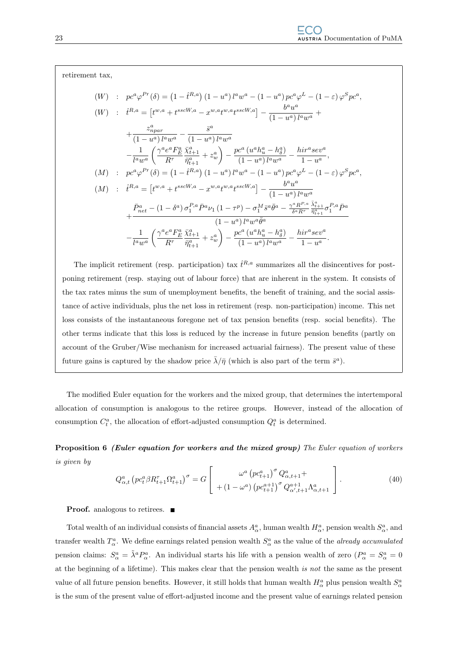retirement tax,

$$
(W) : pc^{a} \varphi^{P}{}'(\delta) = (1 - \hat{t}^{R,a}) (1 - u^{a}) l^{a} w^{a} - (1 - u^{a}) pc^{a} \varphi^{L} - (1 - \varepsilon) \varphi^{S} pc^{a},
$$
  
\n
$$
(W) : \hat{t}^{R,a} = [t^{w,a} + t^{sscW,a} - x^{w,a} t^{w,a} t^{sscW,a}] - \frac{b^{a} u^{a}}{(1 - u^{a}) l^{a} w^{a}} + \frac{z_{npar}^{a}}{(1 - u^{a}) l^{a} w^{a}} - \frac{\bar{s}^{a}}{(1 - u^{a}) l^{a} w^{a}} (1 - u^{a}) l^{a} w^{a}
$$
  
\n
$$
- \frac{1}{l^{a} w^{a}} \left( \frac{\gamma^{a} e^{a} F_{E}^{a} \bar{x}_{t+1}^{a}}{R^{\tau}} + z_{w}^{a} \right) - \frac{pc^{a} (u^{a} h_{u}^{a} - h_{\delta}^{a})}{(1 - u^{a}) l^{a} w^{a}} - \frac{hir^{a} sev^{a}}{1 - u^{a}},
$$
  
\n
$$
(M) : pc^{a} \varphi^{P}{}'(\delta) = (1 - \hat{t}^{R,a}) (1 - u^{a}) l^{a} w^{a} - (1 - u^{a}) pc^{a} \varphi^{L} - (1 - \varepsilon) \varphi^{S} pc^{a},
$$
  
\n
$$
(M) : \hat{t}^{R,a} = [t^{w,a} + t^{sscW,a} - x^{w,a} t^{w,a} t^{sscW,a}] - \frac{b^{a} u^{a}}{(1 - u^{a}) l^{a} w^{a}}
$$
  
\n
$$
+ \frac{\bar{P}_{net}^{a} - (1 - \delta^{a}) \sigma_{1}^{P,a} \bar{P}^{a} \nu_{1} (1 - \tau^{p}) - \sigma_{1}^{M} \bar{s}^{a} \bar{\theta}^{a} - \frac{\gamma^{a} R^{P,a}}{\delta^{a} R^{\tau}} \frac{\bar{\lambda}_{t+1}^{a}}{\bar{\eta}_{t+1}^{a}} \sigma_{1}^{P,a} \bar{P}^{a}
$$
  
\n
$$
- \frac{1}{l^{a} w^{a}} \left( \frac{\gamma^{a} e^{a} F_{E}^{a} \bar{x}_{t+1}^{a}}
$$

The implicit retirement (resp. participation) tax  $\hat{t}^{R,a}$  summarizes all the disincentives for postponing retirement (resp. staying out of labour force) that are inherent in the system. It consists of the tax rates minus the sum of unemployment benefits, the benefit of training, and the social assistance of active individuals, plus the net loss in retirement (resp. non-participation) income. This net loss consists of the instantaneous foregone net of tax pension benefits (resp. social benefits). The other terms indicate that this loss is reduced by the increase in future pension benefits (partly on account of the Gruber/Wise mechanism for increased actuarial fairness). The present value of these future gains is captured by the shadow price  $\bar{\lambda}/\bar{\eta}$  (which is also part of the term  $\bar{s}^a$ ).

The modified Euler equation for the workers and the mixed group, that determines the intertemporal allocation of consumption is analogous to the retiree groups. However, instead of the allocation of consumption  $C_t^a$ , the allocation of effort-adjusted consumption  $Q_t^a$  is determined.

Proposition 6 (Euler equation for workers and the mixed group) The Euler equation of workers is given by

$$
Q_{\alpha,t}^{a} \left( pc_{t}^{a} \beta R_{t+1}^{\tau} \Omega_{t+1}^{a} \right)^{\sigma} = G \left[ \begin{array}{c} \omega^{a} \left( pc_{t+1}^{a} \right)^{\sigma} Q_{\alpha,t+1}^{a} + \\ + \left( 1 - \omega^{a} \right) \left( pc_{t+1}^{a+1} \right)^{\sigma} Q_{\alpha',t+1}^{a+1} \Lambda_{\alpha,t+1}^{a} \end{array} \right]. \tag{40}
$$

**Proof.** analogous to retirees.

Total wealth of an individual consists of financial assets  $A^a_\alpha$ , human wealth  $H^a_\alpha$ , pension wealth  $S^a_\alpha$ , and transfer wealth  $T^a_\alpha$ . We define earnings related pension wealth  $S^a_\alpha$  as the value of the *already accumulated* pension claims:  $S^a_\alpha = \tilde{\lambda}^a P^a_\alpha$ . An individual starts his life with a pension wealth of zero  $(P^a_\alpha = S^a_\alpha = 0)$ at the beginning of a lifetime). This makes clear that the pension wealth is not the same as the present value of all future pension benefits. However, it still holds that human wealth  $H^a_\alpha$  plus pension wealth  $S^a_\alpha$ is the sum of the present value of effort-adjusted income and the present value of earnings related pension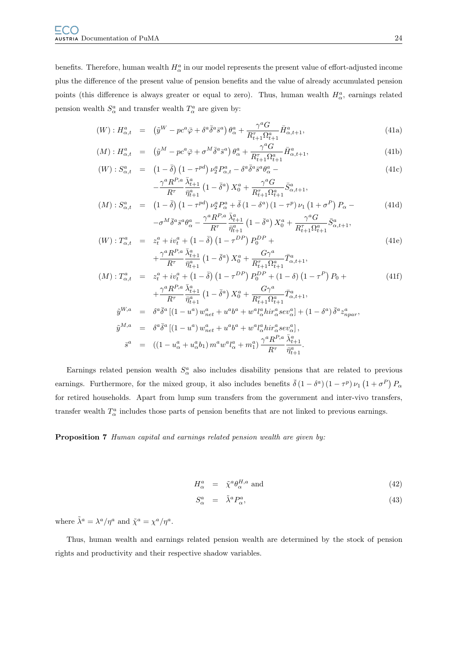benefits. Therefore, human wealth  $H^a_\alpha$  in our model represents the present value of effort-adjusted income plus the difference of the present value of pension benefits and the value of already accumulated pension points (this difference is always greater or equal to zero). Thus, human wealth  $H^a_\alpha$ , earnings related pension wealth  $S^a_\alpha$  and transfer wealth  $T^a_\alpha$  are given by:

<span id="page-27-0"></span>
$$
(W): H^a_{\alpha,t} = (\tilde{y}^W - pc^a \bar{\varphi} + \delta^a \bar{\delta}^a \bar{s}^a) \theta^a_{\alpha} + \frac{\gamma^a G}{R^{\tau}_{t+1} \Omega^a_{t+1}} \bar{H}^a_{\alpha,t+1},
$$
\n(41a)

$$
(M): H^{a}_{\alpha,t} = (\tilde{y}^M - pc^a \bar{\varphi} + \sigma^M \bar{\delta}^a \bar{s}^a) \theta^a_{\alpha} + \frac{\gamma^a G}{R^{\tau}_{t+1} \Omega^a_{t+1}} \bar{H}^a_{\alpha,t+1},
$$
\n(41b)

$$
(W): S^a_{\alpha,t} = \left(1 - \bar{\delta}\right) \left(1 - \tau^{pd}\right) \nu^a_2 P^a_{\alpha,t} - \delta^a \bar{\delta}^a \bar{s}^a \theta^a_\alpha - \frac{\gamma^a R^{P,a}}{R^{\tau}} \frac{\bar{\lambda}^a_{t+1}}{\bar{\eta}^a_{t+1}} \left(1 - \bar{\delta}^a\right) X^a_0 + \frac{\gamma^a G}{R^{\tau}_{t+1} \Omega^a_{t+1}} \bar{S}^a_{\alpha,t+1},\tag{41c}
$$

$$
(M): S^a_{\alpha,t} = (1 - \bar{\delta}) \left(1 - \tau^{pd}\right) \nu_2^a P^a_{\alpha} + \bar{\delta} \left(1 - \delta^a\right) \left(1 - \tau^p\right) \nu_1 \left(1 + \sigma^P\right) P_{\alpha} -
$$
\n
$$
- \sigma^M \bar{\delta}^a \bar{s}^a \theta^a_{\alpha} - \frac{\gamma^a R^{P,a}}{R^T} \frac{\bar{\lambda}^a_{t+1}}{\bar{s}^a} \left(1 - \bar{\delta}^a\right) X^a_0 + \frac{\gamma^a G}{R^T \Omega^a} \bar{S}^a_{\alpha,t+1},
$$
\n
$$
(41d)
$$

$$
(W): T_{\alpha,t}^{a} = z_{t}^{a} + iv_{t}^{a} + (1 - \bar{\delta}) \left(1 - \tau^{DP}\right) P_{0}^{DP} + + \frac{\gamma^{a} R_{t}^{P,a}}{R^{\tau}} \frac{\bar{\lambda}_{t+1}^{a}}{\bar{\eta}_{t+1}^{a}} \left(1 - \bar{\delta}^{a}\right) X_{0}^{a} + \frac{G\gamma^{a}}{R_{t+1}^{\tau} \Omega_{t+1}^{a}} \bar{T}_{\alpha,t+1}^{a}, \tag{41e}
$$

$$
(M): T_{\alpha,t}^{a} = z_{t}^{a} + iv_{t}^{a} + (1 - \bar{\delta}) (1 - \tau^{DP}) P_{0}^{DP} + (1 - \delta) (1 - \tau^{P}) P_{0} +
$$
  
\n
$$
+ \frac{\gamma^{a} R^{P,a}}{R^{\tau}} \frac{\bar{\lambda}_{t+1}^{a}}{\bar{\eta}_{t+1}^{a}} (1 - \bar{\delta}^{a}) X_{0}^{a} + \frac{G\gamma^{a}}{R_{t+1}^{\tau} \Omega_{t+1}^{a}} \bar{T}_{\alpha,t+1}^{a},
$$
  
\n
$$
\tilde{y}^{W,a} = \delta^{a} \bar{\delta}^{a} [(1 - u^{a}) w_{net}^{a} + u^{a} b^{a} + w^{a} l_{\alpha}^{a} h i r_{\alpha}^{a} s e v_{\alpha}^{a}] + (1 - \delta^{a}) \bar{\delta}^{a} z_{npar}^{a},
$$
  
\n
$$
\tilde{y}^{M,a} = \delta^{a} \bar{\delta}^{a} [(1 - u^{a}) w_{net}^{a} + u^{a} b^{a} + w^{a} l_{\alpha}^{a} h i r_{\alpha}^{a} s e v_{\alpha}^{a}],
$$
  
\n
$$
\bar{s}^{a} = ((1 - u_{\alpha}^{a} + u_{\alpha}^{a} b_{1}) m^{a} w^{a} l_{\alpha}^{a} + m_{1}^{a}) \frac{\gamma^{a} R^{P,a}}{R^{\tau}} \frac{\bar{\lambda}_{t+1}^{a}}{\bar{\eta}_{t+1}^{a}}.
$$

Earnings related pension wealth  $S^a_\alpha$  also includes disability pensions that are related to previous earnings. Furthermore, for the mixed group, it also includes benefits  $\bar{\delta} (1 - \delta^a) (1 - \tau^p) \nu_1 (1 + \sigma^P) P_\alpha$ for retired households. Apart from lump sum transfers from the government and inter-vivo transfers, transfer wealth  $T^a_\alpha$  includes those parts of pension benefits that are not linked to previous earnings.

#### Proposition 7 Human capital and earnings related pension wealth are given by:

S

$$
H_{\alpha}^{a} = \tilde{\chi}^{a} \theta_{\alpha}^{H,a} \text{ and } \tag{42}
$$

$$
S^a_\alpha = \tilde{\lambda}^a P^a_\alpha, \tag{43}
$$

where  $\tilde{\lambda}^a = \lambda^a / \eta^a$  and  $\tilde{\chi}^a = \chi^a / \eta^a$ .

Thus, human wealth and earnings related pension wealth are determined by the stock of pension rights and productivity and their respective shadow variables.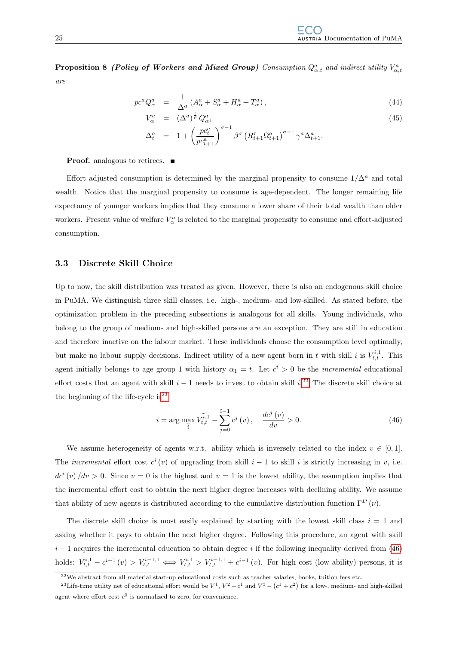**Proposition 8 (Policy of Workers and Mixed Group)** Consumption  $Q_{\alpha,t}^a$  and indirect utility  $V_{\alpha,t}^a$ are

$$
pc^a Q_\alpha^a = \frac{1}{\Delta^a} \left( A_\alpha^a + S_\alpha^a + H_\alpha^a + T_\alpha^a \right), \tag{44}
$$

$$
V_{\alpha}^{a} = (\Delta^{a})^{\frac{1}{\rho}} Q_{\alpha}^{a},
$$
  
\n
$$
\Delta_{t}^{a} = 1 + \left(\frac{pc_{t}^{a}}{pc_{t+1}^{a}}\right)^{\sigma-1} \beta^{\sigma} \left(R_{t+1}^{\tau} \Omega_{t+1}^{a}\right)^{\sigma-1} \gamma^{a} \Delta_{t+1}^{a}.
$$
\n(45)

**Proof.** analogous to retirees. ■

Effort adjusted consumption is determined by the marginal propensity to consume  $1/\Delta^a$  and total wealth. Notice that the marginal propensity to consume is age-dependent. The longer remaining life expectancy of younger workers implies that they consume a lower share of their total wealth than older workers. Present value of welfare  $V^a_{\alpha}$  is related to the marginal propensity to consume and effort-adjusted consumption.

#### <span id="page-28-0"></span>3.3 Discrete Skill Choice

Up to now, the skill distribution was treated as given. However, there is also an endogenous skill choice in PuMA. We distinguish three skill classes, i.e. high-, medium- and low-skilled. As stated before, the optimization problem in the preceding subsections is analogous for all skills. Young individuals, who belong to the group of medium- and high-skilled persons are an exception. They are still in education and therefore inactive on the labour market. These individuals choose the consumption level optimally, but make no labour supply decisions. Indirect utility of a new agent born in t with skill i is  $V_{t,t}^{i,1}$ . This agent initially belongs to age group 1 with history  $\alpha_1 = t$ . Let  $c^i > 0$  be the *incremental* educational effort costs that an agent with skill  $i - 1$  needs to invest to obtain skill  $i^{22}$  $i^{22}$  $i^{22}$ . The discrete skill choice at the beginning of the life-cycle is  $23$ 

<span id="page-28-3"></span>
$$
i = \arg\max_{\tilde{i}} V_{t,t}^{\tilde{i},1} - \sum_{j=0}^{\tilde{i}-1} c^j(v) , \quad \frac{dc^j(v)}{dv} > 0.
$$
 (46)

We assume heterogeneity of agents w.r.t. ability which is inversely related to the index  $v \in [0,1]$ . The incremental effort cost  $c^i(v)$  of upgrading from skill  $i-1$  to skill i is strictly increasing in v, i.e.  $dc^{i}(v)/dv > 0$ . Since  $v = 0$  is the highest and  $v = 1$  is the lowest ability, the assumption implies that the incremental effort cost to obtain the next higher degree increases with declining ability. We assume that ability of new agents is distributed according to the cumulative distribution function  $\Gamma^D(\nu)$ .

The discrete skill choice is most easily explained by starting with the lowest skill class  $i = 1$  and asking whether it pays to obtain the next higher degree. Following this procedure, an agent with skill  $i-1$  acquires the incremental education to obtain degree i if the following inequality derived from [\(46\)](#page-28-3) holds:  $V_{t,t}^{i,1} - c^{i-1}(v) > V_{t,t}^{i-1,1} \Longleftrightarrow V_{t,t}^{i,1} > V_{t,t}^{i-1,1} + c^{i-1}(v)$ . For high cost (low ability) persons, it is

<span id="page-28-2"></span><span id="page-28-1"></span> $^{22}$ We abstract from all material start-up educational costs such as teacher salaries, books, tuition fees etc.

<sup>&</sup>lt;sup>23</sup>Life-time utility net of educational effort would be  $V^1$ ,  $V^2 - c^1$  and  $V^3 - (c^1 + c^2)$  for a low-, medium- and high-skilled agent where effort cost  $c^0$  is normalized to zero, for convenience.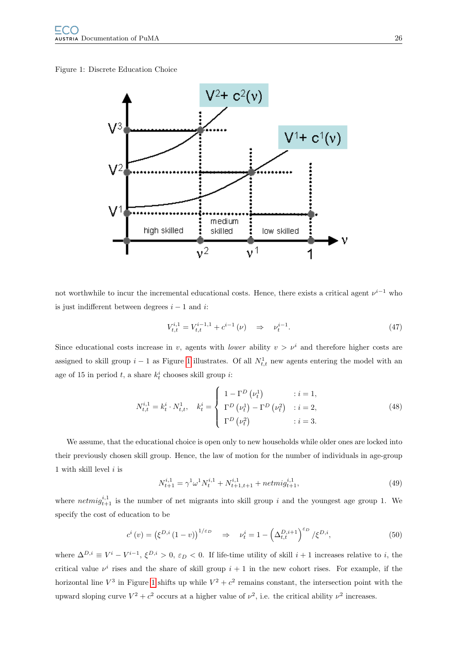#### <span id="page-29-0"></span>Figure 1: Discrete Education Choice



not worthwhile to incur the incremental educational costs. Hence, there exists a critical agent  $\nu^{i-1}$  who is just indifferent between degrees  $i - 1$  and i:

$$
V_{t,t}^{i,1} = V_{t,t}^{i-1,1} + c^{i-1}(\nu) \quad \Rightarrow \quad \nu_t^{i-1}.
$$
 (47)

Since educational costs increase in v, agents with *lower* ability  $v > v^i$  and therefore higher costs are assigned to skill group  $i-1$  as Figure [1](#page-29-0) illustrates. Of all  $N_{t,t}^1$  new agents entering the model with an age of 15 in period  $t$ , a share  $k_t^i$  chooses skill group  $i$ :

$$
N_{t,t}^{i,1} = k_t^i \cdot N_{t,t}^1, \quad k_t^i = \begin{cases} 1 - \Gamma^D(\nu_t^1) & : i = 1, \\ \Gamma^D(\nu_t^1) - \Gamma^D(\nu_t^2) & : i = 2, \\ \Gamma^D(\nu_t^2) & : i = 3. \end{cases}
$$
(48)

We assume, that the educational choice is open only to new households while older ones are locked into their previously chosen skill group. Hence, the law of motion for the number of individuals in age-group 1 with skill level  $i$  is

$$
N_{t+1}^{i,1} = \gamma^1 \omega^1 N_t^{i,1} + N_{t+1,t+1}^{i,1} + netm i g_{t+1}^{i,1},\tag{49}
$$

where  $netmig_{t+1}^{i,1}$  is the number of net migrants into skill group i and the youngest age group 1. We specify the cost of education to be

$$
c^{i}(v) = (\xi^{D,i}(1-v))^{1/\varepsilon_D} \Rightarrow \nu_t^{i} = 1 - \left(\Delta_{t,t}^{D,i+1}\right)^{\varepsilon_D} / \xi^{D,i}, \tag{50}
$$

where  $\Delta^{D,i} \equiv V^i - V^{i-1}, \xi^{D,i} > 0, \epsilon_D < 0$ . If life-time utility of skill  $i+1$  increases relative to i, the critical value  $\nu^i$  rises and the share of skill group  $i+1$  in the new cohort rises. For example, if the horizontal line  $V^3$  in Figure [1](#page-29-0) shifts up while  $V^2 + c^2$  remains constant, the intersection point with the upward sloping curve  $V^2 + c^2$  occurs at a higher value of  $\nu^2$ , i.e. the critical ability  $\nu^2$  increases.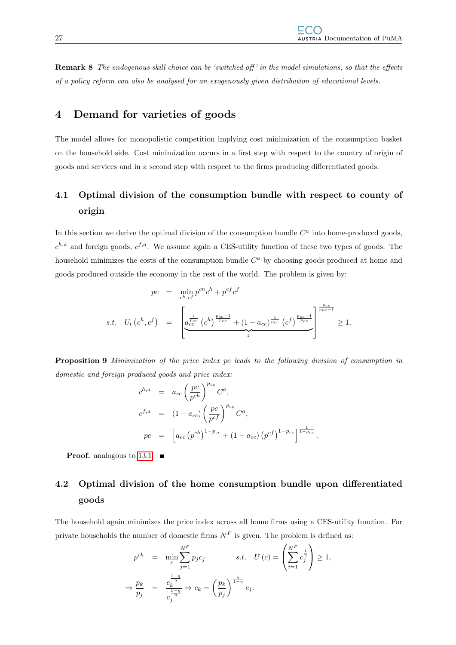Remark 8 The endogenous skill choice can be 'switched off' in the model simulations, so that the effects of a policy reform can also be analysed for an exogenously given distribution of educational levels.

## <span id="page-30-0"></span>4 Demand for varieties of goods

The model allows for monopolistic competition implying cost minimization of the consumption basket on the household side. Cost minimization occurs in a first step with respect to the country of origin of goods and services and in a second step with respect to the firms producing differentiated goods.

## <span id="page-30-1"></span>4.1 Optimal division of the consumption bundle with respect to county of origin

In this section we derive the optimal division of the consumption bundle  $C<sup>a</sup>$  into home-produced goods,  $c^{h,a}$  and foreign goods,  $c^{f,a}$ . We assume again a CES-utility function of these two types of goods. The household minimizes the costs of the consumption bundle  $C<sup>a</sup>$  by choosing goods produced at home and goods produced outside the economy in the rest of the world. The problem is given by:

$$
pc = \min_{c^h, c^f} p^{ch} c^h + p^{cf} c^f
$$
  
s.t.  $U_t (c^h, c^f) = \left[ \underbrace{a_{cc}^{\frac{1}{p_{cc}}} (c^h)^{\frac{p_{cc}-1}{p_{cc}}} + (1 - a_{cc})^{\frac{1}{p_{cc}}} (c^f)^{\frac{p_{cc}-1}{p_{cc}}}}_{x} \right]^{p_{cc}-1} \ge 1.$ 

Proposition 9 Minimization of the price index pc leads to the following division of consumption in domestic and foreign produced goods and price index:

$$
c^{h,a} = a_{cc} \left(\frac{pc}{pc^h}\right)^{p_{cc}} C^a,
$$
  
\n
$$
c^{f,a} = (1 - a_{cc}) \left(\frac{pc}{pc^f}\right)^{p_{cc}} C^a,
$$
  
\n
$$
pc = \left[a_{cc} (p^{ch})^{1 - p_{cc}} + (1 - a_{cc}) (p^{cf})^{1 - p_{cc}}\right]^{\frac{1}{1 - p_{cc}}}.
$$

**Proof.** analogous to [13.1.](#page-78-1)  $\blacksquare$ 

# <span id="page-30-2"></span>4.2 Optimal division of the home consumption bundle upon differentiated goods

The household again minimizes the price index across all home firms using a CES-utility function. For private households the number of domestic firms  $N<sup>F</sup>$  is given. The problem is defined as:

$$
p^{ch} = \min_{\overline{c}} \sum_{j=1}^{N^{F}} p_{j} c_{j} \qquad s.t. \quad U(\overline{c}) = \left( \sum_{i=1}^{N^{F}} c_{j}^{\frac{1}{\overline{r}}} \right) \ge 1,
$$
  

$$
\Rightarrow \frac{p_{k}}{p_{j}} = \frac{c_{k}^{\frac{1-\eta}{\eta}}}{c_{j}^{\frac{1-\eta}{\eta}}} \Rightarrow c_{k} = \left( \frac{p_{k}}{p_{j}} \right)^{\frac{\eta}{1-\eta}} c_{j}.
$$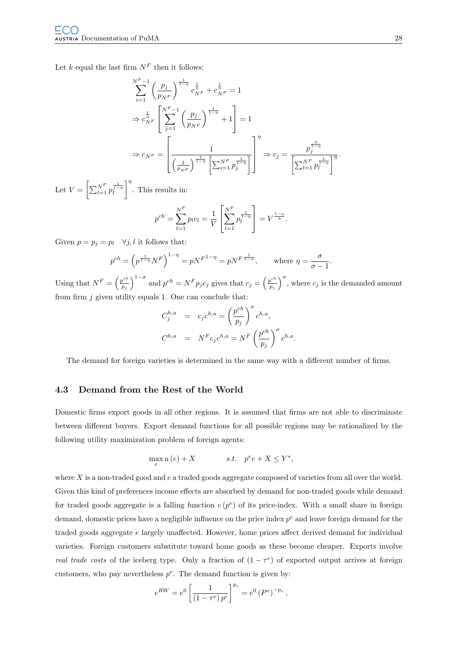Let k equal the last firm  $N^F$  then it follows:

$$
\sum_{i=1}^{N^{F}-1} \left(\frac{p_{j}}{p_{N^{F}}}\right)^{\frac{1}{1-\eta}} c_{N^{F}}^{\frac{1}{\eta}} + c_{N^{F}}^{\frac{1}{\eta}} = 1
$$
\n
$$
\Rightarrow c_{N^{F}}^{\frac{1}{\eta}} \left[\sum_{j=1}^{N^{F}-1} \left(\frac{p_{j}}{p_{N^{F}}}\right)^{\frac{1}{1-\eta}} + 1\right] = 1
$$
\n
$$
\Rightarrow c_{N^{F}} = \left[\frac{1}{\left(\frac{1}{p_{N^{F}}}\right)^{\frac{1}{1-\eta}}} \left[\sum_{i=1}^{N^{F}} p_{j}^{\frac{1}{1-\eta}}\right] \Rightarrow c_{j} = \frac{p_{j}^{\frac{\eta}{1-\eta}}}{\left[\sum_{l=1}^{N^{F}} p_{l}^{\frac{1}{1-\eta}}\right]^{\eta}}.
$$

Let  $V = \left[ \sum_{l=1}^{N^F} p_l^{\frac{1}{1-\eta}} \right]$  $\Big]$ <sup>"</sup>. This results in:

$$
p^{ch} = \sum_{l=1}^{N^F} p_l c_l = \frac{1}{V} \left[ \sum_{l=1}^{N^F} p_l^{\frac{1}{1-\eta}} \right] = V^{\frac{1-\eta}{\eta}}.
$$

Given  $p = p_j = p_l \quad \forall j, l$  it follows that:

$$
p^{ch} = \left(p^{\frac{1}{1-\eta}}N^F\right)^{1-\eta} = pN^{F^{1-\eta}} = pN^{F^{\frac{1}{1-\sigma}}}, \quad \text{where } \eta = \frac{\sigma}{\sigma - 1}.
$$

Using that  $N^F = \left(\frac{p^{ch}}{R}\right)^2$  $\left(p^{ch}_{p_j}\right)^{1-\sigma}$  and  $p^{ch} = N^F p_j c_j$  gives that  $c_j = \left(\frac{p^{ch}}{p_j}\right)^{1-\sigma}$  $\left(\frac{p^{ch}}{p_j}\right)^{\sigma}$ , where  $c_j$  is the demanded amount from firm  $j$  given utility equals 1. One can conclude that:

$$
C_j^{h,a} = c_j c^{h,a} = \left(\frac{p^{ch}}{p_j}\right)^{\sigma} c^{h,a},
$$
  

$$
C^{h,a} = N^F c_j c^{h,a} = N^F \left(\frac{p^{ch}}{p_j}\right)^{\sigma} c^{h,a}
$$

.

The demand for foreign varieties is determined in the same way with a different number of firms.

## <span id="page-31-0"></span>4.3 Demand from the Rest of the World

Domestic firms export goods in all other regions. It is assumed that firms are not able to discriminate between different buyers. Export demand functions for all possible regions may be rationalized by the following utility maximization problem of foreign agents:

$$
\max_e u\left(e\right)+X \qquad \qquad s.t. \quad p^ee+X\leq Y^*,
$$

where  $X$  is a non-traded good and  $e$  a traded goods aggregate composed of varieties from all over the world. Given this kind of preferences income effects are absorbed by demand for non-traded goods while demand for traded goods aggregate is a falling function  $e(p^e)$  of its price-index. With a small share in foreign demand, domestic prices have a negligible influence on the price index  $p^e$  and leave foreign demand for the traded goods aggregate e largely unaffected. However, home prices affect derived demand for individual varieties. Foreign customers substitute toward home goods as these become cheaper. Exports involve real trade costs of the iceberg type. Only a fraction of  $(1 - \tau^e)$  of exported output arrives at foreign customers, who pay nevertheless  $p^e$ . The demand function is given by:

$$
e^{RW} = e^0 \left[ \frac{1}{(1 - \tau^e) p^e} \right]^{p_e} = e^0 (P^e)^{-p_e},
$$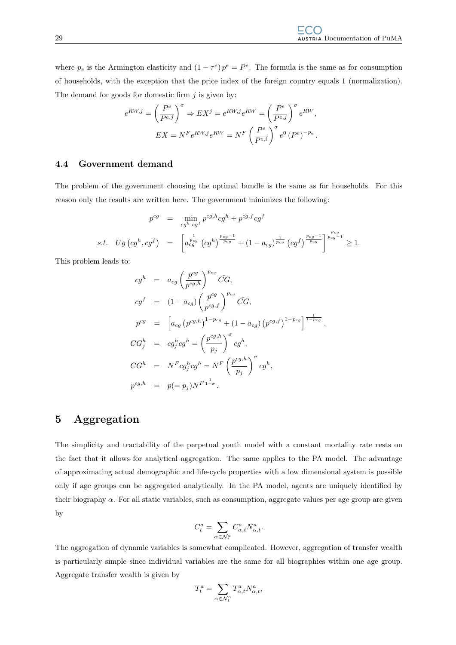where  $p_e$  is the Armington elasticity and  $(1 - \tau^e) p^e = P^e$ . The formula is the same as for consumption of households, with the exception that the price index of the foreign country equals 1 (normalization). The demand for goods for domestic firm  $j$  is given by:

$$
e^{RW,j} = \left(\frac{P^e}{P^{e,j}}\right)^{\sigma} \Rightarrow EX^j = e^{RW,j}e^{RW} = \left(\frac{P^e}{P^{e,j}}\right)^{\sigma}e^{RW},
$$

$$
EX = N^F e^{RW,j}e^{RW} = N^F \left(\frac{P^e}{P^{e,i}}\right)^{\sigma} e^0 (P^e)^{-p_e}.
$$

#### <span id="page-32-0"></span>4.4 Government demand

The problem of the government choosing the optimal bundle is the same as for households. For this reason only the results are written here. The government minimizes the following:

$$
p^{cg} = \min_{cg^h, cg^f} p^{cg,h} cg^h + p^{cg,f} cg^f
$$
  
s.t.  $Ug\left(cg^h, cg^f\right) = \left[a_{cg}^{\frac{1}{p_{cg}}} \left(cg^h\right)^{\frac{p_{cg}-1}{p_{cg}}} + (1 - a_{cg})^{\frac{1}{p_{cg}}} \left(cg^f\right)^{\frac{p_{cg}-1}{p_{cg}}} \right]^{\frac{p_{cg}}{p_{cg}-1}} \ge 1.$ 

This problem leads to:

$$
cg^h = a_{cg} \left(\frac{p^{cg}}{p^{cg,h}}\right)^{p_{cg}} \bar{C}G,
$$
  
\n
$$
cg^f = (1 - a_{cg}) \left(\frac{p^{cg}}{p^{cg,f}}\right)^{p_{cg}} \bar{C}G,
$$
  
\n
$$
p^{cg} = \left[a_{cg} (p^{cg,h})^{1-p_{cg}} + (1 - a_{cg}) (p^{cg,f})^{1-p_{cg}}\right]^{\frac{1}{1-p_{cg}}},
$$
  
\n
$$
CG^h_j = cg^h_j cg^h = \left(\frac{p^{cg,h}}{p_j}\right)^\sigma cg^h,
$$
  
\n
$$
CG^h = N^Fcg^h_jcg^h = N^F \left(\frac{p^{cg,h}}{p_j}\right)^\sigma cg^h,
$$
  
\n
$$
p^{cg,h} = p(=p_j)N^{F\frac{1}{1-\sigma}}.
$$

## <span id="page-32-1"></span>5 Aggregation

The simplicity and tractability of the perpetual youth model with a constant mortality rate rests on the fact that it allows for analytical aggregation. The same applies to the PA model. The advantage of approximating actual demographic and life-cycle properties with a low dimensional system is possible only if age groups can be aggregated analytically. In the PA model, agents are uniquely identified by their biography  $\alpha$ . For all static variables, such as consumption, aggregate values per age group are given by

$$
C^a_t = \sum_{\alpha \in \mathcal{N}^a_t} C^a_{\alpha,t} N^a_{\alpha,t}.
$$

The aggregation of dynamic variables is somewhat complicated. However, aggregation of transfer wealth is particularly simple since individual variables are the same for all biographies within one age group. Aggregate transfer wealth is given by

$$
T^a_t = \sum_{\alpha \in \mathcal{N}^a_t} T^a_{\alpha,t} N^a_{\alpha,t},
$$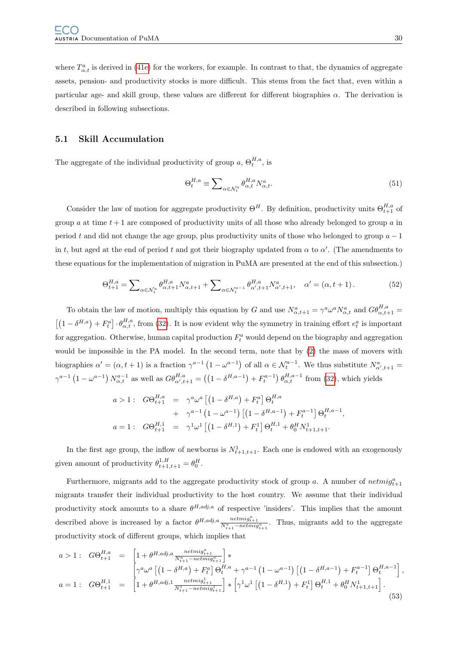where  $T_{\alpha,t}^a$  is derived in [\(41e\)](#page-27-0) for the workers, for example. In contrast to that, the dynamics of aggregate assets, pension- and productivity stocks is more difficult. This stems from the fact that, even within a particular age- and skill group, these values are different for different biographies  $\alpha$ . The derivation is described in following subsections.

#### <span id="page-33-0"></span>5.1 Skill Accumulation

The aggregate of the individual productivity of group  $a, \Theta_t^{H,a}$ , is

$$
\Theta_t^{H,a} \equiv \sum_{\alpha \in \mathcal{N}_t^a} \theta_{\alpha,t}^{H,a} N_{\alpha,t}^a.
$$
\n(51)

Consider the law of motion for aggregate productivity  $\Theta^H$ . By definition, productivity units  $\Theta^{H,a}_{t+1}$  of group a at time  $t + 1$  are composed of productivity units of all those who already belonged to group a in period t and did not change the age group, plus productivity units of those who belonged to group  $a - 1$ in t, but aged at the end of period t and got their biography updated from  $\alpha$  to  $\alpha'$ . (The amendments to these equations for the implementation of migration in PuMA are presented at the end of this subsection.)

$$
\Theta_{t+1}^{H,a} = \sum_{\alpha \in \mathcal{N}_t^a} \theta_{\alpha, t+1}^{H,a} N_{\alpha, t+1}^a + \sum_{\alpha \in \mathcal{N}_t^{a-1}} \theta_{\alpha', t+1}^{H,a} N_{\alpha', t+1}^a, \quad \alpha' = (\alpha, t+1). \tag{52}
$$

To obtain the law of motion, multiply this equation by G and use  $N_{\alpha,t+1}^a = \gamma^a \omega^a N_{\alpha,t}^a$  and  $G \theta_{\alpha,t+1}^{H,a} =$  $\left[\left(1-\delta^{H,a}\right)+F_t^a\right]\cdot\theta_{\alpha,t}^{H,a}$ , from [\(32\)](#page-18-6). It is now evident why the symmetry in training effort  $e_t^a$  is important for aggregation. Otherwise, human capital production  $F_t^a$  would depend on the biography and aggregation would be impossible in the PA model. In the second term, note that by [\(2\)](#page-8-1) the mass of movers with biographies  $\alpha' = (\alpha, t + 1)$  is a fraction  $\gamma^{a-1} (1 - \omega^{a-1})$  of all  $\alpha \in \mathcal{N}_t^{a-1}$ . We thus substitute  $N_{\alpha', t+1}^a =$  $\gamma^{a-1} (1 - \omega^{a-1}) N_{\alpha,t}^{a-1}$  as well as  $G \theta_{\alpha',t+1}^{H,a} = ((1 - \delta^{H,a-1}) + F_t^{a-1}) \theta_{\alpha,t}^{H,a-1}$  from [\(32\)](#page-18-6), which yields

$$
a > 1: \quad G\Theta_{t+1}^{H,a} = \gamma^a \omega^a \left[ \left( 1 - \delta^{H,a} \right) + F_t^a \right] \Theta_t^{H,a}
$$
  
+ 
$$
\gamma^{a-1} \left( 1 - \omega^{a-1} \right) \left[ \left( 1 - \delta^{H,a-1} \right) + F_t^{a-1} \right] \Theta_t^{H,a-1},
$$
  

$$
a = 1: \quad G\Theta_{t+1}^{H,1} = \gamma^1 \omega^1 \left[ \left( 1 - \delta^{H,1} \right) + F_t^1 \right] \Theta_t^{H,1} + \theta_0^H N_{t+1,t+1}^1.
$$

In the first age group, the inflow of newborns is  $N_{t+1,t+1}^1$ . Each one is endowed with an exogenously given amount of productivity  $\theta_{t+1,t+1}^{1,H} = \theta_0^H$ .

Furthermore, migrants add to the aggregate productivity stock of group a. A number of  $netmig_{t+1}^a$ migrants transfer their individual productivity to the host country. We assume that their individual productivity stock amounts to a share  $\theta^{H,adj,a}$  of respective 'insiders'. This implies that the amount described above is increased by a factor  $\theta^{H,adj,a} \frac{netmig_{t+1}^a}{N_{t+1}^a - netmig_{t+1}^a}$ . Thus, migrants add to the aggregate productivity stock of different groups, which implies that

$$
a > 1: \quad G\Theta_{t+1}^{H,a} = \begin{bmatrix} 1 + \theta^{H,adj,a} \frac{netmig_{t+1}^a}{N_{t+1}^a - netmig_{t+1}^a} \end{bmatrix} * \n a = 1: \quad G\Theta_{t+1}^{H,1} = \begin{bmatrix} \gamma^a \omega^a \left[ \left( 1 - \delta^{H,a} \right) + F_t^a \right] \Theta_t^{H,a} + \gamma^{a-1} \left( 1 - \omega^{a-1} \right) \left[ \left( 1 - \delta^{H,a-1} \right) + F_t^{a-1} \right] \Theta_t^{H,a-1} \end{bmatrix}, \n a = 1: \quad G\Theta_{t+1}^{H,1} = \begin{bmatrix} 1 + \theta^{H,adj,1} \frac{netmig_{t+1}^a}{N_{t+1}^1 - netmig_{t+1}^a} \end{bmatrix} * \begin{bmatrix} \gamma^1 \omega^1 \left[ \left( 1 - \delta^{H,1} \right) + F_t^1 \right] \Theta_t^{H,1} + \theta_0^H N_{t+1,t+1}^1 \end{bmatrix}.
$$
\n
$$
(53)
$$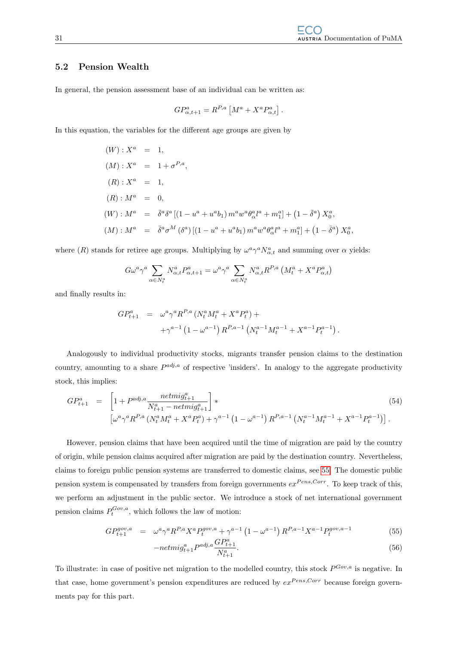#### <span id="page-34-0"></span>5.2 Pension Wealth

In general, the pension assessment base of an individual can be written as:

$$
GP_{\alpha,t+1}^a = R^{P,a} \left[ M^a + X^a P_{\alpha,t}^a \right].
$$

In this equation, the variables for the different age groups are given by

$$
(W): X^{a} = 1,
$$
  
\n
$$
(M): X^{a} = 1 + \sigma^{P,a},
$$
  
\n
$$
(R): X^{a} = 1,
$$
  
\n
$$
(R): M^{a} = 0,
$$
  
\n
$$
(W): M^{a} = \bar{\delta}^{a} \delta^{a} [(1 - u^{a} + u^{a} b_{1}) m^{a} w^{a} \theta_{\alpha}^{a} l^{a} + m_{1}^{a}] + (1 - \bar{\delta}^{a}) X_{0}^{a},
$$
  
\n
$$
(M): M^{a} = \bar{\delta}^{a} \sigma^{M} (\delta^{a}) [(1 - u^{a} + u^{a} b_{1}) m^{a} w^{a} \theta_{\alpha}^{a} l^{a} + m_{1}^{a}] + (1 - \bar{\delta}^{a}) X_{0}^{a},
$$

where (R) stands for retiree age groups. Multiplying by  $\omega^a \gamma^a N_{\alpha,t}^a$  and summing over  $\alpha$  yields:

$$
G\omega^a \gamma^a \sum_{\alpha \in N_t^a} N_{\alpha,t}^a P_{\alpha,t+1}^a = \omega^a \gamma^a \sum_{\alpha \in N_t^a} N_{\alpha,t}^a R^{P,a} \left( M_t^a + X^a P_{\alpha,t}^a \right)
$$

and finally results in:

$$
GP_{t+1}^{a} = \omega^{a} \gamma^{a} R^{P,a} (N_{t}^{a} M_{t}^{a} + X^{a} P_{t}^{a}) +
$$
  
+
$$
\gamma^{a-1} (1 - \omega^{a-1}) R^{P,a-1} (N_{t}^{a-1} M_{t}^{a-1} + X^{a-1} P_{t}^{a-1}).
$$

Analogously to individual productivity stocks, migrants transfer pension claims to the destination country, amounting to a share  $P^{adj,a}$  of respective 'insiders'. In analogy to the aggregate productivity stock, this implies:

<span id="page-34-1"></span>
$$
GP_{t+1}^{a} = \left[1 + P^{adj,a} \frac{netmig_{t+1}^{a}}{N_{t+1}^{a} - netmig_{t+1}^{a}}\right] * \left[\omega^{a} \gamma^{a} R^{P,a} \left(N_{t}^{a} M_{t}^{a} + X^{a} P_{t}^{a}\right) + \gamma^{a-1} \left(1 - \omega^{a-1}\right) R^{P,a-1} \left(N_{t}^{a-1} M_{t}^{a-1} + X^{a-1} P_{t}^{a-1}\right)\right].
$$
\n(54)

However, pension claims that have been acquired until the time of migration are paid by the country of origin, while pension claims acquired after migration are paid by the destination country. Nevertheless, claims to foreign public pension systems are transferred to domestic claims, see [55.](#page-34-1) The domestic public pension system is compensated by transfers from foreign governments  $ex^{Pens,Corr}$ . To keep track of this, we perform an adjustment in the public sector. We introduce a stock of net international government pension claims  $P_t^{Gov,a}$ , which follows the law of motion:

$$
GP_{t+1}^{gov,a} = \omega^a \gamma^a R^{P,a} X^a P_t^{gov,a} + \gamma^{a-1} \left( 1 - \omega^{a-1} \right) R^{P,a-1} X^{a-1} P_t^{gov,a-1}
$$
(55)

$$
-netmig_{t+1}^{a}P^{adj,a}\frac{GP_{t+1}^{a}}{N_{t+1}^{a}}.\tag{56}
$$

To illustrate: in case of positive net migration to the modelled country, this stock  $P^{Gov,a}$  is negative. In that case, home government's pension expenditures are reduced by  $ex^{Pens,Corr}$  because foreign governments pay for this part.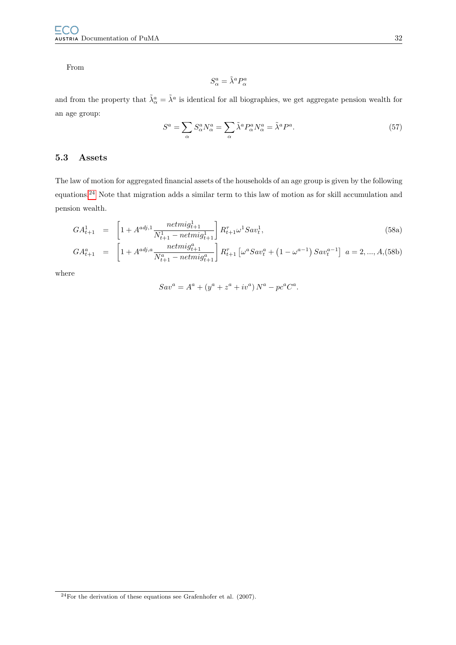From

$$
S^a_\alpha = \tilde{\lambda}^a P^a_\alpha
$$

and from the property that  $\tilde{\lambda}^a_\alpha = \tilde{\lambda}^a$  is identical for all biographies, we get aggregate pension wealth for an age group:

$$
S^{a} = \sum_{\alpha} S^{a}_{\alpha} N^{a}_{\alpha} = \sum_{\alpha} \tilde{\lambda}^{a} P^{a}_{\alpha} N^{a}_{\alpha} = \tilde{\lambda}^{a} P^{a}.
$$
 (57)

## <span id="page-35-0"></span>5.3 Assets

The law of motion for aggregated financial assets of the households of an age group is given by the following equations.[24](#page-35-1) Note that migration adds a similar term to this law of motion as for skill accumulation and pension wealth.

$$
GA_{t+1}^1 = \left[1 + A^{adj,1} \frac{netmig_{t+1}^1}{N_{t+1}^1 - netmig_{t+1}^1} \right] R_{t+1}^{\tau} \omega^1 Sav_t^1,
$$
\n(58a)

$$
GA_{t+1}^{a} = \left[1 + A^{adj,a} \frac{netmig_{t+1}^{a}}{N_{t+1}^{a} - netmig_{t+1}^{a}}\right] R_{t+1}^{\tau} \left[\omega^{a} Sav_{t}^{a} + \left(1 - \omega^{a-1}\right) Sav_{t}^{a-1}\right] a = 2, ..., A, (58b)
$$

where

$$
Sav^{a} = A^{a} + (y^{a} + z^{a} + iv^{a}) N^{a} - pc^{a} C^{a}.
$$

<span id="page-35-1"></span> $24$ For the derivation of these equations see Grafenhofer et al. (2007).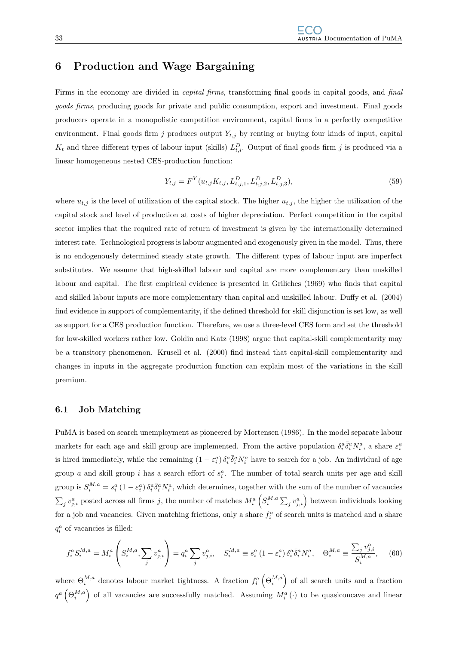# 6 Production and Wage Bargaining

Firms in the economy are divided in capital firms, transforming final goods in capital goods, and final goods firms, producing goods for private and public consumption, export and investment. Final goods producers operate in a monopolistic competition environment, capital firms in a perfectly competitive environment. Final goods firm j produces output  $Y_{t,j}$  by renting or buying four kinds of input, capital  $K_t$  and three different types of labour input (skills)  $L_{t,i}^D$ . Output of final goods firm j is produced via a linear homogeneous nested CES-production function:

$$
Y_{t,j} = F^Y(u_{t,j} K_{t,j}, L_{t,j,1}^D, L_{t,j,2}^D, L_{t,j,3}^D),
$$
\n
$$
(59)
$$

where  $u_{t,j}$  is the level of utilization of the capital stock. The higher  $u_{t,j}$ , the higher the utilization of the capital stock and level of production at costs of higher depreciation. Perfect competition in the capital sector implies that the required rate of return of investment is given by the internationally determined interest rate. Technological progress is labour augmented and exogenously given in the model. Thus, there is no endogenously determined steady state growth. The different types of labour input are imperfect substitutes. We assume that high-skilled labour and capital are more complementary than unskilled labour and capital. The first empirical evidence is presented in Griliches (1969) who finds that capital and skilled labour inputs are more complementary than capital and unskilled labour. Duffy et al. (2004) find evidence in support of complementarity, if the defined threshold for skill disjunction is set low, as well as support for a CES production function. Therefore, we use a three-level CES form and set the threshold for low-skilled workers rather low. Goldin and Katz (1998) argue that capital-skill complementarity may be a transitory phenomenon. Krusell et al. (2000) find instead that capital-skill complementarity and changes in inputs in the aggregate production function can explain most of the variations in the skill premium.

## 6.1 Job Matching

PuMA is based on search unemployment as pioneered by Mortensen (1986). In the model separate labour markets for each age and skill group are implemented. From the active population  $\delta_i^a \bar{\delta}_i^a N_i^a$ , a share  $\varepsilon_i^a$ is hired immediately, while the remaining  $(1 - \varepsilon_i^a) \delta_i^a \bar{\delta}_i^a N_i^a$  have to search for a job. An individual of age group a and skill group i has a search effort of  $s_i^a$ . The number of total search units per age and skill group is  $S_i^{M,a} = s_i^a (1 - \varepsilon_i^a) \delta_i^a \overline{\delta}_i^a N_i^a$ , which determines, together with the sum of the number of vacancies  $\sum_j v_{j,i}^a$  posted across all firms j, the number of matches  $M_i^a(S_i^{M,a} \sum_j v_{j,i}^a)$  between individuals looking for a job and vacancies. Given matching frictions, only a share  $f_i^a$  of search units is matched and a share  $q_i^a$  of vacancies is filled:

$$
f_i^a S_i^{M,a} = M_i^a \left( S_i^{M,a}, \sum_j v_{j,i}^a \right) = q_i^a \sum_j v_{j,i}^a, \quad S_i^{M,a} \equiv s_i^a \left( 1 - \varepsilon_i^a \right) \delta_i^a \overline{\delta}_i^a N_i^a, \quad \Theta_i^{M,a} \equiv \frac{\sum_j v_{j,i}^a}{S_i^{M,a}}, \quad (60)
$$

where  $\Theta_i^{M,a}$  denotes labour market tightness. A fraction  $f_i^a\left(\Theta_i^{M,a}\right)$  of all search units and a fraction  $q^a$   $(\Theta_i^{M,a})$  of all vacancies are successfully matched. Assuming  $M_i^a(\cdot)$  to be quasiconcave and linear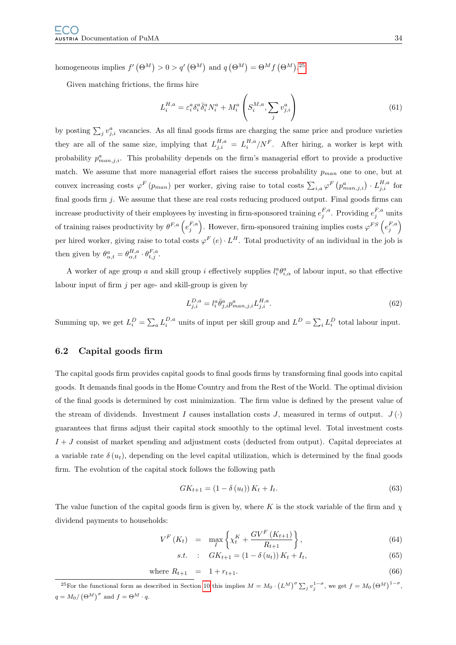homogeneous implies  $f'(\Theta^M) > 0 > q'(\Theta^M)$  and  $q(\Theta^M) = \Theta^M f(\Theta^M)$ .<sup>[25](#page-37-0)</sup>

Given matching frictions, the firms hire

$$
L_i^{H,a} = \varepsilon_i^a \delta_i^a \bar{\delta}_i^a N_i^a + M_i^a \left( S_i^{M,a}, \sum_j v_{j,i}^a \right) \tag{61}
$$

by posting  $\sum_j v_{j,i}^a$  vacancies. As all final goods firms are charging the same price and produce varieties they are all of the same size, implying that  $L_{j,i}^{H,a} = L_i^{H,a}/N^F$ . After hiring, a worker is kept with probability  $p_{man,j,i}^a$ . This probability depends on the firm's managerial effort to provide a productive match. We assume that more managerial effort raises the success probability  $p_{man}$  one to one, but at convex increasing costs  $\varphi^F(p_{man})$  per worker, giving raise to total costs  $\sum_{i,a}\varphi^F(p_{man,j,i}^a) \cdot L_{j,i}^{H,a}$  for final goods firm  $j$ . We assume that these are real costs reducing produced output. Final goods firms can increase productivity of their employees by investing in firm-sponsored training  $e_j^{F,a}$ . Providing  $e_j^{F,a}$  units of training raises productivity by  $\theta^{F,a}$   $\left(e_j^{F,a}\right)$ . However, firm-sponsored training implies costs  $\varphi^{FS}\left(e_j^{F,a}\right)$ per hired worker, giving raise to total costs  $\varphi^F(e) \cdot L^H$ . Total productivity of an individual in the job is then given by  $\theta_{\alpha,t}^a = \theta_{\alpha,t}^{H,a} \cdot \theta_{t,j}^{F,a}$ .

A worker of age group a and skill group i effectively supplies  $l_i^a \theta_{i,\alpha}^a$  of labour input, so that effective labour input of firm  $j$  per age- and skill-group is given by

$$
L_{j,i}^{D,a} = l_i^a \bar{\theta}_{j,i}^a p_{man,j,i}^a L_{j,i}^{H,a}.
$$
\n(62)

Summing up, we get  $L_i^D = \sum_a L_i^{D,a}$  units of input per skill group and  $L^D = \sum_i L_i^D$  total labour input.

## 6.2 Capital goods firm

The capital goods firm provides capital goods to final goods firms by transforming final goods into capital goods. It demands final goods in the Home Country and from the Rest of the World. The optimal division of the final goods is determined by cost minimization. The firm value is defined by the present value of the stream of dividends. Investment I causes installation costs J, measured in terms of output.  $J(\cdot)$ guarantees that firms adjust their capital stock smoothly to the optimal level. Total investment costs  $I + J$  consist of market spending and adjustment costs (deducted from output). Capital depreciates at a variable rate  $\delta(u_t)$ , depending on the level capital utilization, which is determined by the final goods firm. The evolution of the capital stock follows the following path

$$
GK_{t+1} = (1 - \delta(u_t))K_t + I_t.
$$
\n(63)

The value function of the capital goods firm is given by, where K is the stock variable of the firm and  $\chi$ dividend payments to households:

<span id="page-37-1"></span>
$$
V^{F}(K_{t}) = \max_{I} \left\{ \chi_{t}^{K} + \frac{GV^{F}(K_{t+1})}{R_{t+1}} \right\},
$$
\n(64)

s.t. : 
$$
GK_{t+1} = (1 - \delta(u_t)) K_t + I_t,
$$
 (65)

where 
$$
R_{t+1} = 1 + r_{t+1}
$$
. (66)

<span id="page-37-0"></span><sup>&</sup>lt;sup>25</sup>For the functional form as described in Section [10](#page-48-0) this implies  $M = M_0 \cdot (L^M)^{\sigma} \sum_j v_j^{1-\sigma}$ , we get  $f = M_0 (\Theta^M)^{1-\sigma}$ ,  $q = M_0 / (\Theta^M)^\sigma$  and  $f = \Theta^M \cdot q$ .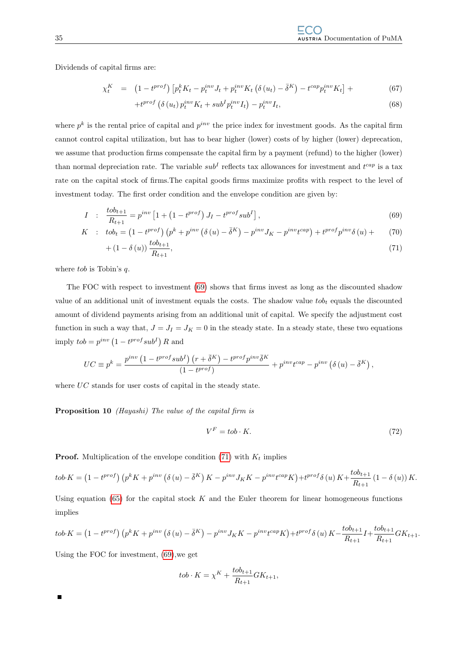Dividends of capital firms are:

$$
\chi_t^K = (1 - t^{prof}) \left[ p_t^k K_t - p_t^{inv} J_t + p_t^{inv} K_t \left( \delta \left( u_t \right) - \bar{\delta}^K \right) - t^{cap} p_t^{inv} K_t \right] + \tag{67}
$$

$$
+t^{prof}\left(\delta\left(u_{t}\right)p_{t}^{inv}K_{t}+sub^{I}p_{t}^{inv}I_{t}\right)-p_{t}^{inv}I_{t},\tag{68}
$$

where  $p^k$  is the rental price of capital and  $p^{inv}$  the price index for investment goods. As the capital firm cannot control capital utilization, but has to bear higher (lower) costs of by higher (lower) deprecation, we assume that production firms compensate the capital firm by a payment (refund) to the higher (lower) than normal depreciation rate. The variable  $sub<sup>I</sup>$  reflects tax allowances for investment and  $t^{cap}$  is a tax rate on the capital stock of firms.The capital goods firms maximize profits with respect to the level of investment today. The first order condition and the envelope condition are given by:

<span id="page-38-0"></span>
$$
I : \frac{tob_{t+1}}{R_{t+1}} = p^{inv} \left[ 1 + \left( 1 - t^{prof} \right) J_I - t^{prof} sub^I \right], \tag{69}
$$

$$
K \quad : \quad \n\text{tob}_t = \left(1 - t^{prof}\right)\left(p^k + p^{inv}\left(\delta\left(u\right) - \bar{\delta}^K\right) - p^{inv}J_K - p^{inv}t^{cap}\right) + t^{prof}p^{inv}\delta\left(u\right) + \tag{70}
$$

$$
+(1-\delta(u))\frac{t\delta_{t+1}}{R_{t+1}},\tag{71}
$$

where  $tob$  is Tobin's  $q$ .

The FOC with respect to investment [\(69\)](#page-38-0) shows that firms invest as long as the discounted shadow value of an additional unit of investment equals the costs. The shadow value  $t\omega t_t$  equals the discounted amount of dividend payments arising from an additional unit of capital. We specify the adjustment cost function in such a way that,  $J = J_I = J_K = 0$  in the steady state. In a steady state, these two equations imply  $\text{tob} = p^{\text{inv}} (1 - t^{\text{prof}} \text{sub}^I) R$  and

$$
UC \equiv p^k = \frac{p^{inv} \left( 1 - t^{prof} sub^I \right) \left( r + \overline{\delta}^K \right) - t^{prof} p^{inv} \overline{\delta}^K}{\left( 1 - t^{prof} \right)} + p^{inv} t^{cap} - p^{inv} \left( \delta \left( u \right) - \overline{\delta}^K \right),
$$

where UC stands for user costs of capital in the steady state.

Proposition 10 *(Hayashi)* The value of the capital firm is

$$
V^F = \ntob \cdot K. \tag{72}
$$

**Proof.** Multiplication of the envelope condition [\(71\)](#page-38-0) with  $K_t$  implies

$$
tob \cdot K = \left(1 - t^{prof}\right) \left(p^k K + p^{inv} \left(\delta\left(u\right) - \overline{\delta}^K\right) K - p^{inv} J_K K - p^{inv} t^{cap} K\right) + t^{prof} \delta\left(u\right) K + \frac{tob_{t+1}}{R_{t+1}} \left(1 - \delta\left(u\right)\right) K.
$$

Using equation  $(65)$  for the capital stock K and the Euler theorem for linear homogeneous functions implies

$$
tob \cdot K = \left(1 - t^{prof}\right) \left(p^k K + p^{inv} \left(\delta\left(u\right) - \bar{\delta}^K\right) - p^{inv} J_K K - p^{inv} t^{cap} K\right) + t^{prof} \delta\left(u\right) K - \frac{tob_{t+1}}{R_{t+1}} I + \frac{tob_{t+1}}{R_{t+1}} G K_{t+1}.
$$

Using the FOC for investment, [\(69\)](#page-38-0),we get

 $\blacksquare$ 

$$
tob \cdot K = \chi^K + \frac{tob_{t+1}}{R_{t+1}} GK_{t+1},
$$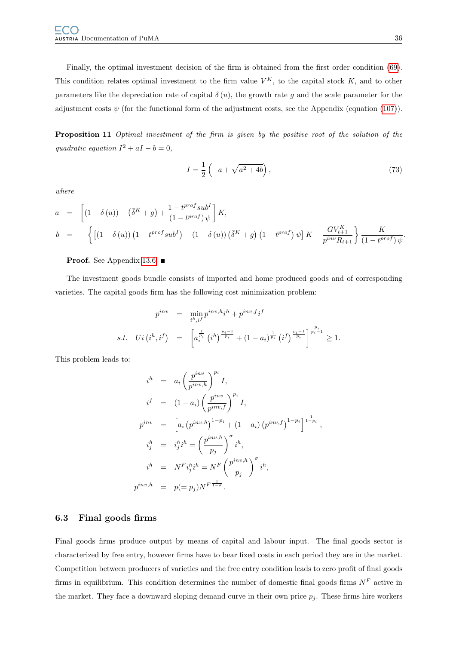Finally, the optimal investment decision of the firm is obtained from the first order condition [\(69\)](#page-38-0). This condition relates optimal investment to the firm value  $V^K$ , to the capital stock K, and to other parameters like the depreciation rate of capital  $\delta(u)$ , the growth rate g and the scale parameter for the adjustment costs  $\psi$  (for the functional form of the adjustment costs, see the Appendix (equation [\(107\)](#page-48-1)).

Proposition 11 Optimal investment of the firm is given by the positive root of the solution of the quadratic equation  $I^2 + aI - b = 0$ ,

$$
I = \frac{1}{2} \left( -a + \sqrt{a^2 + 4b} \right),
$$
\n(73)

where

$$
a = \left[ (1 - \delta(u)) - (\bar{\delta}^K + g) + \frac{1 - t^{prof} \, sub^I}{(1 - t^{prof}) \, \psi} \right] K,
$$
  
\n
$$
b = -\left\{ \left[ (1 - \delta(u)) \left( 1 - t^{prof} \, sub^I \right) - (1 - \delta(u)) \left( \bar{\delta}^K + g \right) \left( 1 - t^{prof} \right) \psi \right] K - \frac{GV_{t+1}^K}{p^{inv} R_{t+1}} \right\} \frac{K}{(1 - t^{prof}) \, \psi}.
$$

#### Proof. See Appendix [13.6](#page-82-0) ■

The investment goods bundle consists of imported and home produced goods and of corresponding varieties. The capital goods firm has the following cost minimization problem:

$$
p^{inv} = \min_{i^h, i^f} p^{inv, h} i^h + p^{inv, f} i^f
$$
  
s.t.  $Ui(i^h, i^f) = \left[a_i^{\frac{1}{p_i}}(i^h)^{\frac{p_i - 1}{p_i}} + (1 - a_i)^{\frac{1}{p_i}}(i^f)^{\frac{p_i - 1}{p_i}}\right]^{\frac{p_i}{p_i - 1}} \ge 1.$ 

This problem leads to:

$$
i^{h} = a_{i} \left(\frac{p^{inv}}{p^{inv,h}}\right)^{p_{i}} I,
$$
  
\n
$$
i^{f} = (1 - a_{i}) \left(\frac{p^{inv}}{p^{inv,f}}\right)^{p_{i}} I,
$$
  
\n
$$
p^{inv} = \left[a_{i} \left(p^{inv,h}\right)^{1-p_{i}} + (1 - a_{i}) \left(p^{inv,f}\right)^{1-p_{i}}\right]^{\frac{1}{1-p_{i}}},
$$
  
\n
$$
i_{j}^{h} = i_{j}^{h} i^{h} = \left(\frac{p^{inv,h}}{p_{j}}\right)^{\sigma} i^{h},
$$
  
\n
$$
i^{h} = N^{F} i_{j}^{h} i^{h} = N^{F} \left(\frac{p^{inv,h}}{p_{j}}\right)^{\sigma} i^{h},
$$
  
\n
$$
p^{inv,h} = p(= p_{j}) N^{F} \frac{1}{1-\sigma}.
$$

#### 6.3 Final goods firms

Final goods firms produce output by means of capital and labour input. The final goods sector is characterized by free entry, however firms have to bear fixed costs in each period they are in the market. Competition between producers of varieties and the free entry condition leads to zero profit of final goods firms in equilibrium. This condition determines the number of domestic final goods firms  $N^F$  active in the market. They face a downward sloping demand curve in their own price  $p_j$ . These firms hire workers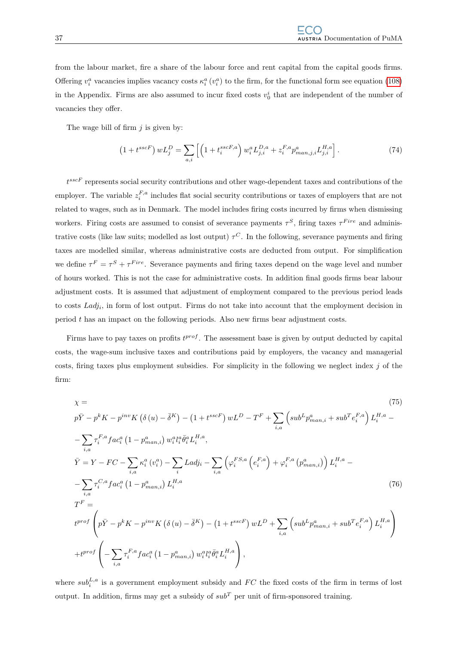from the labour market, fire a share of the labour force and rent capital from the capital goods firms. Offering  $v_i^a$  vacancies implies vacancy costs  $\kappa_i^a(v_i^a)$  to the firm, for the functional form see equation [\(108\)](#page-49-0) in the Appendix. Firms are also assumed to incur fixed costs  $v_0^i$  that are independent of the number of vacancies they offer.

The wage bill of firm  $j$  is given by:

$$
(1 + t^{sscF}) wL_j^D = \sum_{a,i} \left[ \left( 1 + t_i^{sscF,a} \right) w_i^a L_{j,i}^{D,a} + z_i^{F,a} p_{man,j,i}^a L_{j,i}^{H,a} \right].
$$
 (74)

 $t^{sscF}$  represents social security contributions and other wage-dependent taxes and contributions of the employer. The variable  $z_i^{F,a}$  includes flat social security contributions or taxes of employers that are not related to wages, such as in Denmark. The model includes firing costs incurred by firms when dismissing workers. Firing costs are assumed to consist of severance payments  $\tau^S$ , firing taxes  $\tau^{Fire}$  and administrative costs (like law suits; modelled as lost output)  $\tau^C$ . In the following, severance payments and firing taxes are modelled similar, whereas administrative costs are deducted from output. For simplification we define  $\tau^F = \tau^S + \tau^{Fire}$ . Severance payments and firing taxes depend on the wage level and number of hours worked. This is not the case for administrative costs. In addition final goods firms bear labour adjustment costs. It is assumed that adjustment of employment compared to the previous period leads to costs  $Ladj_i$ , in form of lost output. Firms do not take into account that the employment decision in period t has an impact on the following periods. Also new firms bear adjustment costs.

Firms have to pay taxes on profits  $t^{prof}$ . The assessment base is given by output deducted by capital costs, the wage-sum inclusive taxes and contributions paid by employers, the vacancy and managerial costs, firing taxes plus employment subsidies. For simplicity in the following we neglect index  $j$  of the firm:

<span id="page-40-0"></span>
$$
\chi = \qquad (75)
$$
\n
$$
p\bar{Y} - p^{k}K - p^{inv}K(\delta(u) - \bar{\delta}^{K}) - (1 + t^{sscF})wL^{D} - T^{F} + \sum_{i,a} \left(sub^{L}p^{a}_{man,i} + sub^{T}e_{i}^{F,a}\right)L_{i}^{H,a} - \sum_{i,a} \tau_{i}^{F,a}fac_{i}^{a}\left(1 - p^{a}_{man,i}\right)w_{i}^{a}l_{i}^{a}\bar{\theta}_{i}^{a}L_{i}^{H,a},
$$
\n
$$
\bar{Y} = Y - FC - \sum_{i,a} \kappa_{i}^{a}\left(v_{i}^{a}\right) - \sum_{i,a} Ladj_{i} - \sum_{i,a} \left(\varphi_{i}^{FS,a}\left(e_{i}^{F,a}\right) + \varphi_{i}^{F,a}\left(p^{a}_{man,i}\right)\right)L_{i}^{H,a} - \sum_{i,a} \tau_{i}^{C,a}fac_{i}^{a}\left(1 - p^{a}_{man,i}\right)L_{i}^{H,a}
$$
\n
$$
T^{F} =
$$
\n
$$
t^{prof}\left(p\bar{Y} - p^{k}K - p^{inv}K\left(\delta(u) - \bar{\delta}^{K}\right) - \left(1 + t^{sscF}\right)wL^{D} + \sum_{i,a} \left(sub^{L}p^{a}_{man,i} + sub^{T}e_{i}^{F,a}\right)L_{i}^{H,a} \right)
$$
\n
$$
+ t^{prof}\left(-\sum_{i,a} \tau_{i}^{F,a} fac_{i}^{a}\left(1 - p^{a}_{man,i}\right)w_{i}^{a}l_{i}^{a}\bar{\theta}_{i}^{a}L_{i}^{H,a}\right),
$$
\n(75)

where  $sub_i^{L,a}$  is a government employment subsidy and  $FC$  the fixed costs of the firm in terms of lost output. In addition, firms may get a subsidy of  $sub<sup>T</sup>$  per unit of firm-sponsored training.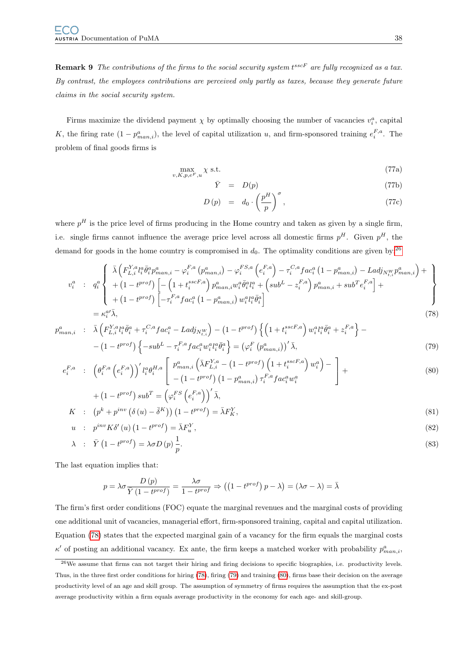**Remark 9** The contributions of the firms to the social security system  $t^{sscF}$  are fully recognized as a tax. By contrast, the employees contributions are perceived only partly as taxes, because they generate future claims in the social security system.

Firms maximize the dividend payment  $\chi$  by optimally choosing the number of vacancies  $v_i^a$ , capital K, the firing rate  $(1-p_{man,i}^a)$ , the level of capital utilization u, and firm-sponsored training  $e_i^{F,a}$ . The problem of final goods firms is

$$
\max_{v,K,p,e^F,u} \chi \text{ s.t. } \tag{77a}
$$

$$
\bar{Y} = D(p) \tag{77b}
$$

$$
D(p) = d_0 \cdot \left(\frac{p^H}{p}\right)^{\sigma}, \qquad (77c)
$$

where  $p<sup>H</sup>$  is the price level of firms producing in the Home country and taken as given by a single firm, i.e. single firms cannot influence the average price level across all domestic firms  $p<sup>H</sup>$ . Given  $p<sup>H</sup>$ , the demand for goods in the home country is compromised in  $d_0$ . The optimality conditions are given by:<sup>[26](#page-41-0)</sup>

<span id="page-41-1"></span>
$$
v_{i}^{a} : q_{i}^{a} \left\{ \begin{array}{l} \bar{\lambda} \left( F_{L,i}^{Y,a} l_{i}^{a} \bar{\theta}_{i}^{a} p_{man,i}^{a} - \varphi_{i}^{F,a} \left( p_{man,i}^{a} \right) - \varphi_{i}^{F,S,a} \left( e_{i}^{F,a} \right) - \tau_{i}^{C,a} f a c_{i}^{a} \left( 1 - p_{man,i}^{a} \right) - L a d j_{N_{t,i}^{W}} p_{man,i}^{a} \right) + \\ + \left( 1 - t^{prof} \right) \left[ - \left( 1 + t_{i}^{sscF,a} \right) p_{man,i}^{a} w_{i}^{a} \bar{\theta}_{i}^{a} l_{i}^{a} + \left( sub^{L} - z_{i}^{F,a} \right) p_{man,i}^{a} + sub^{T} e_{i}^{F,a} \right] + \\ + \left( 1 - t^{prof} \right) \left[ - \tau_{i}^{F,a} f a c_{i}^{a} \left( 1 - p_{man,i}^{a} \right) w_{i}^{a} l_{i}^{a} \bar{\theta}_{i}^{a} \right] \right\}
$$
\n
$$
= \kappa_{i}^{a \prime} \bar{\lambda}, \tag{78}
$$

$$
p_{man,i}^{a} : \bar{\lambda} \left( F_{L,i}^{Y,a} l_{i}^{a} \bar{\theta}_{i}^{a} + \tau_{i}^{C,a} f a c_{i}^{a} - L a d j_{N_{t,i}^{W}} \right) - (1 - t^{prof}) \left\{ \left( 1 + t_{i}^{sscF,a} \right) w_{i}^{a} l_{i}^{a} \bar{\theta}_{i}^{a} + z_{i}^{F,a} \right\} - (1 - t^{prof}) \left\{ -sub^{L} - \tau_{i}^{F,a} f a c_{i}^{a} w_{i}^{a} l_{i}^{a} \bar{\theta}_{i}^{a} \right\} = (\varphi_{i}^{F} (p_{man,i}^{a}))' \bar{\lambda}, \tag{79}
$$

$$
e_i^{F,a} \quad : \quad \left(\theta_i^{F,a} \left(e_i^{F,a}\right)\right)' l_i^a \theta_i^{H,a} \left[\begin{array}{c} p_{man,i}^a \left(\bar{\lambda} F_{L,i}^{Y,a} - \left(1 - t^{prof}\right) \left(1 + t_i^{sscF,a}\right) w_i^a\right) - \\ - \left(1 - t^{prof}\right) \left(1 - p_{man,i}^a\right) \tau_i^{F,a} f a c_i^a w_i^a \end{array}\right] + \\ + \left(1 - t^{prof}\right) s u b^T = \left(\varphi_i^{F,S} \left(e_i^{F,a}\right)\right)' \bar{\lambda},
$$
\n
$$
(80)
$$

$$
K : (p^k + p^{inv} (\delta(u) - \bar{\delta}^K)) (1 - t^{prof}) = \bar{\lambda} F_K^Y,
$$
\n(81)

$$
u : p^{inv} K \delta'(u) \left(1 - t^{prof}\right) = \bar{\lambda} F_u^Y,\tag{82}
$$

$$
\lambda \quad : \quad \bar{Y} \left( 1 - t^{prof} \right) = \lambda \sigma D \left( p \right) \frac{1}{p}.\tag{83}
$$

The last equation implies that:

$$
p = \lambda \sigma \frac{D(p)}{\overline{Y}(1 - t^{prof})} = \frac{\lambda \sigma}{1 - t^{prof}} \Rightarrow ((1 - t^{prof})p - \lambda) = (\lambda \sigma - \lambda) = \overline{\lambda}
$$

The firm's first order conditions (FOC) equate the marginal revenues and the marginal costs of providing one additional unit of vacancies, managerial effort, firm-sponsored training, capital and capital utilization. Equation [\(78\)](#page-41-1) states that the expected marginal gain of a vacancy for the firm equals the marginal costs  $\kappa'$  of posting an additional vacancy. Ex ante, the firm keeps a matched worker with probability  $p_{man,i}^a$ ,

<span id="page-41-0"></span> $26$ We assume that firms can not target their hiring and firing decisions to specific biographies, i.e. productivity levels. Thus, in the three first order conditions for hiring [\(78\)](#page-41-1), firing [\(79\)](#page-41-1) and training [\(80\)](#page-41-1), firms base their decision on the average productivity level of an age and skill group. The assumption of symmetry of firms requires the assumption that the ex-post average productivity within a firm equals average productivity in the economy for each age- and skill-group.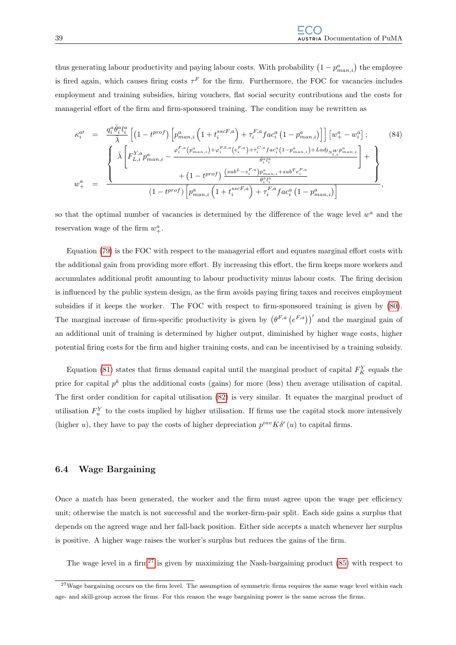thus generating labour productivity and paying labour costs. With probability  $(1 - p_{man,i}^a)$  the employee is fired again, which causes firing costs  $\tau^F$  for the firm. Furthermore, the FOC for vacancies includes employment and training subsidies, hiring vouchers, flat social security contributions and the costs for managerial effort of the firm and firm-sponsored training. The condition may be rewritten as

<span id="page-42-1"></span>
$$
\kappa_{i}^{a\prime} = \frac{q_{i}^{a}\bar{\theta}_{i}^{a}l_{i}^{a}}{\bar{\lambda}} \left[ \left( 1 - t^{prof} \right) \left[ p_{man,i}^{a} \left( 1 + t_{i}^{sscF,a} \right) + \tau_{i}^{F,a} fac_{i}^{a} \left( 1 - p_{man,i}^{a} \right) \right] \right] \left[ w_{+}^{a} - w_{i}^{a} \right];
$$
\n
$$
\sqrt{\bar{\lambda}} \left[ F_{L,i}^{Y,a} p_{man,i}^{a} - \frac{\varphi_{i}^{F,a} \left( p_{man,i}^{a} \right) + \varphi_{i}^{F,S,a} \left( e_{i}^{F,a} \right) + \tau_{i}^{C,a} fac_{i}^{a} \left( 1 - p_{man,i}^{a} \right) + La d j_{N_{i}^{W}} p_{man,i}^{a}}{\bar{\theta}_{i}^{a} l_{i}^{a}} \right] + \left. \left\{ w_{+}^{a} = \frac{\sqrt{\bar{\lambda}} \left[ F_{L,i}^{Y,a} p_{man,i}^{a} - \frac{\varphi_{i}^{F,a} \left( p_{man,i}^{a} \right) + \varphi_{i}^{F,S,a} \left( e_{i}^{F,a} \right) + \tau_{i}^{C,a} p_{man,i}^{a} + sub^{T} e_{i}^{F,a}}{\bar{\theta}_{i}^{a} l_{i}^{a}} \right] + \left. \right\} \right]}{\left( 1 - t^{prof} \right) \left[ p_{man,i}^{a} \left( 1 + t_{i}^{sscF,a} \right) + \tau_{i}^{F,a} fac_{i}^{a} \left( 1 - p_{man,i}^{a} \right) \right]},
$$
\n
$$
(84)
$$

so that the optimal number of vacancies is determined by the difference of the wage level  $w^a$  and the reservation wage of the firm  $w_+^a$ .

Equation [\(79\)](#page-41-1) is the FOC with respect to the managerial effort and equates marginal effort costs with the additional gain from providing more effort. By increasing this effort, the firm keeps more workers and accumulates additional profit amounting to labour productivity minus labour costs. The firing decision is influenced by the public system design, as the firm avoids paying firing taxes and receives employment subsidies if it keeps the worker. The FOC with respect to firm-sponsored training is given by [\(80\)](#page-41-1). The marginal increase of firm-specific productivity is given by  $(\theta^{F,a}(e^{F,a}))'$  and the marginal gain of an additional unit of training is determined by higher output, diminished by higher wage costs, higher potential firing costs for the firm and higher training costs, and can be incentivised by a training subsidy.

Equation [\(81\)](#page-41-1) states that firms demand capital until the marginal product of capital  $F_K^Y$  equals the price for capital  $p^k$  plus the additional costs (gains) for more (less) then average utilisation of capital. The first order condition for capital utilisation [\(82\)](#page-41-1) is very similar. It equates the marginal product of utilisation  $F_u^Y$  to the costs implied by higher utilisation. If firms use the capital stock more intensively (higher u), they have to pay the costs of higher depreciation  $p^{inv}K\delta'(u)$  to capital firms.

#### 6.4 Wage Bargaining

Once a match has been generated, the worker and the firm must agree upon the wage per efficiency unit; otherwise the match is not successful and the worker-firm-pair split. Each side gains a surplus that depends on the agreed wage and her fall-back position. Either side accepts a match whenever her surplus is positive. A higher wage raises the worker's surplus but reduces the gains of the firm.

The wage level in a firm<sup>[27](#page-42-0)</sup> is given by maximizing the Nash-bargaining product  $(85)$  with respect to

<span id="page-42-0"></span> $27$ Wage bargaining occurs on the firm level. The assumption of symmetric firms requires the same wage level within each age- and skill-group across the firms. For this reason the wage bargaining power is the same across the firms.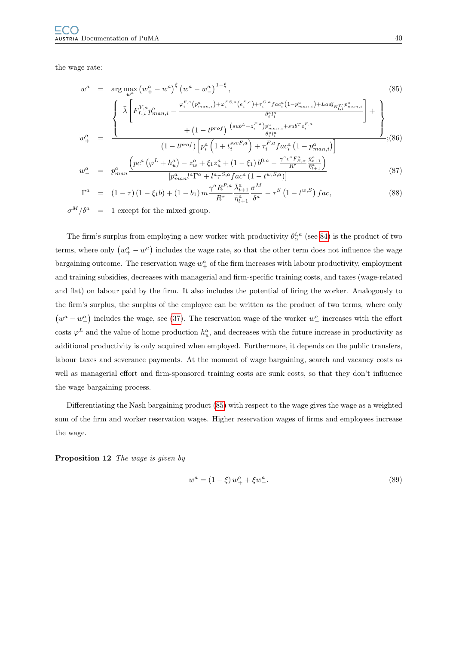the wage rate:

<span id="page-43-0"></span>
$$
w^{a} = \arg \max_{w^{a}} (w_{+}^{a} - w^{a})^{\xi} (w^{a} - w_{-}^{a})^{1-\xi},
$$
\n
$$
\begin{aligned}\n&\left\{\n\bar{\lambda} \left[F_{L,i}^{Y,a} p_{man,i}^{a} - \frac{\varphi_{i}^{F,a}(p_{man,i}^{a}) + \varphi_{i}^{F,S,a}(e_{i}^{F,a}) + \tau_{i}^{C,a} fac_{i}^{a}(1-p_{man,i}^{a}) + Ladj_{N_{t,i}^{W}} p_{man,i}^{a}}{\bar{\theta}_{i}^{a} l_{i}^{a}}\n\right] + \left\{\n\frac{\partial_{i} w_{+}}{\partial_{i}^{a} l_{i}^{a}} + (1 - t^{prof}) \frac{\left(sub^{L} - z_{i}^{F,a}\right) p_{man,i}^{a} + sub^{T} e_{i}^{F,a}}{\bar{\theta}_{i}^{a} l_{i}^{a}}\n\end{aligned}\n\right\} + \left\{\n\frac{\partial_{i} w_{+}}{\partial_{i}^{a} l_{i}^{a}} + (1 - t^{prof}) \left[ p_{i}^{a} \left(1 + t_{i}^{sscF,a}\right) + \tau_{i}^{F,a} fac_{i}^{a} \left(1 - p_{man,i}^{a}\right) \right]\n\right\}.
$$
\n(86)

$$
w_{-}^{a} = p_{man}^{a} \frac{\left( pc^{a} \left( \varphi^{L} + h_{u}^{a} \right) - z_{w}^{a} + \xi_{1} z_{u}^{a} + \left( 1 - \xi_{1} \right) b^{0,a} - \frac{\gamma^{a} e^{a} F_{E,\alpha}^{a}}{R^{\tau}} \frac{\bar{\chi}_{t+1}^{a}}{\bar{\eta}_{t+1}^{a}} \right)}{\left[ p_{man}^{a} l^{a} \Gamma^{a} + l^{a} \tau^{S,a} f a c^{a} \left( 1 - t^{w,S,a} \right) \right]}
$$
(87)

$$
\Gamma^{a} = (1 - \tau) (1 - \xi_{1} b) + (1 - b_{1}) m \frac{\gamma^{a} R^{P,a}}{R^{\tau}} \frac{\bar{\lambda}_{t+1}^{a}}{\bar{\eta}_{t+1}^{a}} \frac{\sigma^{M}}{\delta^{a}} - \tau^{S} (1 - t^{w,S}) fac, \qquad (88)
$$

 $\sigma^M/\delta^a$ 1 except for the mixed group.

The firm's surplus from employing a new worker with productivity  $\theta_{\alpha}^{i,a}$  (see [84\)](#page-42-1) is the product of two terms, where only  $(w_+^a - w^a)$  includes the wage rate, so that the other term does not influence the wage bargaining outcome. The reservation wage  $w_+^a$  of the firm increases with labour productivity, employment and training subsidies, decreases with managerial and firm-specific training costs, and taxes (wage-related and flat) on labour paid by the firm. It also includes the potential of firing the worker. Analogously to the firm's surplus, the surplus of the employee can be written as the product of two terms, where only  $(w^a - w^a)$  includes the wage, see [\(37\)](#page-23-0). The reservation wage of the worker  $w^a$  increases with the effort costs  $\varphi^L$  and the value of home production  $h_u^a$ , and decreases with the future increase in productivity as additional productivity is only acquired when employed. Furthermore, it depends on the public transfers, labour taxes and severance payments. At the moment of wage bargaining, search and vacancy costs as well as managerial effort and firm-sponsored training costs are sunk costs, so that they don't influence the wage bargaining process.

Differentiating the Nash bargaining product [\(85\)](#page-43-0) with respect to the wage gives the wage as a weighted sum of the firm and worker reservation wages. Higher reservation wages of firms and employees increase the wage.

Proposition 12 The wage is given by

$$
w^a = (1 - \xi) w_+^a + \xi w_-^a. \tag{89}
$$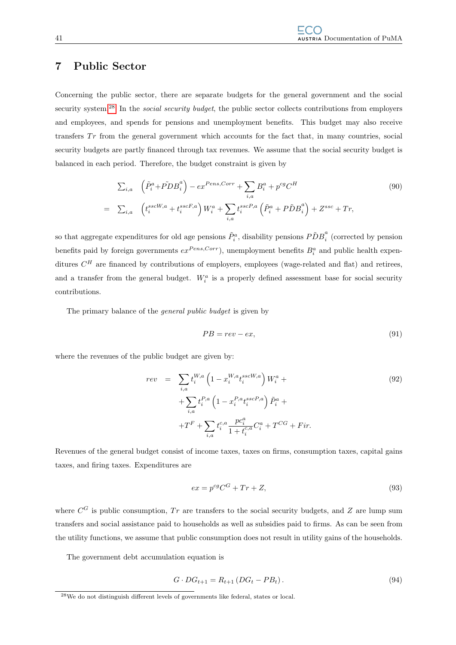# 7 Public Sector

Concerning the public sector, there are separate budgets for the general government and the social security system.<sup>[28](#page-44-0)</sup> In the *social security budget*, the public sector collects contributions from employers and employees, and spends for pensions and unemployment benefits. This budget may also receive transfers  $Tr$  from the general government which accounts for the fact that, in many countries, social security budgets are partly financed through tax revenues. We assume that the social security budget is balanced in each period. Therefore, the budget constraint is given by

$$
\sum_{i,a} \left( \tilde{P}_i^a + \tilde{P}DB_i^a \right) - ex^{Pens,Corr} + \sum_{i,a} B_i^a + p^{cg}C^H
$$
\n
$$
= \sum_{i,a} \left( t_i^{sscW,a} + t_i^{sscF,a} \right) W_i^a + \sum_{i,a} t_i^{sscP,a} \left( \tilde{P}_i^a + P\tilde{D}B_i^a \right) + Z^{ssc} + Tr,
$$
\n(90)

so that aggregate expenditures for old age pensions  $\tilde{P}_i^a$ , disability pensions  $\tilde{P} {\tilde{D}} B_i^a$  $\int_{i}^{\infty}$  (corrected by pension benefits paid by foreign governments  $ex^{Pens,Corr}$ , unemployment benefits  $B_i^a$  and public health expenditures  $C<sup>H</sup>$  are financed by contributions of employers, employees (wage-related and flat) and retirees, and a transfer from the general budget.  $W_i^a$  is a properly defined assessment base for social security contributions.

The primary balance of the general public budget is given by

$$
PB = rev - ex,\t\t(91)
$$

where the revenues of the public budget are given by:

$$
rev = \sum_{i,a} t_i^{W,a} \left( 1 - x_i^{W,a} t_i^{sscW,a} \right) W_i^a +
$$
  
+ 
$$
\sum_{i,a} t_i^{P,a} \left( 1 - x_i^{P,a} t_i^{sscP,a} \right) \tilde{P}_i^a +
$$
  
+ 
$$
T^F + \sum_{i,a} t_i^{c,a} \frac{p c_i^a}{1 + t_i^{c,a}} C_i^a + T^{CG} + Fir.
$$
 (92)

Revenues of the general budget consist of income taxes, taxes on firms, consumption taxes, capital gains taxes, and firing taxes. Expenditures are

$$
ex = p^{cg}C^G + Tr + Z,\t\t(93)
$$

where  $C^G$  is public consumption, Tr are transfers to the social security budgets, and Z are lump sum transfers and social assistance paid to households as well as subsidies paid to firms. As can be seen from the utility functions, we assume that public consumption does not result in utility gains of the households.

The government debt accumulation equation is

$$
G \cdot DG_{t+1} = R_{t+1} (DG_t - PB_t). \tag{94}
$$

<span id="page-44-0"></span><sup>28</sup>We do not distinguish different levels of governments like federal, states or local.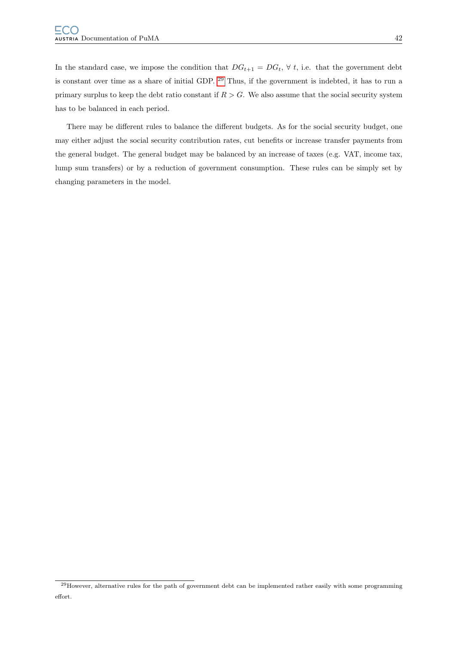In the standard case, we impose the condition that  $DG_{t+1} = DG_t$ ,  $\forall t$ , i.e. that the government debt is constant over time as a share of initial GDP. [29](#page-45-0) Thus, if the government is indebted, it has to run a primary surplus to keep the debt ratio constant if  $R > G$ . We also assume that the social security system has to be balanced in each period.

There may be different rules to balance the different budgets. As for the social security budget, one may either adjust the social security contribution rates, cut benefits or increase transfer payments from the general budget. The general budget may be balanced by an increase of taxes (e.g. VAT, income tax, lump sum transfers) or by a reduction of government consumption. These rules can be simply set by changing parameters in the model.

<span id="page-45-0"></span> $29$  However, alternative rules for the path of government debt can be implemented rather easily with some programming effort.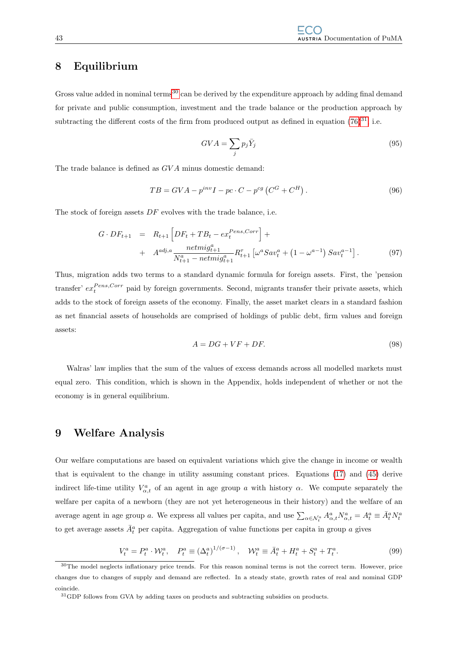# 8 Equilibrium

Gross value added in nominal terms<sup>[30](#page-46-0)</sup> can be derived by the expenditure approach by adding final demand for private and public consumption, investment and the trade balance or the production approach by subtracting the different costs of the firm from produced output as defined in equation  $(76)^{31}$  $(76)^{31}$  $(76)^{31}$ , i.e.

$$
GVA = \sum_{j} p_j \bar{Y}_j \tag{95}
$$

The trade balance is defined as GV A minus domestic demand:

$$
TB = GVA - p^{inv}I - pc \cdot C - p^{cg} \left( C^G + C^H \right). \tag{96}
$$

The stock of foreign assets  $DF$  evolves with the trade balance, i.e.

$$
G \cdot DF_{t+1} = R_{t+1} \left[ DF_t + TB_t - ex_t^{Pens, Corr} \right] +
$$
  
+ 
$$
A^{adj,a} \frac{netmig_{t+1}^a}{N_{t+1}^a - netmig_{t+1}^a} R_{t+1}^{\tau} \left[ \omega^a Sav_t^a + \left( 1 - \omega^{a-1} \right) Sav_t^{a-1} \right].
$$
 (97)

Thus, migration adds two terms to a standard dynamic formula for foreign assets. First, the 'pension transfer'  $ex_t^{Pens,Corr}$  paid by foreign governments. Second, migrants transfer their private assets, which adds to the stock of foreign assets of the economy. Finally, the asset market clears in a standard fashion as net financial assets of households are comprised of holdings of public debt, firm values and foreign assets:

$$
A = DG + VF + DF.
$$
\n(98)

Walras' law implies that the sum of the values of excess demands across all modelled markets must equal zero. This condition, which is shown in the Appendix, holds independent of whether or not the economy is in general equilibrium.

# 9 Welfare Analysis

Our welfare computations are based on equivalent variations which give the change in income or wealth that is equivalent to the change in utility assuming constant prices. Equations [\(17\)](#page-13-0) and [\(45\)](#page-28-0) derive indirect life-time utility  $V_{\alpha,t}^a$  of an agent in age group a with history  $\alpha$ . We compute separately the welfare per capita of a newborn (they are not yet heterogeneous in their history) and the welfare of an average agent in age group a. We express all values per capita, and use  $\sum_{\alpha \in \mathcal{N}_t^a} A_{\alpha,t}^a N_{\alpha,t}^a = A_t^a \equiv \bar{A}_t^a N_t^a$ to get average assets  $\bar{A}^a_t$  per capita. Aggregation of value functions per capita in group a gives

$$
V_t^a = P_t^a \cdot \mathcal{W}_t^a, \quad P_t^a \equiv (\Delta_t^a)^{1/(\sigma - 1)}, \quad \mathcal{W}_t^a \equiv \bar{A}_t^a + H_t^a + S_t^a + T_t^a. \tag{99}
$$

<span id="page-46-0"></span><sup>&</sup>lt;sup>30</sup>The model neglects inflationary price trends. For this reason nominal terms is not the correct term. However, price changes due to changes of supply and demand are reflected. In a steady state, growth rates of real and nominal GDP coincide.

<span id="page-46-1"></span><sup>31</sup>GDP follows from GVA by adding taxes on products and subtracting subsidies on products.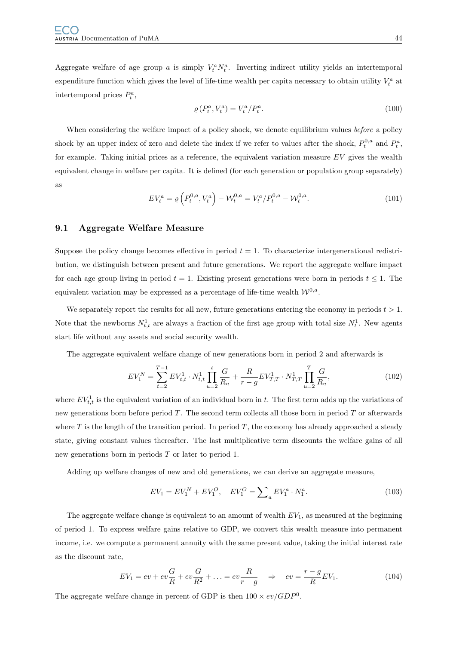Aggregate welfare of age group a is simply  $V_t^a N_t^a$ . Inverting indirect utility yields an intertemporal expenditure function which gives the level of life-time wealth per capita necessary to obtain utility  $V_t^a$  at intertemporal prices  $P_t^a$ ,

$$
\varrho\left(P_t^a, V_t^a\right) = V_t^a / P_t^a. \tag{100}
$$

When considering the welfare impact of a policy shock, we denote equilibrium values before a policy shock by an upper index of zero and delete the index if we refer to values after the shock,  $P_t^{0,a}$  and  $P_t^a$ , for example. Taking initial prices as a reference, the equivalent variation measure  $EV$  gives the wealth equivalent change in welfare per capita. It is defined (for each generation or population group separately) as

$$
EV_t^a = \varrho \left( P_t^{0,a}, V_t^a \right) - \mathcal{W}_t^{0,a} = V_t^a / P_t^{0,a} - \mathcal{W}_t^{0,a}.
$$
 (101)

## 9.1 Aggregate Welfare Measure

Suppose the policy change becomes effective in period  $t = 1$ . To characterize intergenerational redistribution, we distinguish between present and future generations. We report the aggregate welfare impact for each age group living in period  $t = 1$ . Existing present generations were born in periods  $t \leq 1$ . The equivalent variation may be expressed as a percentage of life-time wealth  $W^{0,a}$ .

We separately report the results for all new, future generations entering the economy in periods  $t > 1$ . Note that the newborns  $N_{t,t}^1$  are always a fraction of the first age group with total size  $N_t^1$ . New agents start life without any assets and social security wealth.

The aggregate equivalent welfare change of new generations born in period 2 and afterwards is

$$
EV_1^N = \sum_{t=2}^{T-1} EV_{t,t}^1 \cdot N_{t,t}^1 \prod_{u=2}^t \frac{G}{R_u} + \frac{R}{r-g} EV_{T,T}^1 \cdot N_{T,T}^1 \prod_{u=2}^T \frac{G}{R_u},
$$
\n(102)

where  $EV_{t,t}^1$  is the equivalent variation of an individual born in t. The first term adds up the variations of new generations born before period  $T$ . The second term collects all those born in period  $T$  or afterwards where T is the length of the transition period. In period T, the economy has already approached a steady state, giving constant values thereafter. The last multiplicative term discounts the welfare gains of all new generations born in periods T or later to period 1.

Adding up welfare changes of new and old generations, we can derive an aggregate measure,

$$
EV_1 = EV_1^N + EV_1^O, \quad EV_1^O = \sum_a EV_1^a \cdot N_1^a. \tag{103}
$$

The aggregate welfare change is equivalent to an amount of wealth  $EV_1$ , as measured at the beginning of period 1. To express welfare gains relative to GDP, we convert this wealth measure into permanent income, i.e. we compute a permanent annuity with the same present value, taking the initial interest rate as the discount rate,

$$
EV_1 = ev + ev\frac{G}{R} + ev\frac{G}{R^2} + \dots = ev\frac{R}{r - g} \quad \Rightarrow \quad ev = \frac{r - g}{R}EV_1.
$$
 (104)

The aggregate welfare change in percent of GDP is then  $100 \times ev/GDP^0$ .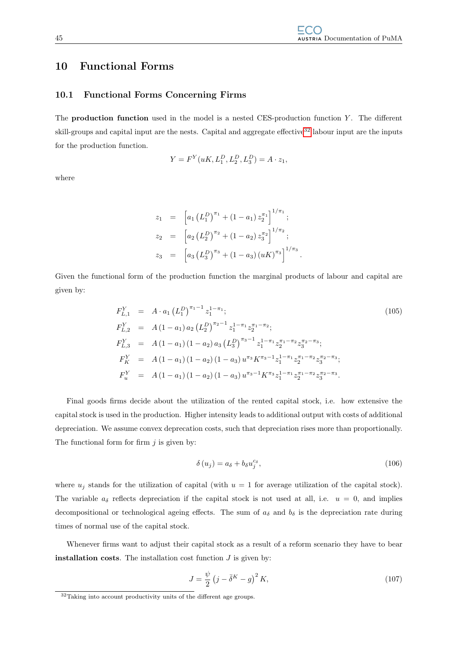# <span id="page-48-0"></span>10 Functional Forms

## 10.1 Functional Forms Concerning Firms

The **production function** used in the model is a nested CES-production function  $Y$ . The different skill-groups and capital input are the nests. Capital and aggregate effective<sup>[32](#page-48-2)</sup> labour input are the inputs for the production function.

$$
Y = F^{Y}(uK, L_1^D, L_2^D, L_3^D) = A \cdot z_1,
$$

where

$$
z_1 = [a_1 (L_1^D)^{\pi_1} + (1 - a_1) z_2^{\pi_1}]^{1/\pi_1};
$$
  
\n
$$
z_2 = [a_2 (L_2^D)^{\pi_2} + (1 - a_2) z_3^{\pi_2}]^{1/\pi_2};
$$
  
\n
$$
z_3 = [a_3 (L_3^D)^{\pi_3} + (1 - a_3) (uK)^{\pi_3}]^{1/\pi_3}.
$$

Given the functional form of the production function the marginal products of labour and capital are given by:

$$
F_{L,1}^{Y} = A \cdot a_{1} (L_{1}^{D})^{\pi_{1}-1} z_{1}^{1-\pi_{1}};
$$
\n
$$
F_{L,2}^{Y} = A (1 - a_{1}) a_{2} (L_{2}^{D})^{\pi_{2}-1} z_{1}^{1-\pi_{1}} z_{2}^{\pi_{1}-\pi_{2}};
$$
\n
$$
F_{L,3}^{Y} = A (1 - a_{1}) (1 - a_{2}) a_{3} (L_{3}^{D})^{\pi_{3}-1} z_{1}^{1-\pi_{1}} z_{2}^{\pi_{1}-\pi_{2}} z_{3}^{\pi_{2}-\pi_{3}};
$$
\n
$$
F_{K}^{Y} = A (1 - a_{1}) (1 - a_{2}) (1 - a_{3}) u^{\pi_{3}} K^{\pi_{3}-1} z_{1}^{1-\pi_{1}} z_{2}^{\pi_{1}-\pi_{2}} z_{3}^{\pi_{2}-\pi_{3}};
$$
\n
$$
F_{u}^{Y} = A (1 - a_{1}) (1 - a_{2}) (1 - a_{3}) u^{\pi_{3}-1} K^{\pi_{3}} z_{1}^{1-\pi_{1}} z_{2}^{\pi_{1}-\pi_{2}} z_{3}^{\pi_{2}-\pi_{3}}.
$$
\n(105)

Final goods firms decide about the utilization of the rented capital stock, i.e. how extensive the capital stock is used in the production. Higher intensity leads to additional output with costs of additional depreciation. We assume convex deprecation costs, such that depreciation rises more than proportionally. The functional form for firm  $j$  is given by:

$$
\delta(u_j) = a_\delta + b_\delta u_j^{c_\delta},\tag{106}
$$

where  $u_j$  stands for the utilization of capital (with  $u = 1$  for average utilization of the capital stock). The variable  $a_{\delta}$  reflects depreciation if the capital stock is not used at all, i.e.  $u = 0$ , and implies decompositional or technological ageing effects. The sum of  $a_{\delta}$  and  $b_{\delta}$  is the depreciation rate during times of normal use of the capital stock.

Whenever firms want to adjust their capital stock as a result of a reform scenario they have to bear **installation costs**. The installation cost function  $J$  is given by:

<span id="page-48-1"></span>
$$
J = \frac{\psi}{2} \left( j - \bar{\delta}^K - g \right)^2 K,\tag{107}
$$

<span id="page-48-2"></span><sup>32</sup>Taking into account productivity units of the different age groups.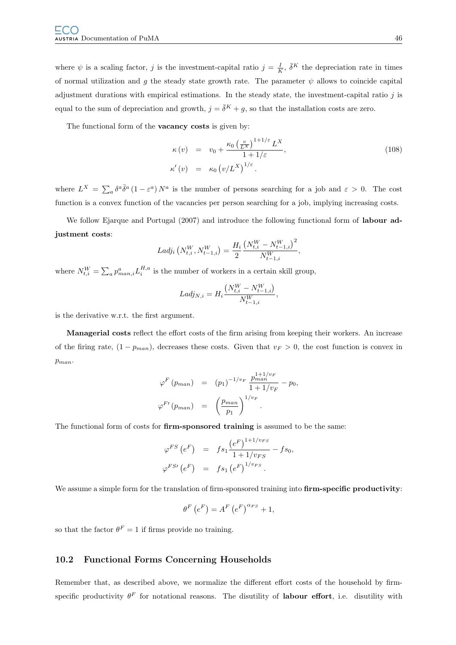where  $\psi$  is a scaling factor, j is the investment-capital ratio  $j = \frac{I}{K}$ ,  $\bar{\delta}^K$  the depreciation rate in times of normal utilization and g the steady state growth rate. The parameter  $\psi$  allows to coincide capital adjustment durations with empirical estimations. In the steady state, the investment-capital ratio  $j$  is equal to the sum of depreciation and growth,  $j = \overline{\delta}^K + g$ , so that the installation costs are zero.

The functional form of the **vacancy costs** is given by:

<span id="page-49-0"></span>
$$
\kappa(v) = v_0 + \frac{\kappa_0 \left(\frac{v}{L^X}\right)^{1+1/\varepsilon} L^X}{1+1/\varepsilon},
$$
\n
$$
\kappa'(v) = \kappa_0 \left(v/L^X\right)^{1/\varepsilon}.
$$
\n(108)

where  $L^X = \sum_a \delta^a \bar{\delta}^a (1 - \varepsilon^a) N^a$  is the number of persons searching for a job and  $\varepsilon > 0$ . The cost function is a convex function of the vacancies per person searching for a job, implying increasing costs.

We follow Ejarque and Portugal (2007) and introduce the following functional form of labour adjustment costs:

$$
Ladj_i\left(N_{t,i}^W, N_{t-1,i}^W\right) = \frac{H_i}{2} \frac{\left(N_{t,i}^W - N_{t-1,i}^W\right)^2}{N_{t-1,i}^W},
$$

where  $N_{t,i}^W = \sum_a p_{man,i}^a L_i^{H,a}$  is the number of workers in a certain skill group,

$$
Ladj_{N,i} = H_i \frac{(N_{t,i}^W - N_{t-1,i}^W)}{N_{t-1,i}^W},
$$

is the derivative w.r.t. the first argument.

Managerial costs reflect the effort costs of the firm arising from keeping their workers. An increase of the firing rate,  $(1 - p_{man})$ , decreases these costs. Given that  $v_F > 0$ , the cost function is convex in  $p_{man}$ .

$$
\varphi^F (p_{man}) = (p_1)^{-1/v_F} \frac{p_{man}^{1+1/v_F}}{1+1/v_F} - p_0,
$$
  

$$
\varphi^{F'} (p_{man}) = \left(\frac{p_{man}}{p_1}\right)^{1/v_F}.
$$

The functional form of costs for firm-sponsored training is assumed to be the same:

$$
\varphi^{FS} (e^F) = f s_1 \frac{(e^F)^{1+1/v_{FS}}}{1+1/v_{FS}} - f s_0,
$$
  

$$
\varphi^{FS} (e^F) = f s_1 (e^F)^{1/v_{FS}}.
$$

We assume a simple form for the translation of firm-sponsored training into firm-specific productivity:

$$
\theta^F\left(e^F\right) = A^F\left(e^F\right)^{\alpha_{FS}} + 1,
$$

so that the factor  $\theta^F = 1$  if firms provide no training.

## 10.2 Functional Forms Concerning Households

Remember that, as described above, we normalize the different effort costs of the household by firmspecific productivity  $\theta^F$  for notational reasons. The disutility of **labour effort**, i.e. disutility with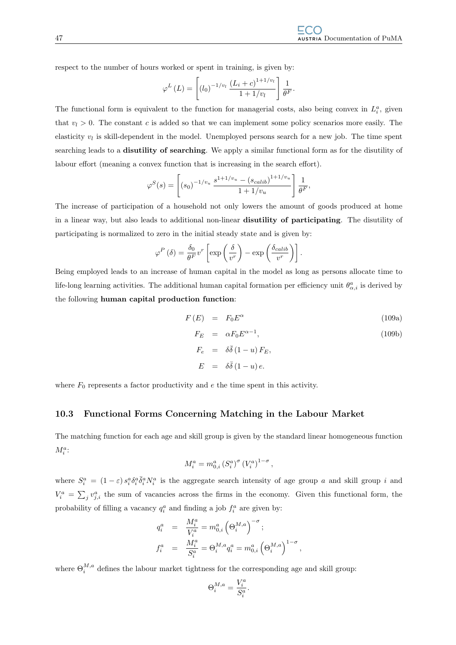respect to the number of hours worked or spent in training, is given by:

$$
\varphi^{L}(L) = \left[ (l_0)^{-1/v_l} \frac{(L_i + c)^{1+1/v_l}}{1 + 1/v_l} \right] \frac{1}{\theta^F}.
$$

The functional form is equivalent to the function for managerial costs, also being convex in  $L_i^a$ , given that  $v_l > 0$ . The constant c is added so that we can implement some policy scenarios more easily. The elasticity  $v_l$  is skill-dependent in the model. Unemployed persons search for a new job. The time spent searching leads to a disutility of searching. We apply a similar functional form as for the disutility of labour effort (meaning a convex function that is increasing in the search effort).

$$
\varphi^{S}(s) = \left[ (s_0)^{-1/v_u} \frac{s^{1+1/v_u} - (s_{calib})^{1+1/v_u}}{1+1/v_u} \right] \frac{1}{\theta^F},
$$

The increase of participation of a household not only lowers the amount of goods produced at home in a linear way, but also leads to additional non-linear disutility of participating. The disutility of participating is normalized to zero in the initial steady state and is given by:

$$
\varphi^P(\delta) = \frac{\delta_0}{\theta^F} v^r \left[ \exp\left(\frac{\delta}{v^r}\right) - \exp\left(\frac{\delta_{calib}}{v^r}\right) \right].
$$

Being employed leads to an increase of human capital in the model as long as persons allocate time to life-long learning activities. The additional human capital formation per efficiency unit  $\theta^a_{\alpha,i}$  is derived by the following human capital production function:

$$
F(E) = F_0 E^{\alpha} \tag{109a}
$$

$$
F_E = \alpha F_0 E^{\alpha - 1},
$$
  
\n
$$
F_e = \delta \bar{\delta} (1 - u) F_E,
$$
  
\n
$$
E = \delta \bar{\delta} (1 - u) e.
$$
  
\n(109b)

,

where  $F_0$  represents a factor productivity and  $e$  the time spent in this activity.

## 10.3 Functional Forms Concerning Matching in the Labour Market

The matching function for each age and skill group is given by the standard linear homogeneous function  $M^a_i\colon$ 

$$
M_i^a = m_{0,i}^a \left( S_i^a \right)^{\sigma} \left( V_i^a \right)^{1-\sigma},
$$

where  $S_i^a = (1 - \varepsilon) s_i^a \delta_i^a \overline{\delta}_i^a N_i^a$  is the aggregate search intensity of age group a and skill group i and  $V_i^a = \sum_j v_{j,i}^a$  the sum of vacancies across the firms in the economy. Given this functional form, the probability of filling a vacancy  $q_i^a$  and finding a job  $f_i^a$  are given by:

$$
q_i^a = \frac{M_i^a}{V_i^a} = m_{0,i}^a \left(\Theta_i^{M,a}\right)^{-\sigma};
$$
  

$$
f_i^a = \frac{M_i^a}{S_i^a} = \Theta_i^{M,a} q_i^a = m_{0,i}^a \left(\Theta_i^{M,a}\right)^{1-\sigma}
$$

where  $\Theta_i^{M,a}$  defines the labour market tightness for the corresponding age and skill group:

Θ

$$
\Theta_i^{M,a} = \frac{V_i^a}{S_i^a}.
$$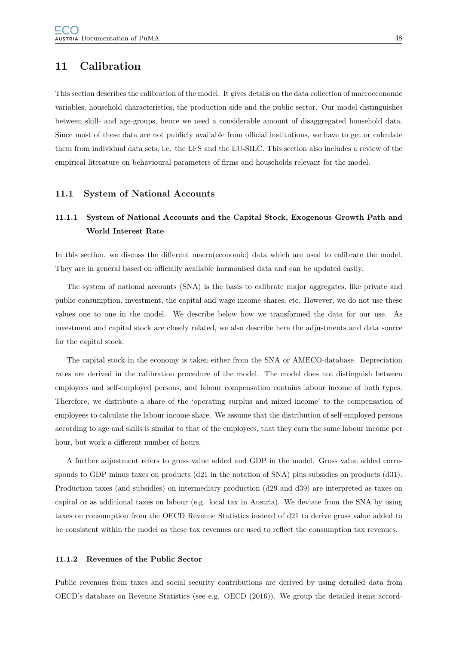# 11 Calibration

This section describes the calibration of the model. It gives details on the data collection of macroeconomic variables, household characteristics, the production side and the public sector. Our model distinguishes between skill- and age-groups, hence we need a considerable amount of disaggregated household data. Since most of these data are not publicly available from official institutions, we have to get or calculate them from individual data sets, i.e. the LFS and the EU-SILC. This section also includes a review of the empirical literature on behavioural parameters of firms and households relevant for the model.

## 11.1 System of National Accounts

# <span id="page-51-0"></span>11.1.1 System of National Accounts and the Capital Stock, Exogenous Growth Path and World Interest Rate

In this section, we discuss the different macro(economic) data which are used to calibrate the model. They are in general based on officially available harmonised data and can be updated easily.

The system of national accounts (SNA) is the basis to calibrate major aggregates, like private and public consumption, investment, the capital and wage income shares, etc. However, we do not use these values one to one in the model. We describe below how we transformed the data for our use. As investment and capital stock are closely related, we also describe here the adjustments and data source for the capital stock.

The capital stock in the economy is taken either from the SNA or AMECO-database. Depreciation rates are derived in the calibration procedure of the model. The model does not distinguish between employees and self-employed persons, and labour compensation contains labour income of both types. Therefore, we distribute a share of the 'operating surplus and mixed income' to the compensation of employees to calculate the labour income share. We assume that the distribution of self-employed persons according to age and skills is similar to that of the employees, that they earn the same labour income per hour, but work a different number of hours.

A further adjustment refers to gross value added and GDP in the model. Gross value added corresponds to GDP minus taxes on products (d21 in the notation of SNA) plus subsidies on products (d31). Production taxes (and subsidies) on intermediary production (d29 and d39) are interpreted as taxes on capital or as additional taxes on labour (e.g. local tax in Austria). We deviate from the SNA by using taxes on consumption from the OECD Revenue Statistics instead of d21 to derive gross value added to be consistent within the model as these tax revenues are used to reflect the consumption tax revenues.

## 11.1.2 Revenues of the Public Sector

Public revenues from taxes and social security contributions are derived by using detailed data from OECD's database on Revenue Statistics (see e.g. OECD (2016)). We group the detailed items accord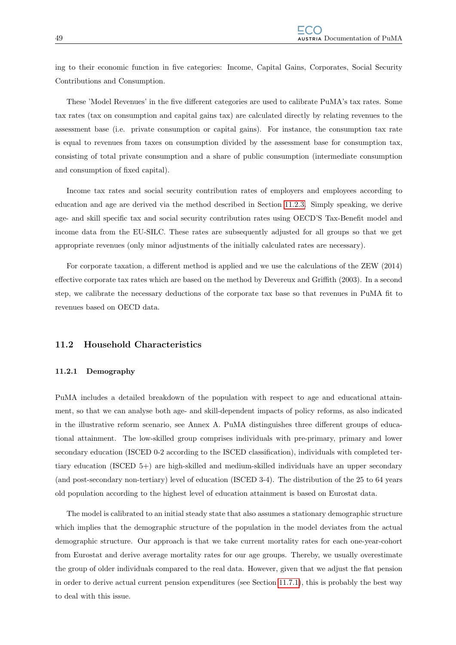ing to their economic function in five categories: Income, Capital Gains, Corporates, Social Security Contributions and Consumption.

These 'Model Revenues' in the five different categories are used to calibrate PuMA's tax rates. Some tax rates (tax on consumption and capital gains tax) are calculated directly by relating revenues to the assessment base (i.e. private consumption or capital gains). For instance, the consumption tax rate is equal to revenues from taxes on consumption divided by the assessment base for consumption tax, consisting of total private consumption and a share of public consumption (intermediate consumption and consumption of fixed capital).

Income tax rates and social security contribution rates of employers and employees according to education and age are derived via the method described in Section [11.2.3.](#page-57-0) Simply speaking, we derive age- and skill specific tax and social security contribution rates using OECD'S Tax-Benefit model and income data from the EU-SILC. These rates are subsequently adjusted for all groups so that we get appropriate revenues (only minor adjustments of the initially calculated rates are necessary).

For corporate taxation, a different method is applied and we use the calculations of the ZEW (2014) effective corporate tax rates which are based on the method by Devereux and Griffith (2003). In a second step, we calibrate the necessary deductions of the corporate tax base so that revenues in PuMA fit to revenues based on OECD data.

## 11.2 Household Characteristics

#### 11.2.1 Demography

PuMA includes a detailed breakdown of the population with respect to age and educational attainment, so that we can analyse both age- and skill-dependent impacts of policy reforms, as also indicated in the illustrative reform scenario, see Annex A. PuMA distinguishes three different groups of educational attainment. The low-skilled group comprises individuals with pre-primary, primary and lower secondary education (ISCED 0-2 according to the ISCED classification), individuals with completed tertiary education (ISCED 5+) are high-skilled and medium-skilled individuals have an upper secondary (and post-secondary non-tertiary) level of education (ISCED 3-4). The distribution of the 25 to 64 years old population according to the highest level of education attainment is based on Eurostat data.

The model is calibrated to an initial steady state that also assumes a stationary demographic structure which implies that the demographic structure of the population in the model deviates from the actual demographic structure. Our approach is that we take current mortality rates for each one-year-cohort from Eurostat and derive average mortality rates for our age groups. Thereby, we usually overestimate the group of older individuals compared to the real data. However, given that we adjust the flat pension in order to derive actual current pension expenditures (see Section [11.7.1\)](#page-73-0), this is probably the best way to deal with this issue.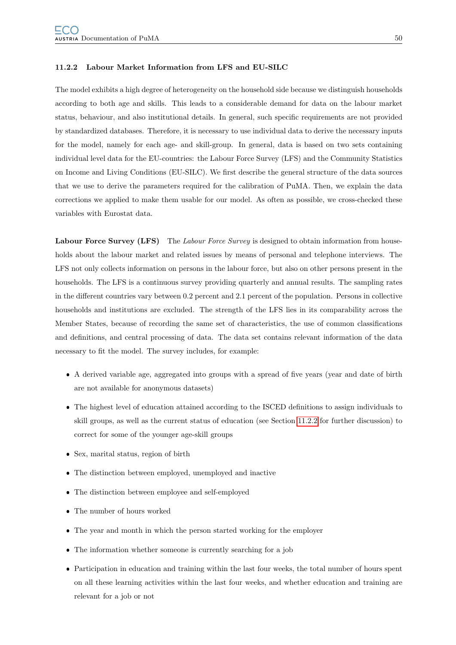#### 11.2.2 Labour Market Information from LFS and EU-SILC

The model exhibits a high degree of heterogeneity on the household side because we distinguish households according to both age and skills. This leads to a considerable demand for data on the labour market status, behaviour, and also institutional details. In general, such specific requirements are not provided by standardized databases. Therefore, it is necessary to use individual data to derive the necessary inputs for the model, namely for each age- and skill-group. In general, data is based on two sets containing individual level data for the EU-countries: the Labour Force Survey (LFS) and the Community Statistics on Income and Living Conditions (EU-SILC). We first describe the general structure of the data sources that we use to derive the parameters required for the calibration of PuMA. Then, we explain the data corrections we applied to make them usable for our model. As often as possible, we cross-checked these variables with Eurostat data.

Labour Force Survey (LFS) The Labour Force Survey is designed to obtain information from households about the labour market and related issues by means of personal and telephone interviews. The LFS not only collects information on persons in the labour force, but also on other persons present in the households. The LFS is a continuous survey providing quarterly and annual results. The sampling rates in the different countries vary between 0.2 percent and 2.1 percent of the population. Persons in collective households and institutions are excluded. The strength of the LFS lies in its comparability across the Member States, because of recording the same set of characteristics, the use of common classifications and definitions, and central processing of data. The data set contains relevant information of the data necessary to fit the model. The survey includes, for example:

- A derived variable age, aggregated into groups with a spread of five years (year and date of birth are not available for anonymous datasets)
- The highest level of education attained according to the ISCED definitions to assign individuals to skill groups, as well as the current status of education (see Section [11.2.2](#page-55-0) for further discussion) to correct for some of the younger age-skill groups
- Sex, marital status, region of birth
- The distinction between employed, unemployed and inactive
- The distinction between employee and self-employed
- The number of hours worked
- The year and month in which the person started working for the employer
- The information whether someone is currently searching for a job
- Participation in education and training within the last four weeks, the total number of hours spent on all these learning activities within the last four weeks, and whether education and training are relevant for a job or not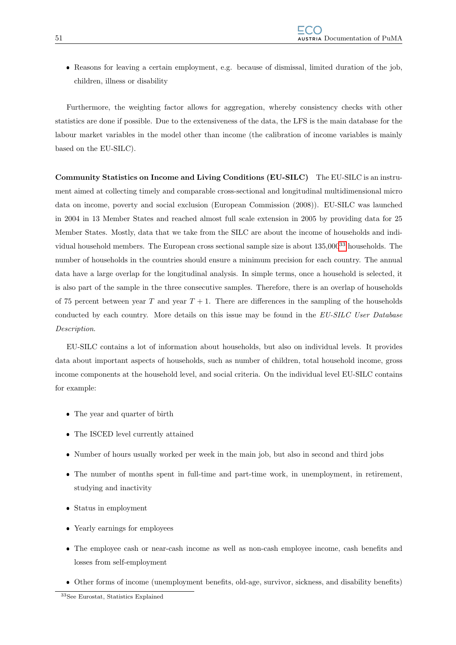Reasons for leaving a certain employment, e.g. because of dismissal, limited duration of the job, children, illness or disability

Furthermore, the weighting factor allows for aggregation, whereby consistency checks with other statistics are done if possible. Due to the extensiveness of the data, the LFS is the main database for the labour market variables in the model other than income (the calibration of income variables is mainly based on the EU-SILC).

Community Statistics on Income and Living Conditions (EU-SILC) The EU-SILC is an instrument aimed at collecting timely and comparable cross-sectional and longitudinal multidimensional micro data on income, poverty and social exclusion (European Commission (2008)). EU-SILC was launched in 2004 in 13 Member States and reached almost full scale extension in 2005 by providing data for 25 Member States. Mostly, data that we take from the SILC are about the income of households and individual household members. The European cross sectional sample size is about 135,000[33](#page-54-0) households. The number of households in the countries should ensure a minimum precision for each country. The annual data have a large overlap for the longitudinal analysis. In simple terms, once a household is selected, it is also part of the sample in the three consecutive samples. Therefore, there is an overlap of households of 75 percent between year T and year  $T + 1$ . There are differences in the sampling of the households conducted by each country. More details on this issue may be found in the EU-SILC User Database Description.

EU-SILC contains a lot of information about households, but also on individual levels. It provides data about important aspects of households, such as number of children, total household income, gross income components at the household level, and social criteria. On the individual level EU-SILC contains for example:

- The year and quarter of birth
- The ISCED level currently attained
- Number of hours usually worked per week in the main job, but also in second and third jobs
- The number of months spent in full-time and part-time work, in unemployment, in retirement, studying and inactivity
- Status in employment
- Yearly earnings for employees
- The employee cash or near-cash income as well as non-cash employee income, cash benefits and losses from self-employment
- Other forms of income (unemployment benefits, old-age, survivor, sickness, and disability benefits)

<span id="page-54-0"></span><sup>33</sup>See Eurostat, Statistics Explained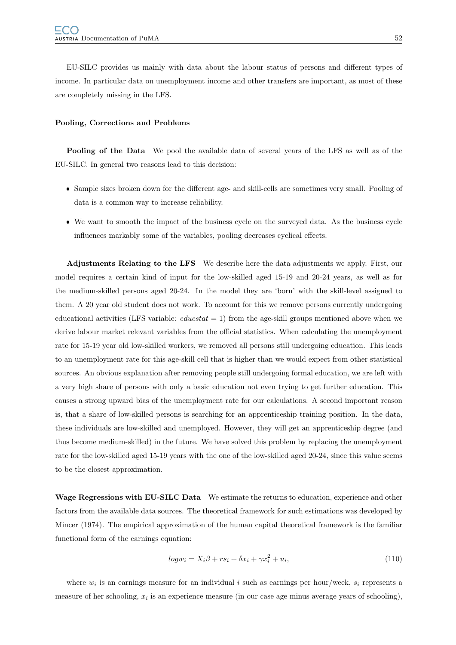EU-SILC provides us mainly with data about the labour status of persons and different types of income. In particular data on unemployment income and other transfers are important, as most of these are completely missing in the LFS.

#### <span id="page-55-0"></span>Pooling, Corrections and Problems

Pooling of the Data We pool the available data of several years of the LFS as well as of the EU-SILC. In general two reasons lead to this decision:

- Sample sizes broken down for the different age- and skill-cells are sometimes very small. Pooling of data is a common way to increase reliability.
- We want to smooth the impact of the business cycle on the surveyed data. As the business cycle influences markably some of the variables, pooling decreases cyclical effects.

Adjustments Relating to the LFS We describe here the data adjustments we apply. First, our model requires a certain kind of input for the low-skilled aged 15-19 and 20-24 years, as well as for the medium-skilled persons aged 20-24. In the model they are 'born' with the skill-level assigned to them. A 20 year old student does not work. To account for this we remove persons currently undergoing educational activities (LFS variable:  $educstat = 1$ ) from the age-skill groups mentioned above when we derive labour market relevant variables from the official statistics. When calculating the unemployment rate for 15-19 year old low-skilled workers, we removed all persons still undergoing education. This leads to an unemployment rate for this age-skill cell that is higher than we would expect from other statistical sources. An obvious explanation after removing people still undergoing formal education, we are left with a very high share of persons with only a basic education not even trying to get further education. This causes a strong upward bias of the unemployment rate for our calculations. A second important reason is, that a share of low-skilled persons is searching for an apprenticeship training position. In the data, these individuals are low-skilled and unemployed. However, they will get an apprenticeship degree (and thus become medium-skilled) in the future. We have solved this problem by replacing the unemployment rate for the low-skilled aged 15-19 years with the one of the low-skilled aged 20-24, since this value seems to be the closest approximation.

Wage Regressions with EU-SILC Data We estimate the returns to education, experience and other factors from the available data sources. The theoretical framework for such estimations was developed by Mincer (1974). The empirical approximation of the human capital theoretical framework is the familiar functional form of the earnings equation:

$$
log w_i = X_i \beta + rs_i + \delta x_i + \gamma x_i^2 + u_i,
$$
\n(110)

where  $w_i$  is an earnings measure for an individual i such as earnings per hour/week,  $s_i$  represents a measure of her schooling,  $x_i$  is an experience measure (in our case age minus average years of schooling),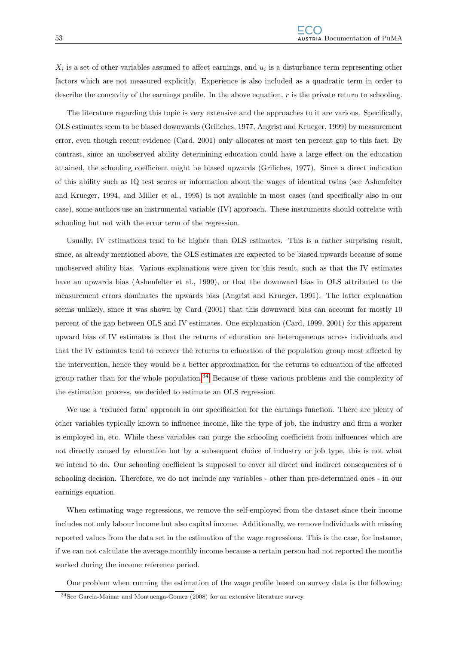$X_i$  is a set of other variables assumed to affect earnings, and  $u_i$  is a disturbance term representing other factors which are not measured explicitly. Experience is also included as a quadratic term in order to describe the concavity of the earnings profile. In the above equation, r is the private return to schooling.

The literature regarding this topic is very extensive and the approaches to it are various. Specifically, OLS estimates seem to be biased downwards (Griliches, 1977, Angrist and Krueger, 1999) by measurement error, even though recent evidence (Card, 2001) only allocates at most ten percent gap to this fact. By contrast, since an unobserved ability determining education could have a large effect on the education attained, the schooling coefficient might be biased upwards (Griliches, 1977). Since a direct indication of this ability such as IQ test scores or information about the wages of identical twins (see Ashenfelter and Krueger, 1994, and Miller et al., 1995) is not available in most cases (and specifically also in our case), some authors use an instrumental variable (IV) approach. These instruments should correlate with schooling but not with the error term of the regression.

Usually, IV estimations tend to be higher than OLS estimates. This is a rather surprising result, since, as already mentioned above, the OLS estimates are expected to be biased upwards because of some unobserved ability bias. Various explanations were given for this result, such as that the IV estimates have an upwards bias (Ashenfelter et al., 1999), or that the downward bias in OLS attributed to the measurement errors dominates the upwards bias (Angrist and Krueger, 1991). The latter explanation seems unlikely, since it was shown by Card (2001) that this downward bias can account for mostly 10 percent of the gap between OLS and IV estimates. One explanation (Card, 1999, 2001) for this apparent upward bias of IV estimates is that the returns of education are heterogeneous across individuals and that the IV estimates tend to recover the returns to education of the population group most affected by the intervention, hence they would be a better approximation for the returns to education of the affected group rather than for the whole population.<sup>[34](#page-56-0)</sup> Because of these various problems and the complexity of the estimation process, we decided to estimate an OLS regression.

We use a 'reduced form' approach in our specification for the earnings function. There are plenty of other variables typically known to influence income, like the type of job, the industry and firm a worker is employed in, etc. While these variables can purge the schooling coefficient from influences which are not directly caused by education but by a subsequent choice of industry or job type, this is not what we intend to do. Our schooling coefficient is supposed to cover all direct and indirect consequences of a schooling decision. Therefore, we do not include any variables - other than pre-determined ones - in our earnings equation.

When estimating wage regressions, we remove the self-employed from the dataset since their income includes not only labour income but also capital income. Additionally, we remove individuals with missing reported values from the data set in the estimation of the wage regressions. This is the case, for instance, if we can not calculate the average monthly income because a certain person had not reported the months worked during the income reference period.

<span id="page-56-0"></span>One problem when running the estimation of the wage profile based on survey data is the following:

<sup>34</sup>See Garcia-Mainar and Montuenga-Gomez (2008) for an extensive literature survey.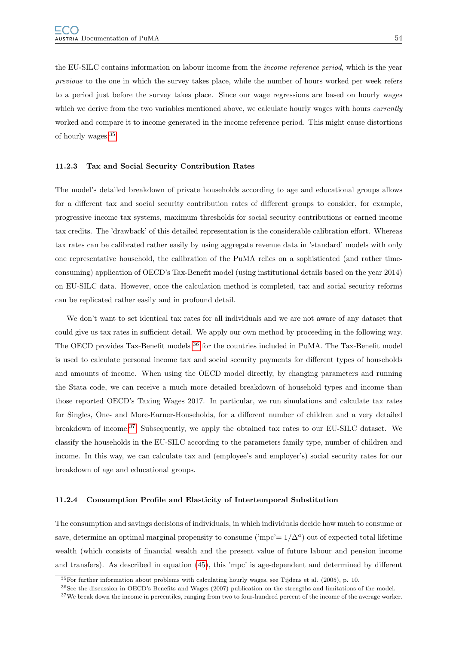the EU-SILC contains information on labour income from the income reference period, which is the year previous to the one in which the survey takes place, while the number of hours worked per week refers to a period just before the survey takes place. Since our wage regressions are based on hourly wages which we derive from the two variables mentioned above, we calculate hourly wages with hours *currently* worked and compare it to income generated in the income reference period. This might cause distortions of hourly wages.[35](#page-57-1)

#### <span id="page-57-0"></span>11.2.3 Tax and Social Security Contribution Rates

The model's detailed breakdown of private households according to age and educational groups allows for a different tax and social security contribution rates of different groups to consider, for example, progressive income tax systems, maximum thresholds for social security contributions or earned income tax credits. The 'drawback' of this detailed representation is the considerable calibration effort. Whereas tax rates can be calibrated rather easily by using aggregate revenue data in 'standard' models with only one representative household, the calibration of the PuMA relies on a sophisticated (and rather timeconsuming) application of OECD's Tax-Benefit model (using institutional details based on the year 2014) on EU-SILC data. However, once the calculation method is completed, tax and social security reforms can be replicated rather easily and in profound detail.

We don't want to set identical tax rates for all individuals and we are not aware of any dataset that could give us tax rates in sufficient detail. We apply our own method by proceeding in the following way. The OECD provides Tax-Benefit models [36](#page-57-2) for the countries included in PuMA. The Tax-Benefit model is used to calculate personal income tax and social security payments for different types of households and amounts of income. When using the OECD model directly, by changing parameters and running the Stata code, we can receive a much more detailed breakdown of household types and income than those reported OECD's Taxing Wages 2017. In particular, we run simulations and calculate tax rates for Singles, One- and More-Earner-Households, for a different number of children and a very detailed breakdown of income.[37](#page-57-3) Subsequently, we apply the obtained tax rates to our EU-SILC dataset. We classify the households in the EU-SILC according to the parameters family type, number of children and income. In this way, we can calculate tax and (employee's and employer's) social security rates for our breakdown of age and educational groups.

#### 11.2.4 Consumption Profile and Elasticity of Intertemporal Substitution

The consumption and savings decisions of individuals, in which individuals decide how much to consume or save, determine an optimal marginal propensity to consume ('mpc'=  $1/\Delta^a$ ) out of expected total lifetime wealth (which consists of financial wealth and the present value of future labour and pension income and transfers). As described in equation [\(45\)](#page-28-0), this 'mpc' is age-dependent and determined by different

<span id="page-57-2"></span><span id="page-57-1"></span><sup>35</sup>For further information about problems with calculating hourly wages, see Tijdens et al. (2005), p. 10.

<span id="page-57-3"></span><sup>36</sup>See the discussion in OECD's Benefits and Wages (2007) publication on the strengths and limitations of the model.

<sup>&</sup>lt;sup>37</sup>We break down the income in percentiles, ranging from two to four-hundred percent of the income of the average worker.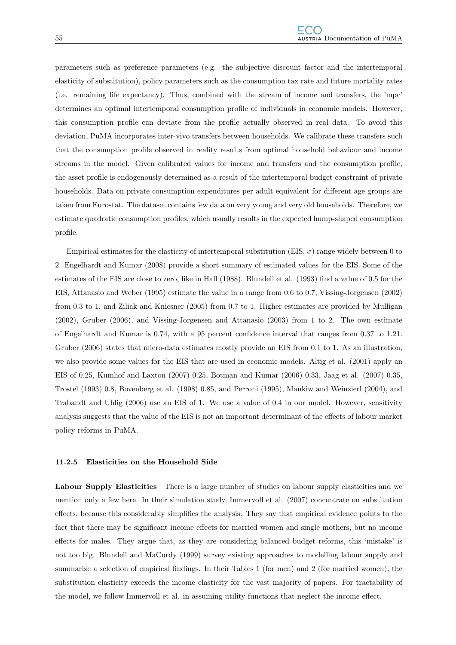parameters such as preference parameters (e.g. the subjective discount factor and the intertemporal elasticity of substitution), policy parameters such as the consumption tax rate and future mortality rates (i.e. remaining life expectancy). Thus, combined with the stream of income and transfers, the 'mpc' determines an optimal intertemporal consumption profile of individuals in economic models. However, this consumption profile can deviate from the profile actually observed in real data. To avoid this deviation, PuMA incorporates inter-vivo transfers between households. We calibrate these transfers such that the consumption profile observed in reality results from optimal household behaviour and income streams in the model. Given calibrated values for income and transfers and the consumption profile, the asset profile is endogenously determined as a result of the intertemporal budget constraint of private households. Data on private consumption expenditures per adult equivalent for different age groups are taken from Eurostat. The dataset contains few data on very young and very old households. Therefore, we estimate quadratic consumption profiles, which usually results in the expected hump-shaped consumption profile.

Empirical estimates for the elasticity of intertemporal substitution (EIS,  $\sigma$ ) range widely between 0 to 2. Engelhardt and Kumar (2008) provide a short summary of estimated values for the EIS. Some of the estimates of the EIS are close to zero, like in Hall (1988). Blundell et al. (1993) find a value of 0.5 for the EIS, Attanasio and Weber (1995) estimate the value in a range from 0.6 to 0.7, Vissing-Jorgensen (2002) from 0.3 to 1, and Ziliak and Kniesner (2005) from 0.7 to 1. Higher estimates are provided by Mulligan (2002), Gruber (2006), and Vissing-Jorgensen and Attanasio (2003) from 1 to 2. The own estimate of Engelhardt and Kumar is 0.74, with a 95 percent confidence interval that ranges from 0.37 to 1.21. Gruber (2006) states that micro-data estimates mostly provide an EIS from 0.1 to 1. As an illustration, we also provide some values for the EIS that are used in economic models. Altig et al. (2001) apply an EIS of 0.25, Kumhof and Laxton (2007) 0.25, Botman and Kumar (2006) 0.33, Jaag et al. (2007) 0.35, Trostel (1993) 0.8, Bovenberg et al. (1998) 0.85, and Perroni (1995), Mankiw and Weinzierl (2004), and Trabandt and Uhlig (2006) use an EIS of 1. We use a value of 0.4 in our model. However, sensitivity analysis suggests that the value of the EIS is not an important determinant of the effects of labour market policy reforms in PuMA.

#### 11.2.5 Elasticities on the Household Side

Labour Supply Elasticities There is a large number of studies on labour supply elasticities and we mention only a few here. In their simulation study, Immervoll et al. (2007) concentrate on substitution effects, because this considerably simplifies the analysis. They say that empirical evidence points to the fact that there may be significant income effects for married women and single mothers, but no income effects for males. They argue that, as they are considering balanced budget reforms, this 'mistake' is not too big. Blundell and MaCurdy (1999) survey existing approaches to modelling labour supply and summarize a selection of empirical findings. In their Tables 1 (for men) and 2 (for married women), the substitution elasticity exceeds the income elasticity for the vast majority of papers. For tractability of the model, we follow Immervoll et al. in assuming utility functions that neglect the income effect.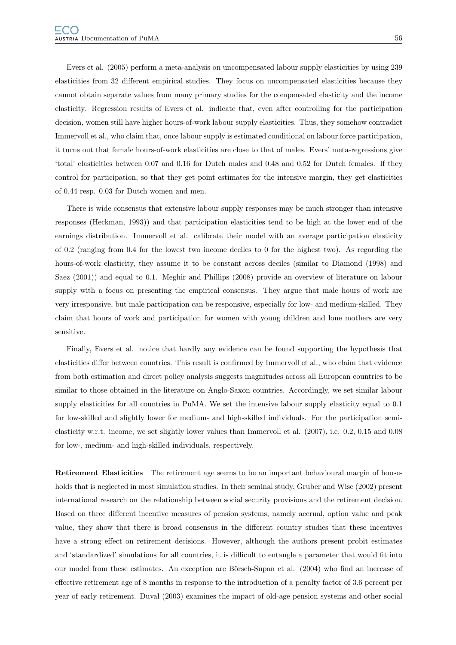Evers et al. (2005) perform a meta-analysis on uncompensated labour supply elasticities by using 239 elasticities from 32 different empirical studies. They focus on uncompensated elasticities because they cannot obtain separate values from many primary studies for the compensated elasticity and the income elasticity. Regression results of Evers et al. indicate that, even after controlling for the participation decision, women still have higher hours-of-work labour supply elasticities. Thus, they somehow contradict Immervoll et al., who claim that, once labour supply is estimated conditional on labour force participation, it turns out that female hours-of-work elasticities are close to that of males. Evers' meta-regressions give 'total' elasticities between 0.07 and 0.16 for Dutch males and 0.48 and 0.52 for Dutch females. If they control for participation, so that they get point estimates for the intensive margin, they get elasticities of 0.44 resp. 0.03 for Dutch women and men.

There is wide consensus that extensive labour supply responses may be much stronger than intensive responses (Heckman, 1993)) and that participation elasticities tend to be high at the lower end of the earnings distribution. Immervoll et al. calibrate their model with an average participation elasticity of 0.2 (ranging from 0.4 for the lowest two income deciles to 0 for the highest two). As regarding the hours-of-work elasticity, they assume it to be constant across deciles (similar to Diamond (1998) and Saez (2001)) and equal to 0.1. Meghir and Phillips (2008) provide an overview of literature on labour supply with a focus on presenting the empirical consensus. They argue that male hours of work are very irresponsive, but male participation can be responsive, especially for low- and medium-skilled. They claim that hours of work and participation for women with young children and lone mothers are very sensitive.

Finally, Evers et al. notice that hardly any evidence can be found supporting the hypothesis that elasticities differ between countries. This result is confirmed by Immervoll et al., who claim that evidence from both estimation and direct policy analysis suggests magnitudes across all European countries to be similar to those obtained in the literature on Anglo-Saxon countries. Accordingly, we set similar labour supply elasticities for all countries in PuMA. We set the intensive labour supply elasticity equal to 0.1 for low-skilled and slightly lower for medium- and high-skilled individuals. For the participation semielasticity w.r.t. income, we set slightly lower values than Immervoll et al. (2007), i.e. 0.2, 0.15 and 0.08 for low-, medium- and high-skilled individuals, respectively.

Retirement Elasticities The retirement age seems to be an important behavioural margin of households that is neglected in most simulation studies. In their seminal study, Gruber and Wise (2002) present international research on the relationship between social security provisions and the retirement decision. Based on three different incentive measures of pension systems, namely accrual, option value and peak value, they show that there is broad consensus in the different country studies that these incentives have a strong effect on retirement decisions. However, although the authors present probit estimates and 'standardized' simulations for all countries, it is difficult to entangle a parameter that would fit into our model from these estimates. An exception are Börsch-Supan et al. (2004) who find an increase of effective retirement age of 8 months in response to the introduction of a penalty factor of 3.6 percent per year of early retirement. Duval (2003) examines the impact of old-age pension systems and other social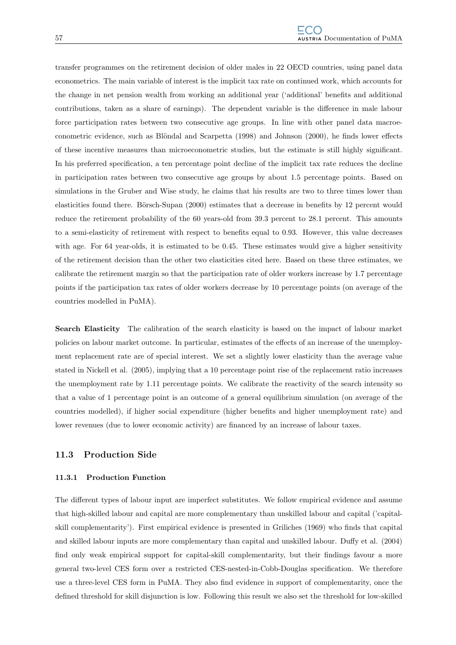transfer programmes on the retirement decision of older males in 22 OECD countries, using panel data econometrics. The main variable of interest is the implicit tax rate on continued work, which accounts for the change in net pension wealth from working an additional year ('additional' benefits and additional contributions, taken as a share of earnings). The dependent variable is the difference in male labour force participation rates between two consecutive age groups. In line with other panel data macroeconometric evidence, such as Blöndal and Scarpetta (1998) and Johnson (2000), he finds lower effects of these incentive measures than microeconometric studies, but the estimate is still highly significant. In his preferred specification, a ten percentage point decline of the implicit tax rate reduces the decline in participation rates between two consecutive age groups by about 1.5 percentage points. Based on simulations in the Gruber and Wise study, he claims that his results are two to three times lower than elasticities found there. Börsch-Supan (2000) estimates that a decrease in benefits by 12 percent would reduce the retirement probability of the 60 years-old from 39.3 percent to 28.1 percent. This amounts to a semi-elasticity of retirement with respect to benefits equal to 0.93. However, this value decreases with age. For 64 year-olds, it is estimated to be 0.45. These estimates would give a higher sensitivity of the retirement decision than the other two elasticities cited here. Based on these three estimates, we calibrate the retirement margin so that the participation rate of older workers increase by 1.7 percentage points if the participation tax rates of older workers decrease by 10 percentage points (on average of the countries modelled in PuMA).

Search Elasticity The calibration of the search elasticity is based on the impact of labour market policies on labour market outcome. In particular, estimates of the effects of an increase of the unemployment replacement rate are of special interest. We set a slightly lower elasticity than the average value stated in Nickell et al. (2005), implying that a 10 percentage point rise of the replacement ratio increases the unemployment rate by 1.11 percentage points. We calibrate the reactivity of the search intensity so that a value of 1 percentage point is an outcome of a general equilibrium simulation (on average of the countries modelled), if higher social expenditure (higher benefits and higher unemployment rate) and lower revenues (due to lower economic activity) are financed by an increase of labour taxes.

## 11.3 Production Side

#### 11.3.1 Production Function

The different types of labour input are imperfect substitutes. We follow empirical evidence and assume that high-skilled labour and capital are more complementary than unskilled labour and capital ('capitalskill complementarity'). First empirical evidence is presented in Griliches (1969) who finds that capital and skilled labour inputs are more complementary than capital and unskilled labour. Duffy et al. (2004) find only weak empirical support for capital-skill complementarity, but their findings favour a more general two-level CES form over a restricted CES-nested-in-Cobb-Douglas specification. We therefore use a three-level CES form in PuMA. They also find evidence in support of complementarity, once the defined threshold for skill disjunction is low. Following this result we also set the threshold for low-skilled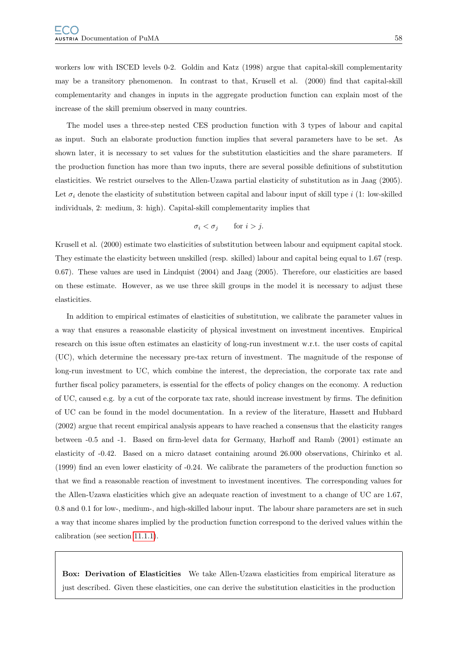workers low with ISCED levels 0-2. Goldin and Katz (1998) argue that capital-skill complementarity may be a transitory phenomenon. In contrast to that, Krusell et al. (2000) find that capital-skill complementarity and changes in inputs in the aggregate production function can explain most of the increase of the skill premium observed in many countries.

The model uses a three-step nested CES production function with 3 types of labour and capital as input. Such an elaborate production function implies that several parameters have to be set. As shown later, it is necessary to set values for the substitution elasticities and the share parameters. If the production function has more than two inputs, there are several possible definitions of substitution elasticities. We restrict ourselves to the Allen-Uzawa partial elasticity of substitution as in Jaag (2005). Let  $\sigma_i$  denote the elasticity of substitution between capital and labour input of skill type i (1: low-skilled individuals, 2: medium, 3: high). Capital-skill complementarity implies that

$$
\sigma_i < \sigma_j \qquad \text{for } i > j.
$$

Krusell et al. (2000) estimate two elasticities of substitution between labour and equipment capital stock. They estimate the elasticity between unskilled (resp. skilled) labour and capital being equal to 1.67 (resp. 0.67). These values are used in Lindquist (2004) and Jaag (2005). Therefore, our elasticities are based on these estimate. However, as we use three skill groups in the model it is necessary to adjust these elasticities.

In addition to empirical estimates of elasticities of substitution, we calibrate the parameter values in a way that ensures a reasonable elasticity of physical investment on investment incentives. Empirical research on this issue often estimates an elasticity of long-run investment w.r.t. the user costs of capital (UC), which determine the necessary pre-tax return of investment. The magnitude of the response of long-run investment to UC, which combine the interest, the depreciation, the corporate tax rate and further fiscal policy parameters, is essential for the effects of policy changes on the economy. A reduction of UC, caused e.g. by a cut of the corporate tax rate, should increase investment by firms. The definition of UC can be found in the model documentation. In a review of the literature, Hassett and Hubbard (2002) argue that recent empirical analysis appears to have reached a consensus that the elasticity ranges between -0.5 and -1. Based on firm-level data for Germany, Harhoff and Ramb (2001) estimate an elasticity of -0.42. Based on a micro dataset containing around 26.000 observations, Chirinko et al. (1999) find an even lower elasticity of -0.24. We calibrate the parameters of the production function so that we find a reasonable reaction of investment to investment incentives. The corresponding values for the Allen-Uzawa elasticities which give an adequate reaction of investment to a change of UC are 1.67, 0.8 and 0.1 for low-, medium-, and high-skilled labour input. The labour share parameters are set in such a way that income shares implied by the production function correspond to the derived values within the calibration (see section [11.1.1\)](#page-51-0).

Box: Derivation of Elasticities We take Allen-Uzawa elasticities from empirical literature as just described. Given these elasticities, one can derive the substitution elasticities in the production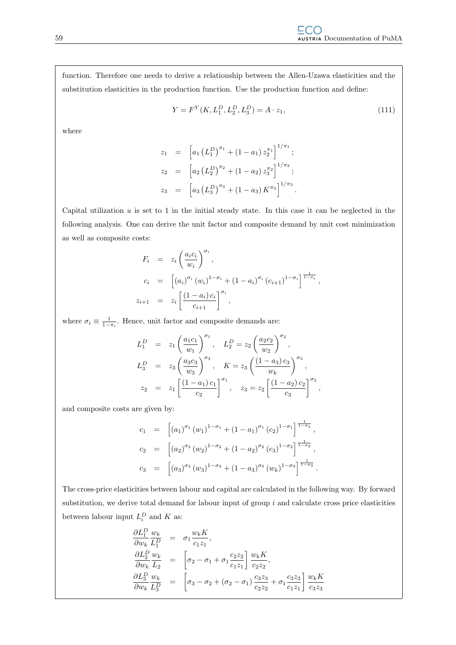function. Therefore one needs to derive a relationship between the Allen-Uzawa elasticities and the substitution elasticities in the production function. Use the production function and define:

<span id="page-62-0"></span>
$$
Y = F^{Y}(K, L_1^D, L_2^D, L_3^D) = A \cdot z_1,
$$
\n(111)

where

$$
z_1 = \left[a_1 \left(L_1^D\right)^{\pi_1} + \left(1 - a_1\right) z_2^{\pi_1}\right]^{1/\pi_1};
$$
  
\n
$$
z_2 = \left[a_2 \left(L_2^D\right)^{\pi_2} + \left(1 - a_2\right) z_3^{\pi_2}\right]^{1/\pi_2};
$$
  
\n
$$
z_3 = \left[a_3 \left(L_3^D\right)^{\pi_3} + \left(1 - a_3\right)K^{\pi_3}\right]^{1/\pi_3}.
$$

Capital utilization  $u$  is set to 1 in the initial steady state. In this case it can be neglected in the following analysis. One can derive the unit factor and composite demand by unit cost minimization as well as composite costs:

$$
F_i = z_i \left(\frac{a_i c_i}{w_i}\right)^{\sigma_i},
$$
  
\n
$$
c_i = \left[ (a_i)^{\sigma_i} (w_i)^{1-\sigma_i} + (1-a_i)^{\sigma_i} (c_{i+1})^{1-\sigma_i} \right]^{\frac{1}{1-\sigma_i}},
$$
  
\n
$$
z_{i+1} = z_i \left[ \frac{(1-a_i) c_i}{c_{i+1}} \right]^{\sigma_i},
$$

where  $\sigma_i \equiv \frac{1}{1-\pi_i}$ . Hence, unit factor and composite demands are:

$$
L_1^D = z_1 \left(\frac{a_1 c_1}{w_1}\right)^{\sigma_1}, \quad L_2^D = z_2 \left(\frac{a_2 c_2}{w_2}\right)^{\sigma_2},
$$
  
\n
$$
L_3^D = z_3 \left(\frac{a_3 c_3}{w_3}\right)^{\sigma_3}, \quad K = z_3 \left(\frac{(1 - a_3) c_3}{w_k}\right)^{\sigma_3},
$$
  
\n
$$
z_2 = z_1 \left[\frac{(1 - a_1) c_1}{c_2}\right]^{\sigma_1}, \quad z_3 = z_2 \left[\frac{(1 - a_2) c_2}{c_3}\right]^{\sigma_2},
$$

and composite costs are given by:

$$
c_1 = [(a_1)^{\sigma_1} (w_1)^{1-\sigma_1} + (1-a_1)^{\sigma_1} (c_2)^{1-\sigma_1}]^{\frac{1}{1-\sigma_1}},
$$
  
\n
$$
c_2 = [(a_2)^{\sigma_2} (w_2)^{1-\sigma_2} + (1-a_2)^{\sigma_2} (c_3)^{1-\sigma_2}]^{\frac{1}{1-\sigma_2}},
$$
  
\n
$$
c_3 = [(a_3)^{\sigma_3} (w_3)^{1-\sigma_3} + (1-a_3)^{\sigma_3} (w_3)^{1-\sigma_3}]^{\frac{1}{1-\sigma_3}}.
$$

The cross-price elasticities between labour and capital are calculated in the following way. By forward substitution, we derive total demand for labour input of group  $i$  and calculate cross price elasticities between labour input  $L_i^D$  and K as:

$$
\frac{\partial L_1^D}{\partial w_k} \frac{w_k}{L_1^D} = \sigma_1 \frac{w_k K}{c_1 z_1},
$$
\n
$$
\frac{\partial L_2^D}{\partial w_k} \frac{w_k}{L_2} = \left[ \sigma_2 - \sigma_1 + \sigma_1 \frac{c_2 z_2}{c_1 z_1} \right] \frac{w_k K}{c_2 z_2},
$$
\n
$$
\frac{\partial L_3^D}{\partial w_k} \frac{w_k}{L_3^D} = \left[ \sigma_3 - \sigma_2 + (\sigma_2 - \sigma_1) \frac{c_3 z_3}{c_2 z_2} + \sigma_1 \frac{c_3 z_3}{c_1 z_1} \right] \frac{w_k K}{c_3 z_3}
$$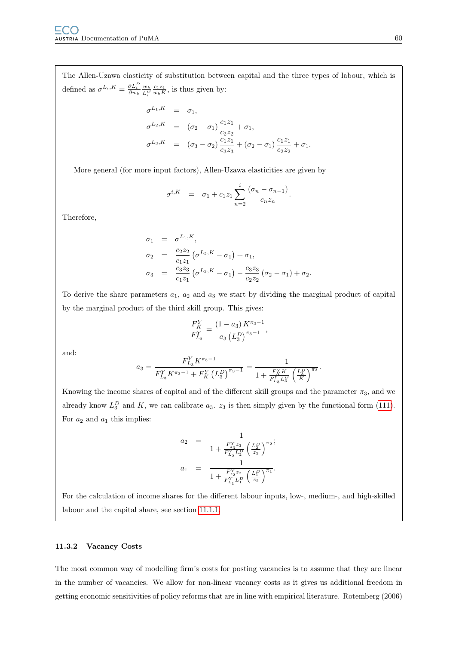The Allen-Uzawa elasticity of substitution between capital and the three types of labour, which is defined as  $\sigma^{L_i, K} = \frac{\partial L_i^D}{\partial w_k} \frac{w_k}{L_i^D}$  $\frac{c_1 z_1}{w_k K}$ , is thus given by:

$$
\sigma^{L_1, K} = \sigma_1,
$$
  
\n
$$
\sigma^{L_2, K} = (\sigma_2 - \sigma_1) \frac{c_1 z_1}{c_2 z_2} + \sigma_1,
$$
  
\n
$$
\sigma^{L_3, K} = (\sigma_3 - \sigma_2) \frac{c_1 z_1}{c_3 z_3} + (\sigma_2 - \sigma_1) \frac{c_1 z_1}{c_2 z_2} + \sigma_1.
$$

More general (for more input factors), Allen-Uzawa elasticities are given by

$$
\sigma^{i,K} = \sigma_1 + c_1 z_1 \sum_{n=2}^i \frac{(\sigma_n - \sigma_{n-1})}{c_n z_n}.
$$

Therefore,

$$
\sigma_1 = \sigma^{L_1, K},
$$
  
\n
$$
\sigma_2 = \frac{c_2 z_2}{c_1 z_1} (\sigma^{L_2, K} - \sigma_1) + \sigma_1,
$$
  
\n
$$
\sigma_3 = \frac{c_3 z_3}{c_1 z_1} (\sigma^{L_3, K} - \sigma_1) - \frac{c_3 z_3}{c_2 z_2} (\sigma_2 - \sigma_1) + \sigma_2.
$$

To derive the share parameters  $a_1$ ,  $a_2$  and  $a_3$  we start by dividing the marginal product of capital by the marginal product of the third skill group. This gives:

$$
\frac{F_K^Y}{F_{L_3}^Y} = \frac{(1 - a_3) K^{\pi_3 - 1}}{a_3 (L_3^D)^{\pi_3 - 1}},
$$

and:

$$
a_3 = \frac{F_{L_3}^Y K^{\pi_3 - 1}}{F_{L_3}^Y K^{\pi_3 - 1} + F_K^Y (L_3^D)^{\pi_3 - 1}} = \frac{1}{1 + \frac{F_K^Y K}{F_{L_3}^Y L_3^D} \left(\frac{L_3^D}{K}\right)^{\pi_3}}.
$$

Knowing the income shares of capital and of the different skill groups and the parameter  $\pi_3$ , and we already know  $L_3^D$  and K, we can calibrate  $a_3$ .  $z_3$  is then simply given by the functional form [\(111\)](#page-62-0). For  $a_2$  and  $a_1$  this implies:

$$
\begin{array}{rcl} a_2 & = & \displaystyle \frac{1}{1+\frac{F_{23}^Y z_3}{F_{22}^Y L_2^D}\left(\frac{L_2^D}{z_3}\right)^{\pi_2}}; \\ a_1 & = & \displaystyle \frac{1}{1+\frac{F_{z_2}^Y z_2}{F_{L_1}^Y L_1^D}\left(\frac{L_1^D}{z_2}\right)^{\pi_1}}. \end{array}
$$

For the calculation of income shares for the different labour inputs, low-, medium-, and high-skilled labour and the capital share, see section [11.1.1.](#page-51-0)

## 11.3.2 Vacancy Costs

The most common way of modelling firm's costs for posting vacancies is to assume that they are linear in the number of vacancies. We allow for non-linear vacancy costs as it gives us additional freedom in getting economic sensitivities of policy reforms that are in line with empirical literature. Rotemberg (2006)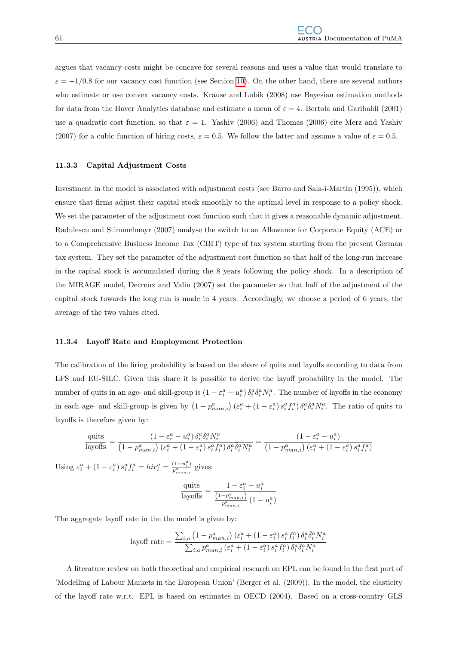argues that vacancy costs might be concave for several reasons and uses a value that would translate to  $\varepsilon = -1/0.8$  for our vacancy cost function (see Section [10\)](#page-48-0). On the other hand, there are several authors who estimate or use convex vacancy costs. Krause and Lubik (2008) use Bayesian estimation methods for data from the Haver Analytics database and estimate a mean of  $\varepsilon = 4$ . Bertola and Garibaldi (2001) use a quadratic cost function, so that  $\varepsilon = 1$ . Yashiv (2006) and Thomas (2006) cite Merz and Yashiv (2007) for a cubic function of hiring costs,  $\varepsilon = 0.5$ . We follow the latter and assume a value of  $\varepsilon = 0.5$ .

#### 11.3.3 Capital Adjustment Costs

Investment in the model is associated with adjustment costs (see Barro and Sala-i-Martin (1995)), which ensure that firms adjust their capital stock smoothly to the optimal level in response to a policy shock. We set the parameter of the adjustment cost function such that it gives a reasonable dynamic adjustment. Radulescu and Stimmelmayr (2007) analyse the switch to an Allowance for Corporate Equity (ACE) or to a Comprehensive Business Income Tax (CBIT) type of tax system starting from the present German tax system. They set the parameter of the adjustment cost function so that half of the long-run increase in the capital stock is accumulated during the 8 years following the policy shock. In a description of the MIRAGE model, Decreux and Valin (2007) set the parameter so that half of the adjustment of the capital stock towards the long run is made in 4 years. Accordingly, we choose a period of 6 years, the average of the two values cited.

#### 11.3.4 Layoff Rate and Employment Protection

The calibration of the firing probability is based on the share of quits and layoffs according to data from LFS and EU-SILC. Given this share it is possible to derive the layoff probability in the model. The number of quits in an age- and skill-group is  $(1 - \varepsilon_i^a - u_i^a) \delta_i^a \overline{\delta}_i^a N_i^a$ . The number of layoffs in the economy in each age- and skill-group is given by  $(1-p_{man,i}^a)(\varepsilon_i^a + (1-\varepsilon_i^a)s_i^af_i^a)\delta_i^a\overline{\delta}_i^aN_i^a$ . The ratio of quits to layoffs is therefore given by:

$$
\frac{\text{quits}}{\text{layoffs}} = \frac{\left(1 - \varepsilon_i^a - u_i^a\right)\delta_i^a \bar{\delta}_i^a N_i^a}{\left(1 - p_{man,i}^a\right)\left(\varepsilon_i^a + \left(1 - \varepsilon_i^a\right)s_i^a f_i^a\right)\delta_i^a \bar{\delta}_i^a N_i^a} = \frac{\left(1 - \varepsilon_i^a - u_i^a\right)}{\left(1 - p_{man,i}^a\right)\left(\varepsilon_i^a + \left(1 - \varepsilon_i^a\right)s_i^a f_i^a\right)}
$$

Using  $\varepsilon_i^a + (1 - \varepsilon_i^a) s_i^a f_i^a = h i r_i^a = \frac{(1 - u_i^a)}{p_a^a}$  $\frac{(1-u_i)}{p_{man,i}^a}$  gives:

$$
\frac{\text{quits}}{\text{layoffs}} = \frac{1 - \varepsilon_i^a - u_i^a}{\frac{\left(1 - p_{man,i}^a\right)}{p_{man,i}^a} \left(1 - u_i^a\right)}
$$

The aggregate layoff rate in the the model is given by:

$$
\text{layoff rate} = \frac{\sum_{i,a} \left(1 - p_{man,i}^a\right) \left(\varepsilon_i^a + \left(1 - \varepsilon_i^a\right) s_i^a f_i^a\right) \delta_i^a \bar{\delta}_i^a N_i^a}{\sum_{i,a} p_{man,i}^a \left(\varepsilon_i^a + \left(1 - \varepsilon_i^a\right) s_i^a f_i^a\right) \delta_i^a \bar{\delta}_i^a N_i^a}
$$

A literature review on both theoretical and empirical research on EPL can be found in the first part of 'Modelling of Labour Markets in the European Union' (Berger et al. (2009)). In the model, the elasticity of the layoff rate w.r.t. EPL is based on estimates in OECD (2004). Based on a cross-country GLS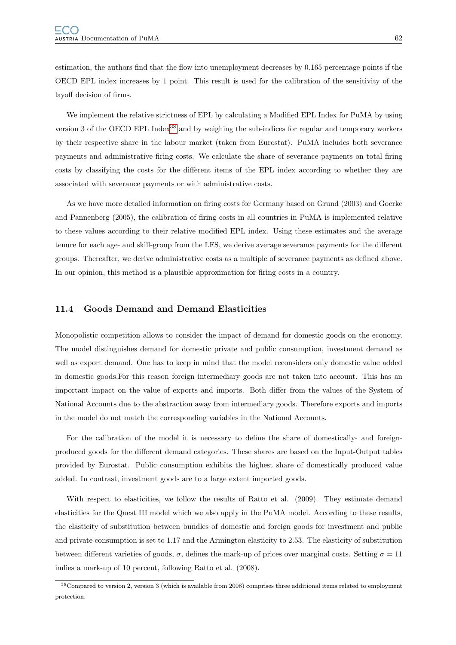estimation, the authors find that the flow into unemployment decreases by 0.165 percentage points if the OECD EPL index increases by 1 point. This result is used for the calibration of the sensitivity of the layoff decision of firms.

We implement the relative strictness of EPL by calculating a Modified EPL Index for PuMA by using version 3 of the OECD EPL Index<sup>[38](#page-65-0)</sup> and by weighing the sub-indices for regular and temporary workers by their respective share in the labour market (taken from Eurostat). PuMA includes both severance payments and administrative firing costs. We calculate the share of severance payments on total firing costs by classifying the costs for the different items of the EPL index according to whether they are associated with severance payments or with administrative costs.

As we have more detailed information on firing costs for Germany based on Grund (2003) and Goerke and Pannenberg (2005), the calibration of firing costs in all countries in PuMA is implemented relative to these values according to their relative modified EPL index. Using these estimates and the average tenure for each age- and skill-group from the LFS, we derive average severance payments for the different groups. Thereafter, we derive administrative costs as a multiple of severance payments as defined above. In our opinion, this method is a plausible approximation for firing costs in a country.

#### 11.4 Goods Demand and Demand Elasticities

Monopolistic competition allows to consider the impact of demand for domestic goods on the economy. The model distinguishes demand for domestic private and public consumption, investment demand as well as export demand. One has to keep in mind that the model reconsiders only domestic value added in domestic goods.For this reason foreign intermediary goods are not taken into account. This has an important impact on the value of exports and imports. Both differ from the values of the System of National Accounts due to the abstraction away from intermediary goods. Therefore exports and imports in the model do not match the corresponding variables in the National Accounts.

For the calibration of the model it is necessary to define the share of domestically- and foreignproduced goods for the different demand categories. These shares are based on the Input-Output tables provided by Eurostat. Public consumption exhibits the highest share of domestically produced value added. In contrast, investment goods are to a large extent imported goods.

With respect to elasticities, we follow the results of Ratto et al. (2009). They estimate demand elasticities for the Quest III model which we also apply in the PuMA model. According to these results, the elasticity of substitution between bundles of domestic and foreign goods for investment and public and private consumption is set to 1.17 and the Armington elasticity to 2.53. The elasticity of substitution between different varieties of goods,  $\sigma$ , defines the mark-up of prices over marginal costs. Setting  $\sigma = 11$ imlies a mark-up of 10 percent, following Ratto et al. (2008).

<span id="page-65-0"></span><sup>38</sup>Compared to version 2, version 3 (which is available from 2008) comprises three additional items related to employment protection.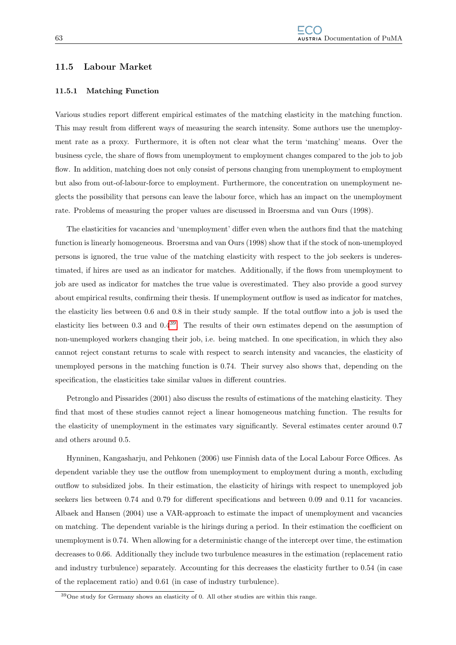## <span id="page-66-1"></span>11.5 Labour Market

#### 11.5.1 Matching Function

Various studies report different empirical estimates of the matching elasticity in the matching function. This may result from different ways of measuring the search intensity. Some authors use the unemployment rate as a proxy. Furthermore, it is often not clear what the term 'matching' means. Over the business cycle, the share of flows from unemployment to employment changes compared to the job to job flow. In addition, matching does not only consist of persons changing from unemployment to employment but also from out-of-labour-force to employment. Furthermore, the concentration on unemployment neglects the possibility that persons can leave the labour force, which has an impact on the unemployment rate. Problems of measuring the proper values are discussed in Broersma and van Ours (1998).

The elasticities for vacancies and 'unemployment' differ even when the authors find that the matching function is linearly homogeneous. Broersma and van Ours (1998) show that if the stock of non-unemployed persons is ignored, the true value of the matching elasticity with respect to the job seekers is underestimated, if hires are used as an indicator for matches. Additionally, if the flows from unemployment to job are used as indicator for matches the true value is overestimated. They also provide a good survey about empirical results, confirming their thesis. If unemployment outflow is used as indicator for matches, the elasticity lies between 0.6 and 0.8 in their study sample. If the total outflow into a job is used the elasticity lies between 0.3 and 0.4[39](#page-66-0). The results of their own estimates depend on the assumption of non-unemployed workers changing their job, i.e. being matched. In one specification, in which they also cannot reject constant returns to scale with respect to search intensity and vacancies, the elasticity of unemployed persons in the matching function is 0.74. Their survey also shows that, depending on the specification, the elasticities take similar values in different countries.

Petronglo and Pissarides (2001) also discuss the results of estimations of the matching elasticity. They find that most of these studies cannot reject a linear homogeneous matching function. The results for the elasticity of unemployment in the estimates vary significantly. Several estimates center around 0.7 and others around 0.5.

Hynninen, Kangasharju, and Pehkonen (2006) use Finnish data of the Local Labour Force Offices. As dependent variable they use the outflow from unemployment to employment during a month, excluding outflow to subsidized jobs. In their estimation, the elasticity of hirings with respect to unemployed job seekers lies between 0.74 and 0.79 for different specifications and between 0.09 and 0.11 for vacancies. Albaek and Hansen (2004) use a VAR-approach to estimate the impact of unemployment and vacancies on matching. The dependent variable is the hirings during a period. In their estimation the coefficient on unemployment is 0.74. When allowing for a deterministic change of the intercept over time, the estimation decreases to 0.66. Additionally they include two turbulence measures in the estimation (replacement ratio and industry turbulence) separately. Accounting for this decreases the elasticity further to 0.54 (in case of the replacement ratio) and 0.61 (in case of industry turbulence).

<span id="page-66-0"></span><sup>39</sup>One study for Germany shows an elasticity of 0. All other studies are within this range.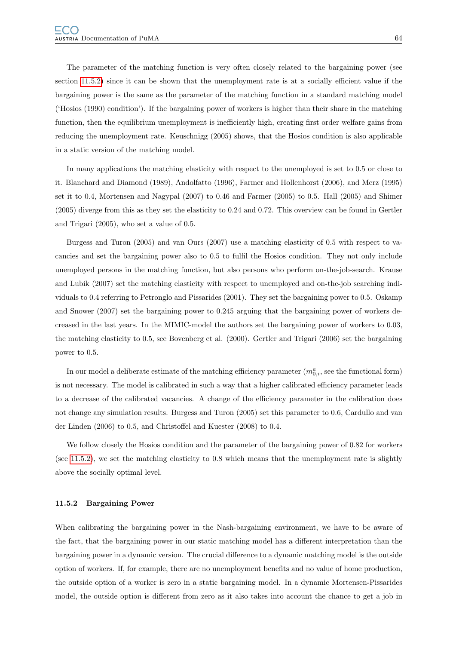The parameter of the matching function is very often closely related to the bargaining power (see section [11.5.2\)](#page-67-0) since it can be shown that the unemployment rate is at a socially efficient value if the bargaining power is the same as the parameter of the matching function in a standard matching model ('Hosios (1990) condition'). If the bargaining power of workers is higher than their share in the matching function, then the equilibrium unemployment is inefficiently high, creating first order welfare gains from reducing the unemployment rate. Keuschnigg (2005) shows, that the Hosios condition is also applicable in a static version of the matching model.

In many applications the matching elasticity with respect to the unemployed is set to 0.5 or close to it. Blanchard and Diamond (1989), Andolfatto (1996), Farmer and Hollenhorst (2006), and Merz (1995) set it to 0.4, Mortensen and Nagypal (2007) to 0.46 and Farmer (2005) to 0.5. Hall (2005) and Shimer (2005) diverge from this as they set the elasticity to 0.24 and 0.72. This overview can be found in Gertler and Trigari (2005), who set a value of 0.5.

Burgess and Turon (2005) and van Ours (2007) use a matching elasticity of 0.5 with respect to vacancies and set the bargaining power also to 0.5 to fulfil the Hosios condition. They not only include unemployed persons in the matching function, but also persons who perform on-the-job-search. Krause and Lubik (2007) set the matching elasticity with respect to unemployed and on-the-job searching individuals to 0.4 referring to Petronglo and Pissarides (2001). They set the bargaining power to 0.5. Oskamp and Snower (2007) set the bargaining power to 0.245 arguing that the bargaining power of workers decreased in the last years. In the MIMIC-model the authors set the bargaining power of workers to 0.03, the matching elasticity to 0.5, see Bovenberg et al. (2000). Gertler and Trigari (2006) set the bargaining power to 0.5.

In our model a deliberate estimate of the matching efficiency parameter  $(m_{0,i}^a$ , see the functional form) is not necessary. The model is calibrated in such a way that a higher calibrated efficiency parameter leads to a decrease of the calibrated vacancies. A change of the efficiency parameter in the calibration does not change any simulation results. Burgess and Turon (2005) set this parameter to 0.6, Cardullo and van der Linden (2006) to 0.5, and Christoffel and Kuester (2008) to 0.4.

We follow closely the Hosios condition and the parameter of the bargaining power of 0.82 for workers (see [11.5.2\)](#page-67-0), we set the matching elasticity to 0.8 which means that the unemployment rate is slightly above the socially optimal level.

#### <span id="page-67-0"></span>11.5.2 Bargaining Power

When calibrating the bargaining power in the Nash-bargaining environment, we have to be aware of the fact, that the bargaining power in our static matching model has a different interpretation than the bargaining power in a dynamic version. The crucial difference to a dynamic matching model is the outside option of workers. If, for example, there are no unemployment benefits and no value of home production, the outside option of a worker is zero in a static bargaining model. In a dynamic Mortensen-Pissarides model, the outside option is different from zero as it also takes into account the chance to get a job in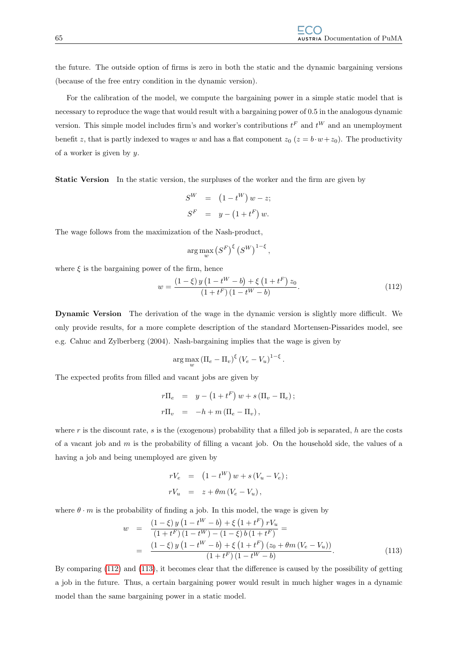the future. The outside option of firms is zero in both the static and the dynamic bargaining versions (because of the free entry condition in the dynamic version).

For the calibration of the model, we compute the bargaining power in a simple static model that is necessary to reproduce the wage that would result with a bargaining power of 0.5 in the analogous dynamic version. This simple model includes firm's and worker's contributions  $t^F$  and  $t^W$  and an unemployment benefit z, that is partly indexed to wages w and has a flat component  $z_0$  ( $z = b \cdot w + z_0$ ). The productivity of a worker is given by y.

Static Version In the static version, the surpluses of the worker and the firm are given by

$$
S^{W} = (1 - t^{W}) w - z;
$$
  

$$
S^{F} = y - (1 + t^{F}) w.
$$

The wage follows from the maximization of the Nash-product,

$$
\arg\max_{w} (S^{F})^{\xi} (S^{W})^{1-\xi},
$$

where  $\xi$  is the bargaining power of the firm, hence

<span id="page-68-0"></span>
$$
w = \frac{(1 - \xi) y (1 - t^{W} - b) + \xi (1 + t^{F}) z_{0}}{(1 + t^{F})(1 - t^{W} - b)}.
$$
\n(112)

Dynamic Version The derivation of the wage in the dynamic version is slightly more difficult. We only provide results, for a more complete description of the standard Mortensen-Pissarides model, see e.g. Cahuc and Zylberberg (2004). Nash-bargaining implies that the wage is given by

$$
\arg\max_{w} \left(\Pi_e - \Pi_v\right)^{\xi} \left(V_e - V_u\right)^{1-\xi}.
$$

The expected profits from filled and vacant jobs are given by

$$
r\Pi_e = y - (1 + t^F) w + s (\Pi_v - \Pi_e);
$$
  

$$
r\Pi_v = -h + m (\Pi_e - \Pi_v),
$$

where r is the discount rate, s is the (exogenous) probability that a filled job is separated, h are the costs of a vacant job and  $m$  is the probability of filling a vacant job. On the household side, the values of a having a job and being unemployed are given by

$$
rV_e = (1 - t^W) w + s (V_u - V_e);
$$
  
\n
$$
rV_u = z + \theta m (V_e - V_u),
$$

where  $\theta \cdot m$  is the probability of finding a job. In this model, the wage is given by

<span id="page-68-1"></span>
$$
w = \frac{(1-\xi) y (1-t^{W}-b) + \xi (1+t^{F}) r V_{u}}{(1+t^{F}) (1-t^{W}) - (1-\xi) b (1+t^{F})} =
$$
  
= 
$$
\frac{(1-\xi) y (1-t^{W}-b) + \xi (1+t^{F}) (z_{0} + \theta m (V_{e} - V_{u}))}{(1+t^{F}) (1-t^{W}-b)}.
$$
 (113)

By comparing [\(112\)](#page-68-0) and [\(113\)](#page-68-1), it becomes clear that the difference is caused by the possibility of getting a job in the future. Thus, a certain bargaining power would result in much higher wages in a dynamic model than the same bargaining power in a static model.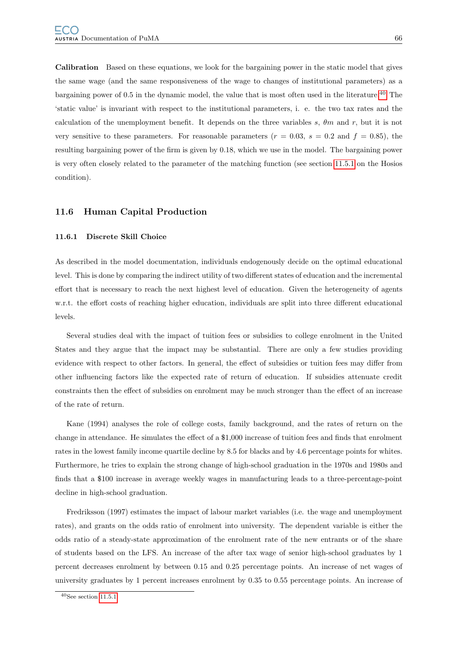Calibration Based on these equations, we look for the bargaining power in the static model that gives the same wage (and the same responsiveness of the wage to changes of institutional parameters) as a bargaining power of 0.5 in the dynamic model, the value that is most often used in the literature.<sup>[40](#page-69-0)</sup> The 'static value' is invariant with respect to the institutional parameters, i. e. the two tax rates and the calculation of the unemployment benefit. It depends on the three variables s,  $\theta m$  and r, but it is not very sensitive to these parameters. For reasonable parameters ( $r = 0.03$ ,  $s = 0.2$  and  $f = 0.85$ ), the resulting bargaining power of the firm is given by 0.18, which we use in the model. The bargaining power is very often closely related to the parameter of the matching function (see section [11.5.1](#page-66-1) on the Hosios condition).

## 11.6 Human Capital Production

#### 11.6.1 Discrete Skill Choice

As described in the model documentation, individuals endogenously decide on the optimal educational level. This is done by comparing the indirect utility of two different states of education and the incremental effort that is necessary to reach the next highest level of education. Given the heterogeneity of agents w.r.t. the effort costs of reaching higher education, individuals are split into three different educational levels.

Several studies deal with the impact of tuition fees or subsidies to college enrolment in the United States and they argue that the impact may be substantial. There are only a few studies providing evidence with respect to other factors. In general, the effect of subsidies or tuition fees may differ from other influencing factors like the expected rate of return of education. If subsidies attenuate credit constraints then the effect of subsidies on enrolment may be much stronger than the effect of an increase of the rate of return.

Kane (1994) analyses the role of college costs, family background, and the rates of return on the change in attendance. He simulates the effect of a \$1,000 increase of tuition fees and finds that enrolment rates in the lowest family income quartile decline by 8.5 for blacks and by 4.6 percentage points for whites. Furthermore, he tries to explain the strong change of high-school graduation in the 1970s and 1980s and finds that a \$100 increase in average weekly wages in manufacturing leads to a three-percentage-point decline in high-school graduation.

Fredriksson (1997) estimates the impact of labour market variables (i.e. the wage and unemployment rates), and grants on the odds ratio of enrolment into university. The dependent variable is either the odds ratio of a steady-state approximation of the enrolment rate of the new entrants or of the share of students based on the LFS. An increase of the after tax wage of senior high-school graduates by 1 percent decreases enrolment by between 0.15 and 0.25 percentage points. An increase of net wages of university graduates by 1 percent increases enrolment by 0.35 to 0.55 percentage points. An increase of

<span id="page-69-0"></span> $40$ See section [11.5.1.](#page-66-1)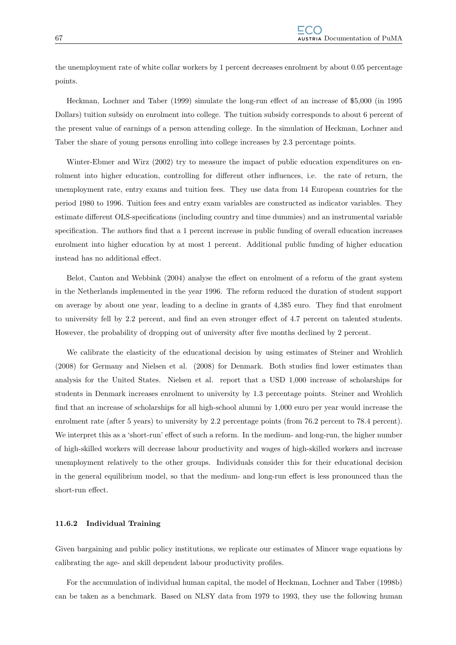the unemployment rate of white collar workers by 1 percent decreases enrolment by about 0.05 percentage points.

Heckman, Lochner and Taber (1999) simulate the long-run effect of an increase of \$5,000 (in 1995 Dollars) tuition subsidy on enrolment into college. The tuition subsidy corresponds to about 6 percent of the present value of earnings of a person attending college. In the simulation of Heckman, Lochner and Taber the share of young persons enrolling into college increases by 2.3 percentage points.

Winter-Ebmer and Wirz (2002) try to measure the impact of public education expenditures on enrolment into higher education, controlling for different other influences, i.e. the rate of return, the unemployment rate, entry exams and tuition fees. They use data from 14 European countries for the period 1980 to 1996. Tuition fees and entry exam variables are constructed as indicator variables. They estimate different OLS-specifications (including country and time dummies) and an instrumental variable specification. The authors find that a 1 percent increase in public funding of overall education increases enrolment into higher education by at most 1 percent. Additional public funding of higher education instead has no additional effect.

Belot, Canton and Webbink (2004) analyse the effect on enrolment of a reform of the grant system in the Netherlands implemented in the year 1996. The reform reduced the duration of student support on average by about one year, leading to a decline in grants of 4,385 euro. They find that enrolment to university fell by 2.2 percent, and find an even stronger effect of 4.7 percent on talented students. However, the probability of dropping out of university after five months declined by 2 percent.

We calibrate the elasticity of the educational decision by using estimates of Steiner and Wrohlich (2008) for Germany and Nielsen et al. (2008) for Denmark. Both studies find lower estimates than analysis for the United States. Nielsen et al. report that a USD 1,000 increase of scholarships for students in Denmark increases enrolment to university by 1.3 percentage points. Steiner and Wrohlich find that an increase of scholarships for all high-school alumni by 1,000 euro per year would increase the enrolment rate (after 5 years) to university by 2.2 percentage points (from 76.2 percent to 78.4 percent). We interpret this as a 'short-run' effect of such a reform. In the medium- and long-run, the higher number of high-skilled workers will decrease labour productivity and wages of high-skilled workers and increase unemployment relatively to the other groups. Individuals consider this for their educational decision in the general equilibrium model, so that the medium- and long-run effect is less pronounced than the short-run effect.

## 11.6.2 Individual Training

Given bargaining and public policy institutions, we replicate our estimates of Mincer wage equations by calibrating the age- and skill dependent labour productivity profiles.

For the accumulation of individual human capital, the model of Heckman, Lochner and Taber (1998b) can be taken as a benchmark. Based on NLSY data from 1979 to 1993, they use the following human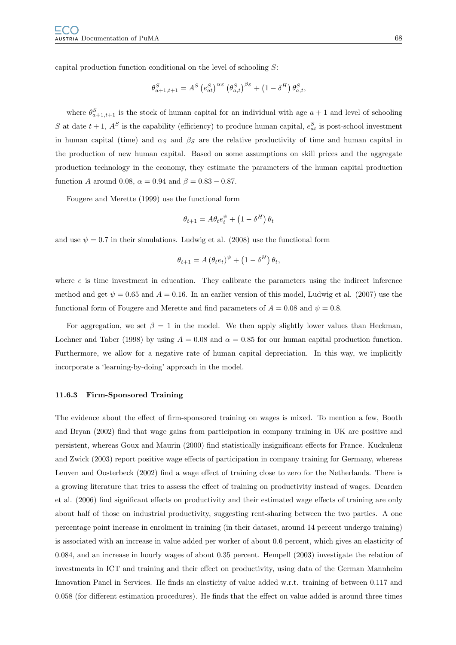capital production function conditional on the level of schooling S:

$$
\theta_{a+1,t+1}^{S} = A^{S} \left( e_{at}^{S} \right)^{\alpha_{S}} \left( \theta_{a,t}^{S} \right)^{\beta_{S}} + \left( 1 - \delta^{H} \right) \theta_{a,t}^{S},
$$

where  $\theta_{a+1,t+1}^S$  is the stock of human capital for an individual with age  $a+1$  and level of schooling S at date  $t + 1$ ,  $A<sup>S</sup>$  is the capability (efficiency) to produce human capital,  $e_{at}^S$  is post-school investment in human capital (time) and  $\alpha_S$  and  $\beta_S$  are the relative productivity of time and human capital in the production of new human capital. Based on some assumptions on skill prices and the aggregate production technology in the economy, they estimate the parameters of the human capital production function A around 0.08,  $\alpha = 0.94$  and  $\beta = 0.83 - 0.87$ .

Fougere and Merette (1999) use the functional form

$$
\theta_{t+1} = A\theta_t e_t^{\psi} + \left(1 - \delta^H\right)\theta_t
$$

and use  $\psi = 0.7$  in their simulations. Ludwig et al. (2008) use the functional form

$$
\theta_{t+1} = A (\theta_t e_t)^{\psi} + (1 - \delta^H) \theta_t,
$$

where  $e$  is time investment in education. They calibrate the parameters using the indirect inference method and get  $\psi = 0.65$  and  $A = 0.16$ . In an earlier version of this model, Ludwig et al. (2007) use the functional form of Fougere and Merette and find parameters of  $A = 0.08$  and  $\psi = 0.8$ .

For aggregation, we set  $\beta = 1$  in the model. We then apply slightly lower values than Heckman, Lochner and Taber (1998) by using  $A = 0.08$  and  $\alpha = 0.85$  for our human capital production function. Furthermore, we allow for a negative rate of human capital depreciation. In this way, we implicitly incorporate a 'learning-by-doing' approach in the model.

#### 11.6.3 Firm-Sponsored Training

The evidence about the effect of firm-sponsored training on wages is mixed. To mention a few, Booth and Bryan (2002) find that wage gains from participation in company training in UK are positive and persistent, whereas Goux and Maurin (2000) find statistically insignificant effects for France. Kuckulenz and Zwick (2003) report positive wage effects of participation in company training for Germany, whereas Leuven and Oosterbeck (2002) find a wage effect of training close to zero for the Netherlands. There is a growing literature that tries to assess the effect of training on productivity instead of wages. Dearden et al. (2006) find significant effects on productivity and their estimated wage effects of training are only about half of those on industrial productivity, suggesting rent-sharing between the two parties. A one percentage point increase in enrolment in training (in their dataset, around 14 percent undergo training) is associated with an increase in value added per worker of about 0.6 percent, which gives an elasticity of 0.084, and an increase in hourly wages of about 0.35 percent. Hempell (2003) investigate the relation of investments in ICT and training and their effect on productivity, using data of the German Mannheim Innovation Panel in Services. He finds an elasticity of value added w.r.t. training of between 0.117 and 0.058 (for different estimation procedures). He finds that the effect on value added is around three times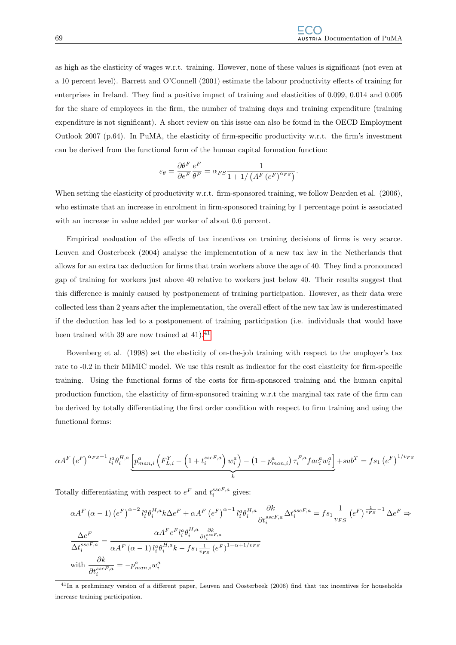as high as the elasticity of wages w.r.t. training. However, none of these values is significant (not even at a 10 percent level). Barrett and O'Connell (2001) estimate the labour productivity effects of training for enterprises in Ireland. They find a positive impact of training and elasticities of 0.099, 0.014 and 0.005 for the share of employees in the firm, the number of training days and training expenditure (training expenditure is not significant). A short review on this issue can also be found in the OECD Employment Outlook 2007 (p.64). In PuMA, the elasticity of firm-specific productivity w.r.t. the firm's investment can be derived from the functional form of the human capital formation function:

$$
\varepsilon_{\theta} = \frac{\partial \theta^F}{\partial e^F} \frac{e^F}{\theta^F} = \alpha_{FS} \frac{1}{1 + 1/\left(A^F \left(e^F\right)^{\alpha_{FS}}\right)}.
$$

When setting the elasticity of productivity w.r.t. firm-sponsored training, we follow Dearden et al. (2006), who estimate that an increase in enrolment in firm-sponsored training by 1 percentage point is associated with an increase in value added per worker of about 0.6 percent.

Empirical evaluation of the effects of tax incentives on training decisions of firms is very scarce. Leuven and Oosterbeek (2004) analyse the implementation of a new tax law in the Netherlands that allows for an extra tax deduction for firms that train workers above the age of 40. They find a pronounced gap of training for workers just above 40 relative to workers just below 40. Their results suggest that this difference is mainly caused by postponement of training participation. However, as their data were collected less than 2 years after the implementation, the overall effect of the new tax law is underestimated if the deduction has led to a postponement of training participation (i.e. individuals that would have been trained with 39 are now trained at  $41$ ).<sup>41</sup>

Bovenberg et al. (1998) set the elasticity of on-the-job training with respect to the employer's tax rate to -0.2 in their MIMIC model. We use this result as indicator for the cost elasticity for firm-specific training. Using the functional forms of the costs for firm-sponsored training and the human capital production function, the elasticity of firm-sponsored training w.r.t the marginal tax rate of the firm can be derived by totally differentiating the first order condition with respect to firm training and using the functional forms:

$$
\alpha A^{F} \left(e^{F}\right)^{\alpha_{FS}-1} l_{i}^{\alpha} \theta_{i}^{H,a} \underbrace{\left[p_{man,i}^{\alpha} \left(F_{L,i}^{Y} - \left(1+t_{i}^{sscF,a}\right) w_{i}^{\alpha}\right) - \left(1-p_{man,i}^{\alpha}\right) \tau_{i}^{F,a} fac_{i}^{\alpha} w_{i}^{\alpha}\right]}_{k} + sub^{T} = fs_{1} \left(e^{F}\right)^{1/v_{FS}}
$$

Totally differentiating with respect to  $e^F$  and  $t_i^{sscF,a}$  gives:

$$
\alpha A^{F}(\alpha - 1) \left(e^{F}\right)^{\alpha - 2} l_{i}^{\alpha} \theta_{i}^{H,a} k \Delta e^{F} + \alpha A^{F} \left(e^{F}\right)^{\alpha - 1} l_{i}^{\alpha} \theta_{i}^{H,a} \frac{\partial k}{\partial t_{i}^{sscF,a}} \Delta t_{i}^{sscF,a} = f s_{1} \frac{1}{v_{FS}} \left(e^{F}\right)^{\frac{1}{v_{FS}} - 1} \Delta e^{F} \Rightarrow
$$
  

$$
\frac{\Delta e^{F}}{\Delta t_{i}^{sscF,a}} = \frac{-\alpha A^{F} e^{F} l_{i}^{\alpha} \theta_{i}^{H,a} \frac{\partial k}{\partial t_{i}^{sscF,a}}}{\alpha A^{F} (\alpha - 1) l_{i}^{\alpha} \theta_{i}^{H,a} k - f s_{1} \frac{1}{v_{FS}} \left(e^{F}\right)^{1 - \alpha + 1/v_{FS}}}
$$
  
with 
$$
\frac{\partial k}{\partial t_{i}^{sscF,a}} = -p_{man,i}^{\alpha} w_{i}^{\alpha}
$$

<span id="page-72-0"></span><sup>41</sup>In a preliminary version of a different paper, Leuven and Oosterbeek (2006) find that tax incentives for households increase training participation.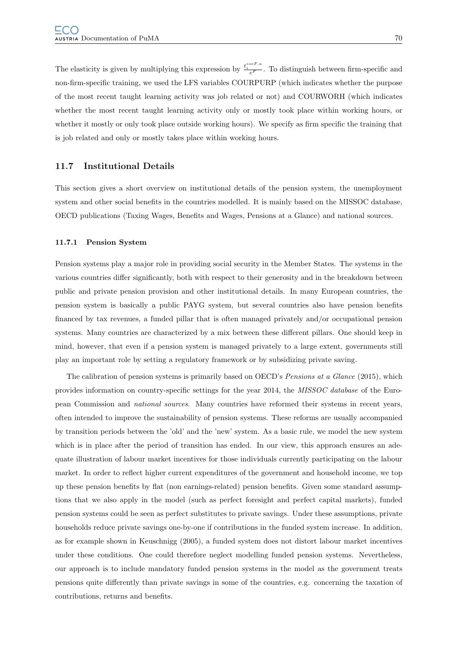The elasticity is given by multiplying this expression by  $\frac{t_i^{sscF,a}}{e^F}$ . To distinguish between firm-specific and non-firm-specific training, we used the LFS variables COURPURP (which indicates whether the purpose of the most recent taught learning activity was job related or not) and COURWORH (which indicates whether the most recent taught learning activity only or mostly took place within working hours, or whether it mostly or only took place outside working hours). We specify as firm specific the training that is job related and only or mostly takes place within working hours.

### 11.7 Institutional Details

This section gives a short overview on institutional details of the pension system, the unemployment system and other social benefits in the countries modelled. It is mainly based on the MISSOC database, OECD publications (Taxing Wages, Benefits and Wages, Pensions at a Glance) and national sources.

#### 11.7.1 Pension System

Pension systems play a major role in providing social security in the Member States. The systems in the various countries differ significantly, both with respect to their generosity and in the breakdown between public and private pension provision and other institutional details. In many European countries, the pension system is basically a public PAYG system, but several countries also have pension benefits financed by tax revenues, a funded pillar that is often managed privately and/or occupational pension systems. Many countries are characterized by a mix between these different pillars. One should keep in mind, however, that even if a pension system is managed privately to a large extent, governments still play an important role by setting a regulatory framework or by subsidizing private saving.

The calibration of pension systems is primarily based on OECD's *Pensions at a Glance* (2015), which provides information on country-specific settings for the year 2014, the MISSOC database of the European Commission and national sources. Many countries have reformed their systems in recent years, often intended to improve the sustainability of pension systems. These reforms are usually accompanied by transition periods between the 'old' and the 'new' system. As a basic rule, we model the new system which is in place after the period of transition has ended. In our view, this approach ensures an adequate illustration of labour market incentives for those individuals currently participating on the labour market. In order to reflect higher current expenditures of the government and household income, we top up these pension benefits by flat (non earnings-related) pension benefits. Given some standard assumptions that we also apply in the model (such as perfect foresight and perfect capital markets), funded pension systems could be seen as perfect substitutes to private savings. Under these assumptions, private households reduce private savings one-by-one if contributions in the funded system increase. In addition, as for example shown in Keuschnigg (2005), a funded system does not distort labour market incentives under these conditions. One could therefore neglect modelling funded pension systems. Nevertheless, our approach is to include mandatory funded pension systems in the model as the government treats pensions quite differently than private savings in some of the countries, e.g. concerning the taxation of contributions, returns and benefits.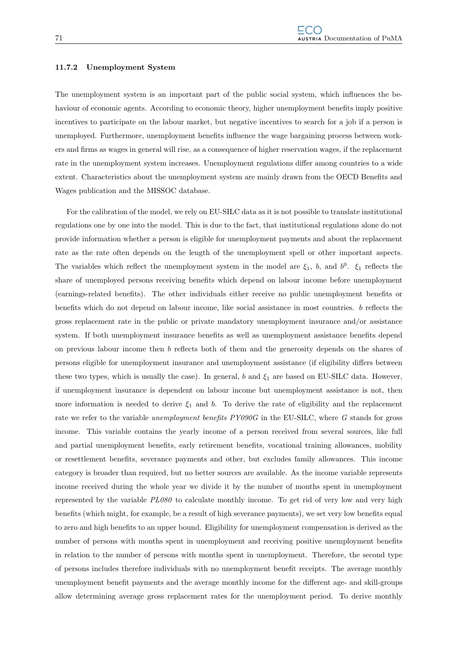#### 11.7.2 Unemployment System

The unemployment system is an important part of the public social system, which influences the behaviour of economic agents. According to economic theory, higher unemployment benefits imply positive incentives to participate on the labour market, but negative incentives to search for a job if a person is unemployed. Furthermore, unemployment benefits influence the wage bargaining process between workers and firms as wages in general will rise, as a consequence of higher reservation wages, if the replacement rate in the unemployment system increases. Unemployment regulations differ among countries to a wide extent. Characteristics about the unemployment system are mainly drawn from the OECD Benefits and Wages publication and the MISSOC database.

For the calibration of the model, we rely on EU-SILC data as it is not possible to translate institutional regulations one by one into the model. This is due to the fact, that institutional regulations alone do not provide information whether a person is eligible for unemployment payments and about the replacement rate as the rate often depends on the length of the unemployment spell or other important aspects. The variables which reflect the unemployment system in the model are  $\xi_1$ , b, and  $b^0$ .  $\xi_1$  reflects the share of unemployed persons receiving benefits which depend on labour income before unemployment (earnings-related benefits). The other individuals either receive no public unemployment benefits or benefits which do not depend on labour income, like social assistance in most countries. b reflects the gross replacement rate in the public or private mandatory unemployment insurance and/or assistance system. If both unemployment insurance benefits as well as unemployment assistance benefits depend on previous labour income then b reflects both of them and the generosity depends on the shares of persons eligible for unemployment insurance and unemployment assistance (if eligibility differs between these two types, which is usually the case). In general, b and  $\xi_1$  are based on EU-SILC data. However, if unemployment insurance is dependent on labour income but unemployment assistance is not, then more information is needed to derive  $\xi_1$  and b. To derive the rate of eligibility and the replacement rate we refer to the variable unemployment benefits  $PY090G$  in the EU-SILC, where G stands for gross income. This variable contains the yearly income of a person received from several sources, like full and partial unemployment benefits, early retirement benefits, vocational training allowances, mobility or resettlement benefits, severance payments and other, but excludes family allowances. This income category is broader than required, but no better sources are available. As the income variable represents income received during the whole year we divide it by the number of months spent in unemployment represented by the variable PL080 to calculate monthly income. To get rid of very low and very high benefits (which might, for example, be a result of high severance payments), we set very low benefits equal to zero and high benefits to an upper bound. Eligibility for unemployment compensation is derived as the number of persons with months spent in unemployment and receiving positive unemployment benefits in relation to the number of persons with months spent in unemployment. Therefore, the second type of persons includes therefore individuals with no unemployment benefit receipts. The average monthly unemployment benefit payments and the average monthly income for the different age- and skill-groups allow determining average gross replacement rates for the unemployment period. To derive monthly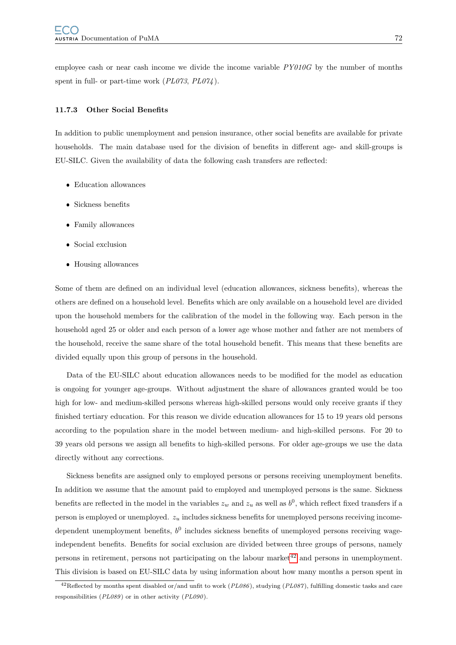employee cash or near cash income we divide the income variable  $PY010G$  by the number of months spent in full- or part-time work  $(PL073, PL074)$ .

#### 11.7.3 Other Social Benefits

In addition to public unemployment and pension insurance, other social benefits are available for private households. The main database used for the division of benefits in different age- and skill-groups is EU-SILC. Given the availability of data the following cash transfers are reflected:

- Education allowances
- Sickness benefits
- Family allowances
- Social exclusion
- Housing allowances

Some of them are defined on an individual level (education allowances, sickness benefits), whereas the others are defined on a household level. Benefits which are only available on a household level are divided upon the household members for the calibration of the model in the following way. Each person in the household aged 25 or older and each person of a lower age whose mother and father are not members of the household, receive the same share of the total household benefit. This means that these benefits are divided equally upon this group of persons in the household.

Data of the EU-SILC about education allowances needs to be modified for the model as education is ongoing for younger age-groups. Without adjustment the share of allowances granted would be too high for low- and medium-skilled persons whereas high-skilled persons would only receive grants if they finished tertiary education. For this reason we divide education allowances for 15 to 19 years old persons according to the population share in the model between medium- and high-skilled persons. For 20 to 39 years old persons we assign all benefits to high-skilled persons. For older age-groups we use the data directly without any corrections.

Sickness benefits are assigned only to employed persons or persons receiving unemployment benefits. In addition we assume that the amount paid to employed and unemployed persons is the same. Sickness benefits are reflected in the model in the variables  $z_w$  and  $z_u$  as well as  $b^0$ , which reflect fixed transfers if a person is employed or unemployed.  $z_u$  includes sickness benefits for unemployed persons receiving incomedependent unemployment benefits,  $b^0$  includes sickness benefits of unemployed persons receiving wageindependent benefits. Benefits for social exclusion are divided between three groups of persons, namely persons in retirement, persons not participating on the labour market<sup>[42](#page-75-0)</sup> and persons in unemployment. This division is based on EU-SILC data by using information about how many months a person spent in

<span id="page-75-0"></span><sup>&</sup>lt;sup>42</sup>Reflected by months spent disabled or/and unfit to work ( $PL086$ ), studying ( $PL087$ ), fulfilling domestic tasks and care responsibilities (PL089) or in other activity (PL090).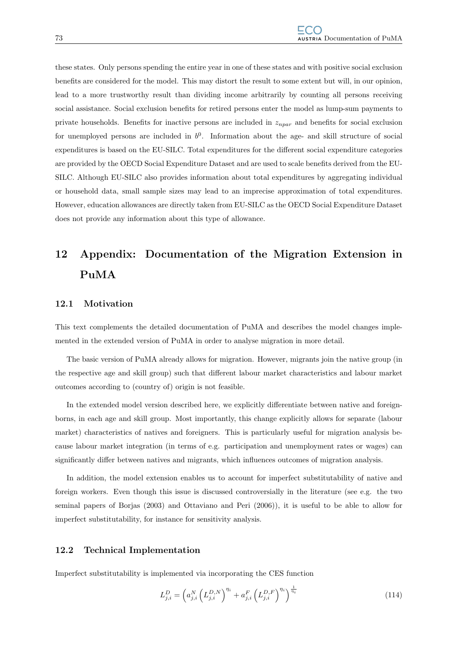these states. Only persons spending the entire year in one of these states and with positive social exclusion benefits are considered for the model. This may distort the result to some extent but will, in our opinion, lead to a more trustworthy result than dividing income arbitrarily by counting all persons receiving social assistance. Social exclusion benefits for retired persons enter the model as lump-sum payments to private households. Benefits for inactive persons are included in  $z_{npar}$  and benefits for social exclusion for unemployed persons are included in  $b^0$ . Information about the age- and skill structure of social expenditures is based on the EU-SILC. Total expenditures for the different social expenditure categories are provided by the OECD Social Expenditure Dataset and are used to scale benefits derived from the EU-SILC. Although EU-SILC also provides information about total expenditures by aggregating individual or household data, small sample sizes may lead to an imprecise approximation of total expenditures. However, education allowances are directly taken from EU-SILC as the OECD Social Expenditure Dataset does not provide any information about this type of allowance.

# 12 Appendix: Documentation of the Migration Extension in PuMA

#### 12.1 Motivation

This text complements the detailed documentation of PuMA and describes the model changes implemented in the extended version of PuMA in order to analyse migration in more detail.

The basic version of PuMA already allows for migration. However, migrants join the native group (in the respective age and skill group) such that different labour market characteristics and labour market outcomes according to (country of) origin is not feasible.

In the extended model version described here, we explicitly differentiate between native and foreignborns, in each age and skill group. Most importantly, this change explicitly allows for separate (labour market) characteristics of natives and foreigners. This is particularly useful for migration analysis because labour market integration (in terms of e.g. participation and unemployment rates or wages) can significantly differ between natives and migrants, which influences outcomes of migration analysis.

In addition, the model extension enables us to account for imperfect substitutability of native and foreign workers. Even though this issue is discussed controversially in the literature (see e.g. the two seminal papers of Borjas (2003) and Ottaviano and Peri (2006)), it is useful to be able to allow for imperfect substitutability, for instance for sensitivity analysis.

#### 12.2 Technical Implementation

Imperfect substitutability is implemented via incorporating the CES function

$$
L_{j,i}^D = \left( a_{j,i}^N \left( L_{j,i}^{D,N} \right)^{\eta_i} + a_{j,i}^F \left( L_{j,i}^{D,F} \right)^{\eta_i} \right)^{\frac{1}{\eta_i}}
$$
(114)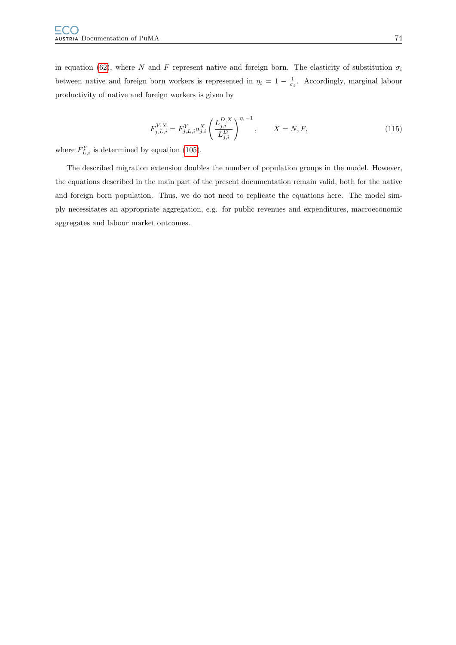in equation [\(62\)](#page-37-0), where N and F represent native and foreign born. The elasticity of substitution  $\sigma_i$ between native and foreign born workers is represented in  $\eta_i = 1 - \frac{1}{\sigma_i}$ . Accordingly, marginal labour productivity of native and foreign workers is given by

$$
F_{j,L,i}^{Y,X} = F_{j,L,i}^{Y} a_{j,i}^{X} \left( \frac{L_{j,i}^{D,X}}{L_{j,i}^{D}} \right)^{\eta_i - 1}, \qquad X = N, F,
$$
\n(115)

where  $F_{L,i}^Y$  is determined by equation [\(105\)](#page-48-0).

The described migration extension doubles the number of population groups in the model. However, the equations described in the main part of the present documentation remain valid, both for the native and foreign born population. Thus, we do not need to replicate the equations here. The model simply necessitates an appropriate aggregation, e.g. for public revenues and expenditures, macroeconomic aggregates and labour market outcomes.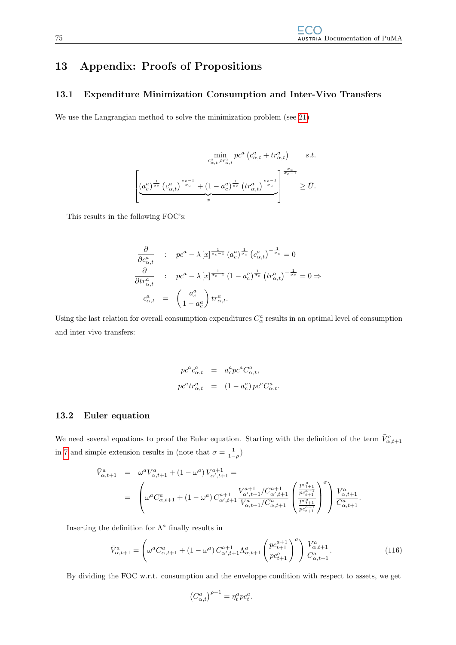# 13 Appendix: Proofs of Propositions

### 13.1 Expenditure Minimization Consumption and Inter-Vivo Transfers

We use the Langrangian method to solve the minimization problem (see [21\)](#page-14-0)

$$
\min_{c_{\alpha,t}^a, tr_{\alpha,t}^a} pc^a \left( c_{\alpha,t}^a + tr_{\alpha,t}^a \right) \qquad s.t.
$$
\n
$$
\left[ \underbrace{\left( a_c^a \right)^{\frac{1}{\sigma_c}} \left( c_{\alpha,t}^a \right)^{\frac{\sigma_c-1}{\sigma_c}} + \left( 1 - a_c^a \right)^{\frac{1}{\sigma_c}} \left( tr_{\alpha,t}^a \right)^{\frac{\sigma_c-1}{\sigma_c}}} \right]^{\frac{\sigma_c}{\sigma_c-1}} \ge \bar{U}.
$$

This results in the following FOC's:

$$
\frac{\partial}{\partial c_{\alpha,t}^a} : pc^a - \lambda [x]^{\frac{1}{\sigma_c - 1}} (a_c^a)^{\frac{1}{\sigma_c}} (c_{\alpha,t}^a)^{-\frac{1}{\sigma_c}} = 0
$$
\n
$$
\frac{\partial}{\partial tr_{\alpha,t}^a} : pc^a - \lambda [x]^{\frac{1}{\sigma_c - 1}} (1 - a_c^a)^{\frac{1}{\sigma_c}} (tr_{\alpha,t}^a)^{-\frac{1}{\sigma_c}} = 0 \Rightarrow
$$
\n
$$
c_{\alpha,t}^a = \left(\frac{a_c^a}{1 - a_c^a}\right) tr_{\alpha,t}^a.
$$

Using the last relation for overall consumption expenditures  $C^a_\alpha$  results in an optimal level of consumption and inter vivo transfers:

$$
pc^{a}c_{\alpha,t}^{a} = a_{c}^{a}pc^{a}C_{\alpha,t}^{a},
$$
  

$$
pc^{a}tr_{\alpha,t}^{a} = (1 - a_{c}^{a})pc^{a}C_{\alpha,t}^{a}.
$$

### 13.2 Euler equation

We need several equations to proof the Euler equation. Starting with the definition of the term  $\bar{V}^a_{\alpha,t+1}$ in [7](#page-10-0) and simple extension results in (note that  $\sigma = \frac{1}{1-\rho}$ )

$$
\bar{V}_{\alpha,t+1}^{a} = \omega^{a} V_{\alpha,t+1}^{a} + (1 - \omega^{a}) V_{\alpha',t+1}^{a+1} =
$$
\n
$$
= \left( \omega^{a} C_{\alpha,t+1}^{a} + (1 - \omega^{a}) C_{\alpha',t+1}^{a+1} \frac{V_{\alpha',t+1}^{a+1} / C_{\alpha',t+1}^{a+1}}{V_{\alpha,t+1}^{a} / C_{\alpha,t+1}^{a}} \left( \frac{\frac{p c_{t+1}^{a}}{p c_{t+1}^{a+1}}}{\frac{p c_{t+1}^{a}}{p c_{t+1}^{a+1}}} \right)^{\sigma} \right) \frac{V_{\alpha,t+1}^{a}}{C_{\alpha,t+1}^{a}}.
$$

Inserting the definition for  $\Lambda^a$  finally results in

<span id="page-78-0"></span>
$$
\bar{V}_{\alpha,t+1}^{a} = \left(\omega^{a} C_{\alpha,t+1}^{a} + (1 - \omega^{a}) C_{\alpha',t+1}^{a+1} \Lambda_{\alpha,t+1}^{a} \left(\frac{pc_{t+1}^{a+1}}{pc_{t+1}^{a}}\right)^{\sigma}\right) \frac{V_{\alpha,t+1}^{a}}{C_{\alpha,t+1}^{a}}.
$$
\n(116)

By dividing the FOC w.r.t. consumption and the enveloppe condition with respect to assets, we get

$$
\left(C_{\alpha,t}^a\right)^{\rho-1} = \eta_t^a p c_t^a.
$$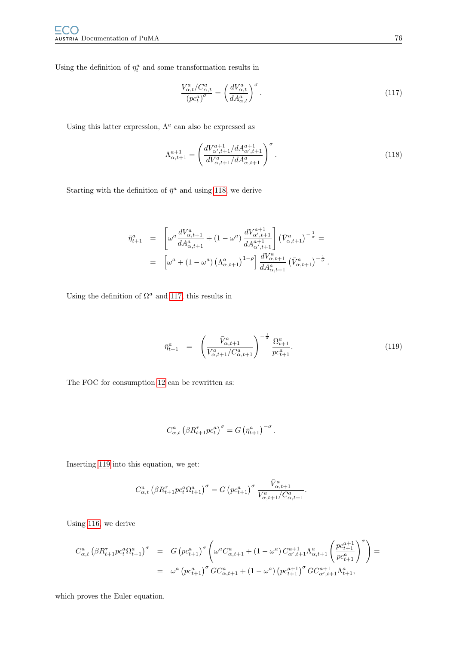Using the definition of  $\eta_t^a$  and some transformation results in

<span id="page-79-1"></span>
$$
\frac{V_{\alpha,t}^a / C_{\alpha,t}^a}{\left( pc_t^a \right)^{\sigma}} = \left( \frac{dV_{\alpha,t}^a}{dA_{\alpha,t}^a} \right)^{\sigma} . \tag{117}
$$

Using this latter expression,  $\Lambda^a$  can also be expressed as

<span id="page-79-0"></span>
$$
\Lambda_{\alpha,t+1}^{a+1} = \left(\frac{dV_{\alpha',t+1}^{a+1}/dA_{\alpha',t+1}^{a+1}}{dV_{\alpha,t+1}^a/dA_{\alpha,t+1}^a}\right)^{\sigma}.
$$
\n(118)

Starting with the definition of  $\bar{\eta}^a$  and using [118,](#page-79-0) we derive

$$
\bar{\eta}_{t+1}^{a} = \begin{bmatrix} \omega^{a} \frac{dV_{\alpha,t+1}^{a}}{dA_{\alpha,t+1}^{a}} + (1 - \omega^{a}) \frac{dV_{\alpha',t+1}^{a+1}}{dA_{\alpha',t+1}^{a+1}} \end{bmatrix} (\bar{V}_{\alpha,t+1}^{a})^{-\frac{1}{\sigma}} =
$$
  
\n
$$
= \left[ \omega^{a} + (1 - \omega^{a}) \left( \Lambda_{\alpha,t+1}^{a} \right)^{1-\rho} \right] \frac{dV_{\alpha,t+1}^{a}}{dA_{\alpha,t+1}^{a}} (\bar{V}_{\alpha,t+1}^{a})^{-\frac{1}{\sigma}}.
$$

Using the definition of  $\Omega^a$  and [117,](#page-79-1) this results in

<span id="page-79-2"></span>
$$
\bar{\eta}_{t+1}^a = \left( \frac{\bar{V}_{\alpha,t+1}^a}{V_{\alpha,t+1}^a / C_{\alpha,t+1}^a} \right)^{-\frac{1}{\sigma}} \frac{\Omega_{t+1}^a}{p c_{t+1}^a}.
$$
\n(119)

The FOC for consumption [12](#page-12-0) can be rewritten as:

$$
C_{\alpha,t}^a \left(\beta R_{t+1}^\tau p c_t^a\right)^\sigma = G \left(\bar{\eta}_{t+1}^a\right)^{-\sigma}.
$$

Inserting [119](#page-79-2) into this equation, we get:

$$
C_{\alpha,t}^a \left(\beta R_{t+1}^\tau p c_t^a \Omega_{t+1}^a\right)^\sigma = G \left(p c_{t+1}^a\right)^\sigma \frac{\bar{V}_{\alpha,t+1}^a}{V_{\alpha,t+1}^a/C_{\alpha,t+1}^a}.
$$

Using [116,](#page-78-0) we derive

$$
\begin{array}{lcl} C_{\alpha,t}^a \left( \beta R_{t+1}^\tau p c_t^a \Omega_{t+1}^a \right)^\sigma & = & G \left( p c_{t+1}^a \right)^\sigma \left( \omega^a C_{\alpha,t+1}^a + \left( 1 - \omega^a \right) C_{\alpha',t+1}^{a+1} \Lambda_{\alpha,t+1}^a \left( \frac{p c_{t+1}^{a+1}}{p c_{t+1}^a} \right)^\sigma \right) = \\ & = & \omega^a \left( p c_{t+1}^a \right)^\sigma G C_{\alpha,t+1}^a + \left( 1 - \omega^a \right) \left( p c_{t+1}^{a+1} \right)^\sigma G C_{\alpha',t+1}^{a+1} \Lambda_{t+1}^a, \end{array}
$$

which proves the Euler equation.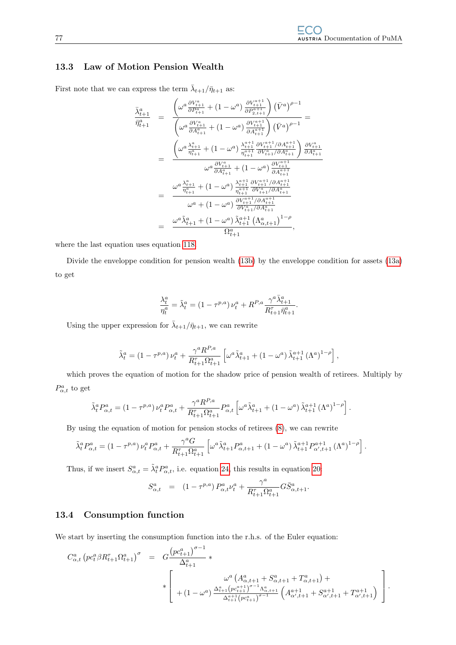### 13.3 Law of Motion Pension Wealth

First note that we can express the term  $\bar{\lambda}_{t+1}/\bar{\eta}_{t+1}$  as:

$$
\begin{array}{rcl} \bar{\lambda}^{a}_{t+1} & = & \frac{\left(\omega^{a}\frac{\partial V^{a}_{t+1}}{\partial P^{a}_{t+1}} + (1-\omega^{a})\frac{\partial V^{a+1}_{t+1}}{\partial P^{a+1}_{2,t+1}}\right)\left(\bar{V}^{a}\right)^{\rho-1}}{\left(\omega^{a}\frac{\partial V^{a}_{t+1}}{\partial A^{a}_{t+1}} + (1-\omega^{a})\frac{\partial V^{a+1}_{t+1}}{\partial A^{a+1}_{t+1}}\right)\left(\bar{V}^{a}\right)^{\rho-1}} = \\ & = & \frac{\left(\omega^{a}\frac{\lambda^{a}_{t+1}}{\eta^{a}_{t+1}} + (1-\omega^{a})\frac{\lambda^{a+1}_{t+1}}{\eta^{a+1}_{t+1}}\frac{\partial V^{a+1}_{t+1}/\partial A^{a+1}_{t+1}}{\partial A^{a}_{t+1}}\right)\frac{\partial V^{a}_{t+1}}{\partial A^{a}_{t+1}}}{\omega^{a}\frac{\partial V^{a}_{t+1}}{\partial A^{a}_{t+1}} + (1-\omega^{a})\frac{\lambda^{a+1}_{t+1}}{\partial A^{a+1}_{t+1}}\frac{\partial V^{a+1}_{t+1}}{\partial A^{a+1}_{t+1}} \\ & = & \frac{\omega^{a}\frac{\lambda^{a}_{t+1}}{\eta^{a}_{t+1}} + (1-\omega^{a})\frac{\lambda^{a+1}_{t+1}}{\eta^{a+1}_{t+1}}\frac{\partial V^{a+1}_{t+1}/\partial A^{a+1}_{t+1}}{\partial A^{a}_{t+1}}}{\omega^{a} + (1-\omega^{a})\frac{\partial V^{a+1}_{t+1}/\partial A^{a+1}_{t+1}}{\partial V^{a}_{t+1}/\partial A^{a}_{t+1}}} \\ & = & \frac{\omega^{a}\tilde{\lambda}^{a}_{t+1} + (1-\omega^{a})\tilde{\lambda}^{a+1}_{t+1}\left(\Lambda^{a}_{\alpha,t+1}\right)^{1-\rho}}{\Omega^{a}_{t+1}}}{\Omega^{a}_{t+1}}, \end{array}
$$

where the last equation uses equation [118.](#page-79-0)

Divide the enveloppe condition for pension wealth [\(13b\)](#page-13-0) by the enveloppe condition for assets [\(13a\)](#page-13-0) to get

$$
\frac{\lambda^a_t}{\eta^a_t} = \tilde{\lambda}^a_t = \left(1-\tau^{p,a}\right)\nu^a_t + R^{P,a}\frac{\gamma^a\bar{\lambda}^a_{t+1}}{R^\tau_{t+1}\bar{\eta}^a_{t+1}}.
$$

Using the upper expression for  $\bar{\lambda}_{t+1}/\bar{\eta}_{t+1}$ , we can rewrite

$$
\tilde{\lambda}^a_t = \left(1-\tau^{p,a}\right)\nu^a_t + \frac{\gamma^a R^{P,a}}{R^{\tau}_{t+1}\Omega^a_{t+1}}\left[\omega^a \tilde{\lambda}^a_{t+1} + \left(1-\omega^a\right)\tilde{\lambda}^{a+1}_{t+1}\left(\Lambda^a\right)^{1-\rho}\right],
$$

which proves the equation of motion for the shadow price of pension wealth of retirees. Multiply by  $P^a_{\alpha,t}$  to get

$$
\tilde{\lambda}_t^a P_{\alpha,t}^a = \left(1-\tau^{p,a}\right) \nu_t^a P_{\alpha,t}^a + \frac{\gamma^a R^{P,a}}{R_{t+1}^{\tau} \Omega_{t+1}^a} P_{\alpha,t}^a \left[\omega^a \tilde{\lambda}_{t+1}^a + \left(1-\omega^a\right) \tilde{\lambda}_{t+1}^{a+1} \left(\Lambda^a\right)^{1-\rho}\right].
$$

By using the equation of motion for pension stocks of retirees [\(8\)](#page-11-0), we can rewrite

$$
\tilde{\lambda}_t^a P_{\alpha,t}^a = \left(1-\tau^{p,a}\right) \nu_t^a P_{\alpha,t}^a + \frac{\gamma^a G}{R_{t+1}^{\tau} \Omega_{t+1}^a} \left[\omega^a \tilde{\lambda}_{t+1}^a P_{\alpha,t+1}^a + \left(1-\omega^a\right) \tilde{\lambda}_{t+1}^{a+1} P_{\alpha',t+1}^{a+1} \left(\Lambda^a\right)^{1-\rho}\right].
$$

Thus, if we insert  $S^a_{\alpha,t} = \tilde{\lambda}^a_t P^a_{\alpha,t}$ , i.e. equation [24,](#page-15-0) this results in equation [20:](#page-13-1)

$$
S^a_{\alpha,t} = (1 - \tau^{p,a}) P^a_{\alpha,t} \nu_t^a + \frac{\gamma^a}{R_{t+1}^{\tau} \Omega_{t+1}^a} G \bar{S}^a_{\alpha,t+1}.
$$

#### 13.4 Consumption function

We start by inserting the consumption function into the r.h.s. of the Euler equation:

$$
C_{\alpha,t}^{a} \left( pc_{t}^{a} \beta R_{t+1}^{\tau} \Omega_{t+1}^{a} \right)^{\sigma} = G \frac{\left( pc_{t+1}^{a} \right)^{\sigma-1}}{\Delta_{t+1}^{a}} * \left[ \begin{array}{c} \omega^{a} \left( A_{\alpha,t+1}^{a} + S_{\alpha,t+1}^{a} + T_{\alpha,t+1}^{a} \right) + \\ \ast \left[ \begin{array}{c} \lambda^{a} \left( A_{\alpha,t+1}^{a} + S_{\alpha,t+1}^{a} + T_{\alpha,t+1}^{a} \right) + \lambda^{a} \left( A_{\alpha,t+1}^{a} + S_{\alpha,t+1}^{a} + T_{\alpha,t+1}^{a} \right) \end{array} \right] \right].
$$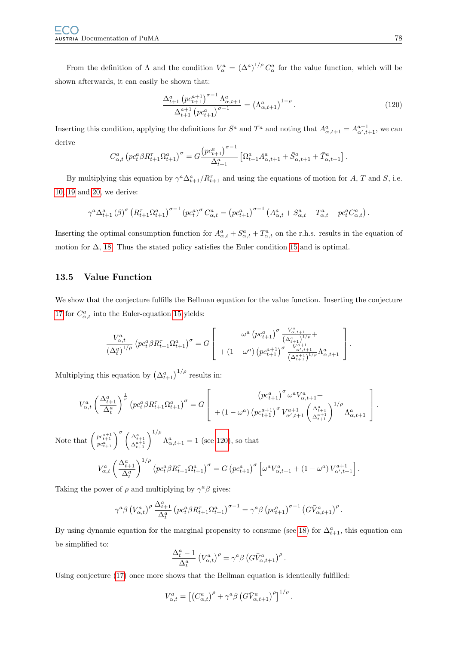From the definition of  $\Lambda$  and the condition  $V_{\alpha}^a = (\Delta^a)^{1/\rho} C_{\alpha}^a$  for the value function, which will be shown afterwards, it can easily be shown that:

<span id="page-81-0"></span>
$$
\frac{\Delta_{t+1}^a \left( p c_{t+1}^{a+1} \right)^{\sigma-1} \Lambda_{\alpha, t+1}^a}{\Delta_{t+1}^{a+1} \left( p c_{t+1}^a \right)^{\sigma-1}} = \left( \Lambda_{\alpha, t+1}^a \right)^{1-\rho} . \tag{120}
$$

Inserting this condition, applying the definitions for  $\bar{S}^a$  and  $\bar{T}^a$  and noting that  $A^a_{\alpha,t+1} = A^{a+1}_{\alpha',t+1}$ , we can derive

$$
C_{\alpha,t}^a \left( pc_t^a \beta R_{t+1}^{\tau} \Omega_{t+1}^a \right)^{\sigma} = G \frac{\left( pc_{t+1}^a \right)^{\sigma-1}}{\Delta_{t+1}^a} \left[ \Omega_{t+1}^a A_{\alpha,t+1}^a + \bar{S}_{\alpha,t+1}^a + \bar{T}_{\alpha,t+1}^a \right].
$$

By multiplying this equation by  $\gamma^a \Delta_{t+1}^a / R_{t+1}^{\tau}$  and using the equations of motion for A, T and S, i.e. [10,](#page-12-1) [19](#page-13-1) and [20,](#page-13-1) we derive:

$$
\gamma^{a} \Delta_{t+1}^{a} (\beta)^{\sigma} \left( R_{t+1}^{\tau} \Omega_{t+1}^{a} \right)^{\sigma-1} \left( p c_{t}^{a} \right)^{\sigma} C_{\alpha,t}^{a} = \left( p c_{t+1}^{a} \right)^{\sigma-1} \left( A_{\alpha,t}^{a} + S_{\alpha,t}^{a} + T_{\alpha,t}^{a} - p c_{t}^{a} C_{\alpha,t}^{a} \right).
$$

Inserting the optimal consumption function for  $A_{\alpha,t}^a + S_{\alpha,t}^a + T_{\alpha,t}^a$  on the r.h.s. results in the equation of motion for  $\Delta$ , [18.](#page-13-1) Thus the stated policy satisfies the Euler condition [15](#page-13-2) and is optimal.

### 13.5 Value Function

We show that the conjecture fulfills the Bellman equation for the value function. Inserting the conjecture [17](#page-13-3) for  $C_{\alpha,t}^a$  into the Euler-equation [15](#page-13-2) yields:

$$
\frac{V_{\alpha,t}^{a}}{(\Delta_t^a)^{1/\rho}} \left( p c_t^a \beta R_{t+1}^{\tau} \Omega_{t+1}^a \right)^{\sigma} = G \left[ \begin{array}{c} \omega^a \left( p c_{t+1}^a \right)^{\sigma} \frac{V_{\alpha,t+1}^a}{(\Delta_{t+1}^a)^{1/\rho}} + \\ + \left( 1 - \omega^a \right) \left( p c_{t+1}^{a+1} \right)^{\sigma} \frac{V_{\alpha,t+1}^{a+1}}{(\Delta_{t+1}^{a+1})^{1/\rho}} \Lambda_{\alpha,t+1}^a \end{array} \right].
$$

Multiplying this equation by  $(\Delta_{t+1}^a)^{1/\rho}$  results in:

$$
V_{\alpha,t}^{a} \left(\frac{\Delta_{t+1}^{a}}{\Delta_{t}^{a}}\right)^{\frac{1}{\rho}} \left( pc_{t}^{a} \beta R_{t+1}^{\tau} \Omega_{t+1}^{a} \right)^{\sigma} = G \left[ \begin{array}{c} \left( pc_{t+1}^{a} \right)^{\sigma} \omega^{a} V_{\alpha,t+1}^{a} + \\ + \left( 1 - \omega^{a} \right) \left( pc_{t+1}^{a+1} \right)^{\sigma} V_{\alpha',t+1}^{a+1} \left( \frac{\Delta_{t+1}^{a}}{\Delta_{t+1}^{a+1}} \right)^{1/\rho} \Lambda_{\alpha,t+1}^{a} \end{array} \right].
$$

Note that  $\left(\frac{pc_{t+1}^{a+1}}{pc_{t+1}^{a+1}}\right)^{\sigma} \left(\frac{\Delta_{t+1}^a}{\Delta_{t+1}^{a+1}}\right)^{1/\rho} \Lambda_{\alpha,t+1}^a = 1$  (see [120\)](#page-81-0), so that

$$
V_{\alpha,t}^{a} \left(\frac{\Delta_{t+1}^{a}}{\Delta_{t}^{a}}\right)^{1/\rho} \left( pc_{t}^{a} \beta R_{t+1}^{\tau} \Omega_{t+1}^{a} \right)^{\sigma} = G \left( pc_{t+1}^{a} \right)^{\sigma} \left[ \omega^{a} V_{\alpha,t+1}^{a} + (1 - \omega^{a}) V_{\alpha',t+1}^{a+1} \right].
$$

Taking the power of  $\rho$  and multiplying by  $\gamma^a \beta$  gives:

$$
\gamma^a \beta \left(V^a_{\alpha,t}\right)^{\rho} \frac{\Delta_{t+1}^a}{\Delta_t^a} \left( p c_t^a \beta R_{t+1}^{\tau} \Omega_{t+1}^a \right)^{\sigma-1} = \gamma^a \beta \left( p c_{t+1}^a \right)^{\sigma-1} \left( G \bar{V}^a_{\alpha,t+1} \right)^{\rho}.
$$

By using dynamic equation for the marginal propensity to consume (see [18\)](#page-13-1) for  $\Delta_{t+1}^a$ , this equation can be simplified to:

$$
\frac{\Delta_t^a - 1}{\Delta_t^a} \left( V_{\alpha,t}^a \right)^\rho = \gamma^a \beta \left( G \bar{V}_{\alpha,t+1}^a \right)^\rho.
$$

Using conjecture [\(17\)](#page-13-3) once more shows that the Bellman equation is identically fulfilled:

$$
V_{\alpha,t}^a = \left[ \left( C_{\alpha,t}^a \right)^{\rho} + \gamma^a \beta \left( G \bar{V}_{\alpha,t+1}^a \right)^{\rho} \right]^{1/\rho}.
$$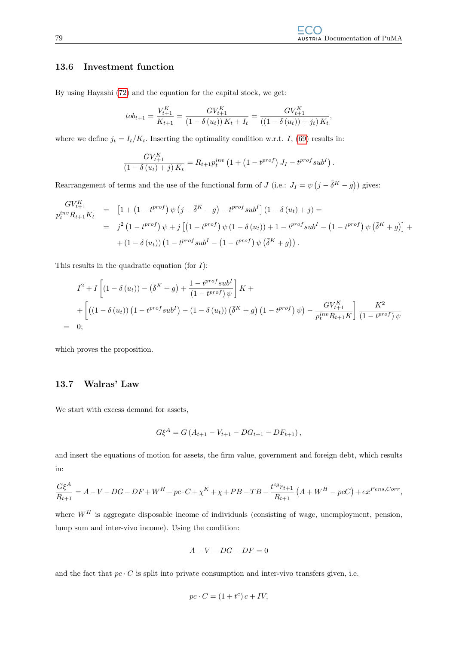### 13.6 Investment function

By using Hayashi [\(72\)](#page-38-0) and the equation for the capital stock, we get:

$$
t_{t+1} = \frac{V_{t+1}^K}{K_{t+1}} = \frac{GV_{t+1}^K}{(1 - \delta(u_t))K_t + I_t} = \frac{GV_{t+1}^K}{((1 - \delta(u_t)) + j_t)K_t},
$$

where we define  $j_t = I_t/K_t$ . Inserting the optimality condition w.r.t. I, [\(69\)](#page-38-1) results in:

$$
\frac{GV_{t+1}^K}{(1-\delta(u_t)+j) K_t} = R_{t+1} p_t^{inv} (1+(1-t^{prof}) J_I - t^{prof} sub^I).
$$

Rearrangement of terms and the use of the functional form of J (i.e.:  $J_I = \psi (j - \overline{\delta}K - g)$ ) gives:

$$
\frac{GV_{t+1}^K}{p_t^{inv}R_{t+1}K_t} = [1 + (1 - t^{prof}) \psi (j - \bar{\delta}^K - g) - t^{prof} sub^I] (1 - \delta (u_t) + j) =
$$
\n
$$
= j^2 (1 - t^{prof}) \psi + j [(1 - t^{prof}) \psi (1 - \delta (u_t)) + 1 - t^{prof} sub^I - (1 - t^{prof}) \psi (\bar{\delta}^K + g)] +
$$
\n
$$
+ (1 - \delta (u_t)) (1 - t^{prof} sub^I - (1 - t^{prof}) \psi (\bar{\delta}^K + g)).
$$

This results in the quadratic equation (for  $I$ ):

$$
I^{2} + I \left[ (1 - \delta(u_{t})) - (\bar{\delta}^{K} + g) + \frac{1 - t^{prof} \, sub^{I}}{(1 - t^{prof}) \, \psi} \right] K +
$$
  
+ 
$$
\left[ \left( (1 - \delta(u_{t})) \left( 1 - t^{prof} \, sub^{I} \right) - (1 - \delta(u_{t})) \left( \bar{\delta}^{K} + g \right) \left( 1 - t^{prof} \right) \psi \right) - \frac{GV_{t+1}^{K}}{p_{t}^{inv} R_{t+1} K} \right] \frac{K^{2}}{(1 - t^{prof}) \, \psi}
$$
  
= 0;

which proves the proposition.

## 13.7 Walras' Law

We start with excess demand for assets,

$$
G\xi^{A} = G(A_{t+1} - V_{t+1} - DG_{t+1} - DF_{t+1}),
$$

and insert the equations of motion for assets, the firm value, government and foreign debt, which results in:

$$
\frac{G\xi^{A}}{R_{t+1}} = A - V - DG - DF + W^{H} - pc \cdot C + \chi^{K} + \chi + PB - TB - \frac{t^{cg}r_{t+1}}{R_{t+1}} \left( A + W^{H} - pc \right) + ex^{Pens, Corr},
$$

where  $W^H$  is aggregate disposable income of individuals (consisting of wage, unemployment, pension, lump sum and inter-vivo income). Using the condition:

$$
A-V-DG-DF=0
$$

and the fact that  $pc \cdot C$  is split into private consumption and inter-vivo transfers given, i.e.

$$
pc \cdot C = (1 + t^c)c + IV,
$$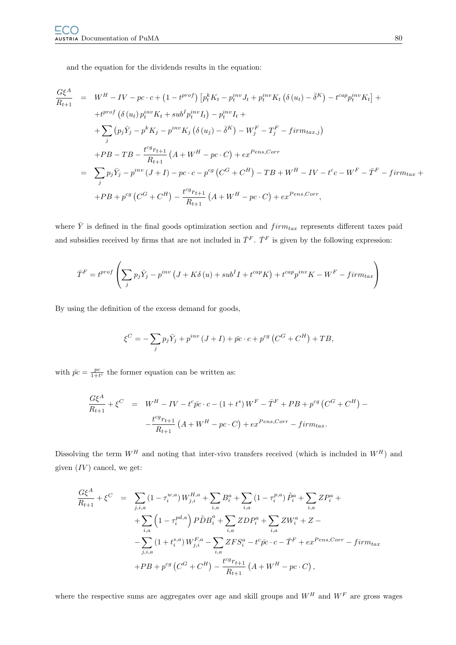and the equation for the dividends results in the equation:

$$
\frac{G\xi^{A}}{R_{t+1}} = W^{H} - IV - pc \cdot c + (1 - t^{prof}) \left[ p_{t}^{k} K_{t} - p_{t}^{inv} J_{t} + p_{t}^{inv} K_{t} \left( \delta(u_{t}) - \bar{\delta}^{K} \right) - t^{cap} p_{t}^{inv} K_{t} \right] +
$$
  
+ 
$$
t^{prof} \left( \delta(u_{t}) p_{t}^{inv} K_{t} + sub^{I} p_{t}^{inv} I_{t} \right) - p_{t}^{inv} I_{t} +
$$
  
+ 
$$
\sum_{j} \left( p_{j} \bar{Y}_{j} - p^{k} K_{j} - p^{inv} K_{j} \left( \delta(u_{j}) - \bar{\delta}^{K} \right) - W_{j}^{F} - T_{j}^{F} - firm_{tax,j} \right)
$$
  
+ 
$$
PB - TB - \frac{t^{cg} r_{t+1}}{R_{t+1}} \left( A + W^{H} - pc \cdot C \right) + ex^{Pens, Corr}
$$
  
= 
$$
\sum_{j} p_{j} \bar{Y}_{j} - p^{inv} \left( J + I \right) - pc \cdot c - p^{cg} \left( C^{G} + C^{H} \right) - TB + W^{H} - IV - t^{c} c - W^{F} - \bar{T}^{F} - firm_{tax} +
$$
  
+ 
$$
PB + p^{cg} \left( C^{G} + C^{H} \right) - \frac{t^{cg} r_{t+1}}{R_{t+1}} \left( A + W^{H} - pc \cdot C \right) + ex^{Pens, Corr},
$$

where  $\overline{Y}$  is defined in the final goods optimization section and  $firm_{tax}$  represents different taxes paid and subsidies received by firms that are not included in  $\bar{T}^F$ .  $\bar{T}^F$  is given by the following expression:

$$
\bar{T}^{F} = t^{prof} \left( \sum_{j} p_{j} \bar{Y}_{j} - p^{inv} \left( J + K \delta \left( u \right) + sub^{I} I + t^{cap} K \right) + t^{cap} p^{inv} K - W^{F} - firm_{tax} \right)
$$

By using the definition of the excess demand for goods,

$$
\xi^C = -\sum_j p_j \bar{Y}_j + p^{inv} (J+I) + \bar{p}c \cdot c + p^{cg} (C^G + C^H) + TB,
$$

with  $\bar{pc} = \frac{pc}{1+t^c}$  the former equation can be written as:

$$
\frac{G\xi^{A}}{R_{t+1}} + \xi^{C} = W^{H} - IV - t^{c} \bar{p}c \cdot c - (1+t^{s})W^{F} - \bar{T}^{F} + PB + p^{cg} (C^{G} + C^{H}) - \frac{t^{cg}r_{t+1}}{R_{t+1}} (A + W^{H} - pc \cdot C) + ex^{Pens, Corr} - firm_{tax}.
$$

Dissolving the term  $W^H$  and noting that inter-vivo transfers received (which is included in  $W^H$ ) and given  $(IV)$  cancel, we get:

$$
\frac{G\xi^{A}}{R_{t+1}} + \xi^{C} = \sum_{j,i,a} (1 - \tau_{i}^{w,a}) W_{j,i}^{H,a} + \sum_{i,a} B_{i}^{a} + \sum_{i,a} (1 - \tau_{i}^{p,a}) \tilde{P}_{i}^{a} + \sum_{i,a} Z P_{i}^{a} +
$$
  
+ 
$$
\sum_{i,a} (1 - \tau_{i}^{pd,a}) P \tilde{D} B_{i}^{a} + \sum_{i,a} Z D P_{i}^{a} + \sum_{i,a} Z W_{i}^{a} + Z -
$$
  
- 
$$
\sum_{j,i,a} (1 + t_{i}^{s,a}) W_{j,i}^{F,a} - \sum_{i,a} Z F S_{i}^{a} - t^{c} \bar{p} c \cdot c - \bar{T}^{F} + e x^{Pens,Corr} - f i r m_{tax}
$$
  
+ 
$$
PB + p^{cg} (C^{G} + C^{H}) - \frac{t^{cg} r_{t+1}}{R_{t+1}} (A + W^{H} - p c \cdot C),
$$

where the respective sums are aggregates over age and skill groups and  $W^H$  and  $W^F$  are gross wages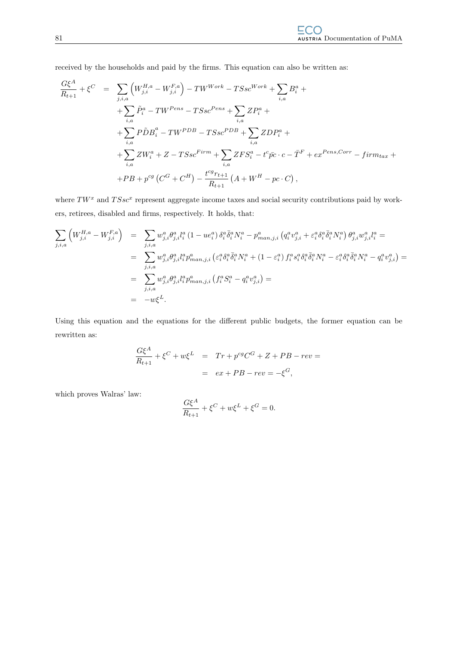received by the households and paid by the firms. This equation can also be written as:

$$
\frac{G\xi^{A}}{R_{t+1}} + \xi^{C} = \sum_{j,i,a} \left( W_{j,i}^{H,a} - W_{j,i}^{F,a} \right) - TW^{Work} - TSsc^{Work} + \sum_{i,a} B_{i}^{a} +
$$
  
+ 
$$
\sum_{i,a} \tilde{P}_{i}^{a} - TW^{Pens} - TSsc^{Pens} + \sum_{i,a} ZP_{i}^{a} +
$$
  
+ 
$$
\sum_{i,a} P\tilde{D}B_{i}^{a} - TW^{PDB} - TSsc^{PDB} + \sum_{i,a} ZDP_{i}^{a} +
$$
  
+ 
$$
\sum_{i,a} ZW_{i}^{a} + Z - TSsc^{Firm} + \sum_{i,a} ZFS_{i}^{a} - t^{c}\bar{p}c \cdot c - \bar{T}^{F} + ex^{Pens,Corr} - firm_{tax} +
$$
  
+ 
$$
PB + p^{cg} (C^{G} + C^{H}) - \frac{t^{cg}r_{t+1}}{R_{t+1}} (A + W^{H} - pc \cdot C),
$$

where  $TW^x$  and  $TSsc^x$  represent aggregate income taxes and social security contributions paid by workers, retirees, disabled and firms, respectively. It holds, that:

$$
\sum_{j,i,a} \left( W_{j,i}^{H,a} - W_{j,i}^{F,a} \right) = \sum_{j,i,a} w_{j,i}^a \theta_{j,i}^a l_i^a (1 - u e_i^a) \delta_i^a \bar{\delta}_i^a N_i^a - p_{man,j,i}^a \left( q_i^a v_{j,i}^a + \varepsilon_i^a \delta_i^a \bar{\delta}_i^a N_i^a \right) \theta_{j,i}^a w_{j,i}^a l_i^a =
$$
\n
$$
= \sum_{j,i,a} w_{j,i}^a \theta_{j,i}^a l_i^a p_{man,j,i}^a \left( \varepsilon_i^a \delta_i^a \bar{\delta}_i^a N_i^a + (1 - \varepsilon_i^a) f_i^a s_i^a \delta_i^a \bar{\delta}_i^a N_i^a - \varepsilon_i^a \delta_i^a \bar{\delta}_i^a N_i^a - q_i^a v_{j,i}^a \right) =
$$
\n
$$
= \sum_{j,i,a} w_{j,i}^a \theta_{j,i}^a l_i^a p_{man,j,i}^a \left( f_i^a S_i^a - q_i^a v_{j,i}^a \right) =
$$
\n
$$
= -w \xi^L.
$$

Using this equation and the equations for the different public budgets, the former equation can be rewritten as:

$$
\frac{G\xi^A}{R_{t+1}} + \xi^C + w\xi^L = Tr + p^{cg}C^G + Z + PB - rev =
$$
  
=  $ex + PB - rev = -\xi^G$ ,

which proves Walras' law:

$$
\frac{G\xi^A}{R_{t+1}} + \xi^C + w\xi^L + \xi^G = 0.
$$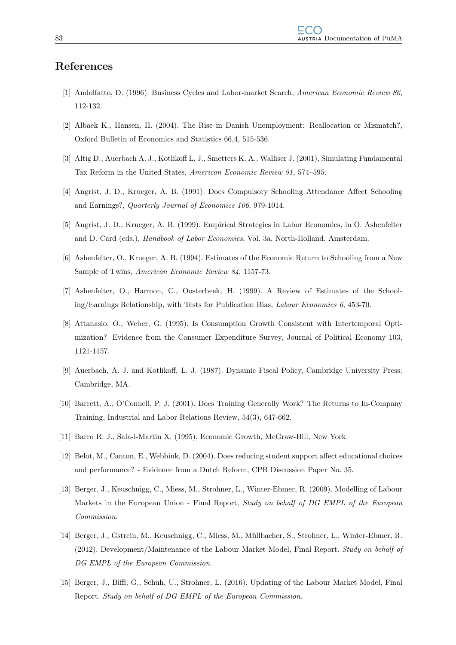# References

- [1] Andolfatto, D. (1996). Business Cycles and Labor-market Search, American Economic Review 86, 112-132.
- [2] Albaek K., Hansen, H. (2004). The Rise in Danish Unemployment: Reallocation or Mismatch?, Oxford Bulletin of Economics and Statistics 66,4, 515-536.
- [3] Altig D., Auerbach A. J., Kotlikoff L. J., Smetters K. A., Walliser J. (2001), Simulating Fundamental Tax Reform in the United States, American Economic Review 91, 574–595.
- [4] Angrist, J. D., Krueger, A. B. (1991). Does Compulsory Schooling Attendance Affect Schooling and Earnings?, Quarterly Journal of Economics 106, 979-1014.
- [5] Angrist, J. D., Krueger, A. B. (1999). Empirical Strategies in Labor Economics, in O. Ashenfelter and D. Card (eds.), Handbook of Labor Economics, Vol. 3a, North-Holland, Amsterdam.
- [6] Ashenfelter, O., Krueger, A. B. (1994). Estimates of the Economic Return to Schooling from a New Sample of Twins, American Economic Review 84, 1157-73.
- [7] Ashenfelter, O., Harmon, C., Oosterbeek, H. (1999). A Review of Estimates of the Schooling/Earnings Relationship, with Tests for Publication Bias, Labour Economics 6, 453-70.
- [8] Attanasio, O., Weber, G. (1995). Is Consumption Growth Consistent with Intertemporal Optimization? Evidence from the Consumer Expenditure Survey, Journal of Political Economy 103, 1121-1157.
- [9] Auerbach, A. J. and Kotlikoff, L. J. (1987). Dynamic Fiscal Policy, Cambridge University Press: Cambridge, MA.
- [10] Barrett, A., O'Connell, P. J. (2001). Does Training Generally Work? The Returns to In-Company Training, Industrial and Labor Relations Review, 54(3), 647-662.
- [11] Barro R. J., Sala-i-Martin X. (1995), Economic Growth, McGraw-Hill, New York.
- [12] Belot, M., Canton, E., Webbink, D. (2004). Does reducing student support affect educational choices and performance? - Evidence from a Dutch Reform, CPB Discussion Paper No. 35.
- [13] Berger, J., Keuschnigg, C., Miess, M., Strohner, L., Winter-Ebmer, R. (2009). Modelling of Labour Markets in the European Union - Final Report, Study on behalf of DG EMPL of the European Commission.
- [14] Berger, J., Gstrein, M., Keuschnigg, C., Miess, M., M¨ullbacher, S., Strohner, L., Winter-Ebmer, R. (2012). Development/Maintenance of the Labour Market Model, Final Report. Study on behalf of DG EMPL of the European Commission.
- [15] Berger, J., Biffl, G., Schuh, U., Strohner, L. (2016). Updating of the Labour Market Model, Final Report. Study on behalf of DG EMPL of the European Commission.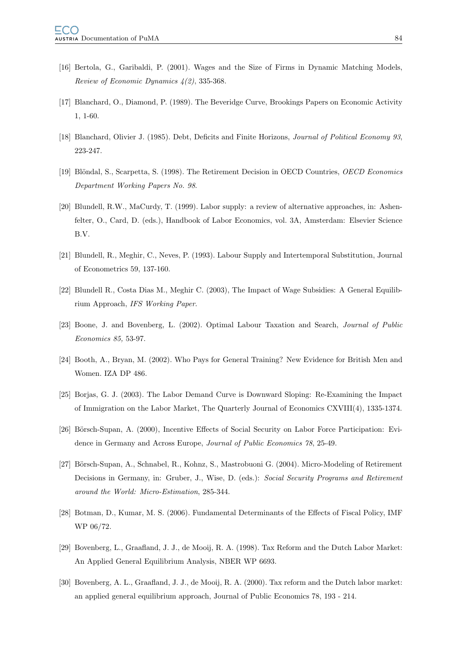- [16] Bertola, G., Garibaldi, P. (2001). Wages and the Size of Firms in Dynamic Matching Models, Review of Economic Dynamics 4(2), 335-368.
- [17] Blanchard, O., Diamond, P. (1989). The Beveridge Curve, Brookings Papers on Economic Activity 1, 1-60.
- [18] Blanchard, Olivier J. (1985). Debt, Deficits and Finite Horizons, *Journal of Political Economy 93*, 223-247.
- [19] Blöndal, S., Scarpetta, S. (1998). The Retirement Decision in OECD Countries, OECD Economics Department Working Papers No. 98.
- [20] Blundell, R.W., MaCurdy, T. (1999). Labor supply: a review of alternative approaches, in: Ashenfelter, O., Card, D. (eds.), Handbook of Labor Economics, vol. 3A, Amsterdam: Elsevier Science B.V.
- [21] Blundell, R., Meghir, C., Neves, P. (1993). Labour Supply and Intertemporal Substitution, Journal of Econometrics 59, 137-160.
- [22] Blundell R., Costa Dias M., Meghir C. (2003), The Impact of Wage Subsidies: A General Equilibrium Approach, IFS Working Paper.
- [23] Boone, J. and Bovenberg, L. (2002). Optimal Labour Taxation and Search, Journal of Public Economics 85, 53-97.
- [24] Booth, A., Bryan, M. (2002). Who Pays for General Training? New Evidence for British Men and Women. IZA DP 486.
- [25] Borjas, G. J. (2003). The Labor Demand Curve is Downward Sloping: Re-Examining the Impact of Immigration on the Labor Market, The Quarterly Journal of Economics CXVIII(4), 1335-1374.
- [26] Börsch-Supan, A. (2000), Incentive Effects of Social Security on Labor Force Participation: Evidence in Germany and Across Europe, Journal of Public Economics 78, 25-49.
- [27] Börsch-Supan, A., Schnabel, R., Kohnz, S., Mastrobuoni G. (2004). Micro-Modeling of Retirement Decisions in Germany, in: Gruber, J., Wise, D. (eds.): Social Security Programs and Retirement around the World: Micro-Estimation, 285-344.
- [28] Botman, D., Kumar, M. S. (2006). Fundamental Determinants of the Effects of Fiscal Policy, IMF WP 06/72.
- [29] Bovenberg, L., Graafland, J. J., de Mooij, R. A. (1998). Tax Reform and the Dutch Labor Market: An Applied General Equilibrium Analysis, NBER WP 6693.
- [30] Bovenberg, A. L., Graafland, J. J., de Mooij, R. A. (2000). Tax reform and the Dutch labor market: an applied general equilibrium approach, Journal of Public Economics 78, 193 - 214.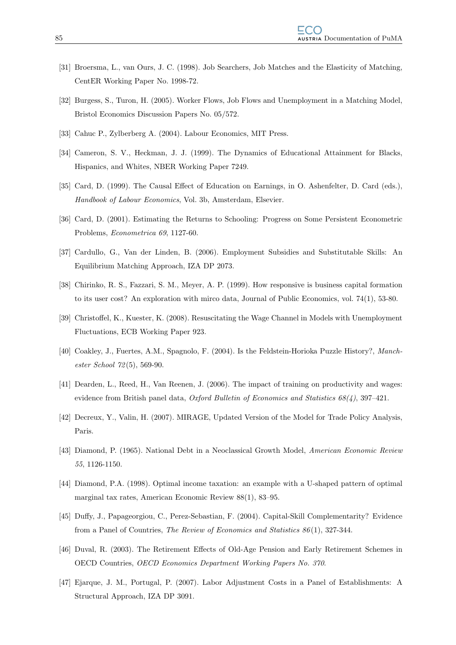- [31] Broersma, L., van Ours, J. C. (1998). Job Searchers, Job Matches and the Elasticity of Matching, CentER Working Paper No. 1998-72.
- [32] Burgess, S., Turon, H. (2005). Worker Flows, Job Flows and Unemployment in a Matching Model, Bristol Economics Discussion Papers No. 05/572.
- [33] Cahuc P., Zylberberg A. (2004). Labour Economics, MIT Press.
- [34] Cameron, S. V., Heckman, J. J. (1999). The Dynamics of Educational Attainment for Blacks, Hispanics, and Whites, NBER Working Paper 7249.
- [35] Card, D. (1999). The Causal Effect of Education on Earnings, in O. Ashenfelter, D. Card (eds.), Handbook of Labour Economics, Vol. 3b, Amsterdam, Elsevier.
- [36] Card, D. (2001). Estimating the Returns to Schooling: Progress on Some Persistent Econometric Problems, Econometrica 69, 1127-60.
- [37] Cardullo, G., Van der Linden, B. (2006). Employment Subsidies and Substitutable Skills: An Equilibrium Matching Approach, IZA DP 2073.
- [38] Chirinko, R. S., Fazzari, S. M., Meyer, A. P. (1999). How responsive is business capital formation to its user cost? An exploration with mirco data, Journal of Public Economics, vol. 74(1), 53-80.
- [39] Christoffel, K., Kuester, K. (2008). Resuscitating the Wage Channel in Models with Unemployment Fluctuations, ECB Working Paper 923.
- [40] Coakley, J., Fuertes, A.M., Spagnolo, F. (2004). Is the Feldstein-Horioka Puzzle History?, Manchester School 72 (5), 569-90.
- [41] Dearden, L., Reed, H., Van Reenen, J. (2006). The impact of training on productivity and wages: evidence from British panel data, Oxford Bulletin of Economics and Statistics  $68(4)$ , 397-421.
- [42] Decreux, Y., Valin, H. (2007). MIRAGE, Updated Version of the Model for Trade Policy Analysis, Paris.
- [43] Diamond, P. (1965). National Debt in a Neoclassical Growth Model, American Economic Review 55, 1126-1150.
- [44] Diamond, P.A. (1998). Optimal income taxation: an example with a U-shaped pattern of optimal marginal tax rates, American Economic Review 88(1), 83–95.
- [45] Duffy, J., Papageorgiou, C., Perez-Sebastian, F. (2004). Capital-Skill Complementarity? Evidence from a Panel of Countries, The Review of Economics and Statistics 86 (1), 327-344.
- [46] Duval, R. (2003). The Retirement Effects of Old-Age Pension and Early Retirement Schemes in OECD Countries, OECD Economics Department Working Papers No. 370.
- [47] Ejarque, J. M., Portugal, P. (2007). Labor Adjustment Costs in a Panel of Establishments: A Structural Approach, IZA DP 3091.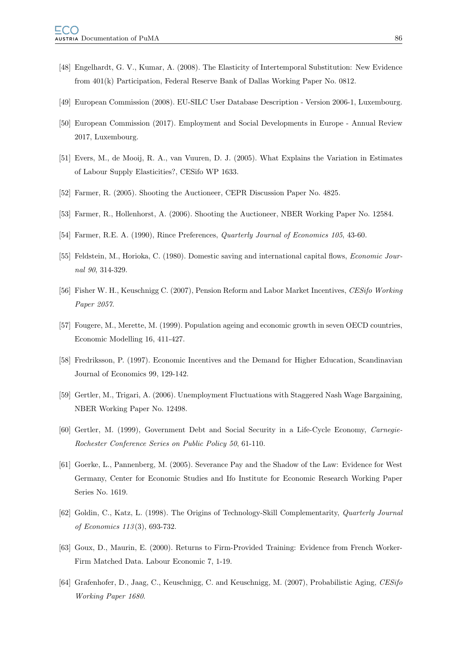- [48] Engelhardt, G. V., Kumar, A. (2008). The Elasticity of Intertemporal Substitution: New Evidence from 401(k) Participation, Federal Reserve Bank of Dallas Working Paper No. 0812.
- [49] European Commission (2008). EU-SILC User Database Description Version 2006-1, Luxembourg.
- [50] European Commission (2017). Employment and Social Developments in Europe Annual Review 2017, Luxembourg.
- [51] Evers, M., de Mooij, R. A., van Vuuren, D. J. (2005). What Explains the Variation in Estimates of Labour Supply Elasticities?, CESifo WP 1633.
- [52] Farmer, R. (2005). Shooting the Auctioneer, CEPR Discussion Paper No. 4825.
- [53] Farmer, R., Hollenhorst, A. (2006). Shooting the Auctioneer, NBER Working Paper No. 12584.
- [54] Farmer, R.E. A. (1990), Rince Preferences, Quarterly Journal of Economics 105, 43-60.
- [55] Feldstein, M., Horioka, C. (1980). Domestic saving and international capital flows, *Economic Jour*nal 90, 314-329.
- [56] Fisher W. H., Keuschnigg C. (2007), Pension Reform and Labor Market Incentives, CESifo Working Paper 2057.
- [57] Fougere, M., Merette, M. (1999). Population ageing and economic growth in seven OECD countries, Economic Modelling 16, 411-427.
- [58] Fredriksson, P. (1997). Economic Incentives and the Demand for Higher Education, Scandinavian Journal of Economics 99, 129-142.
- [59] Gertler, M., Trigari, A. (2006). Unemployment Fluctuations with Staggered Nash Wage Bargaining, NBER Working Paper No. 12498.
- [60] Gertler, M. (1999), Government Debt and Social Security in a Life-Cycle Economy, Carnegie-Rochester Conference Series on Public Policy 50, 61-110.
- [61] Goerke, L., Pannenberg, M. (2005). Severance Pay and the Shadow of the Law: Evidence for West Germany, Center for Economic Studies and Ifo Institute for Economic Research Working Paper Series No. 1619.
- [62] Goldin, C., Katz, L. (1998). The Origins of Technology-Skill Complementarity, Quarterly Journal of Economics 113 (3), 693-732.
- [63] Goux, D., Maurin, E. (2000). Returns to Firm-Provided Training: Evidence from French Worker-Firm Matched Data. Labour Economic 7, 1-19.
- [64] Grafenhofer, D., Jaag, C., Keuschnigg, C. and Keuschnigg, M. (2007), Probabilistic Aging, CESifo Working Paper 1680.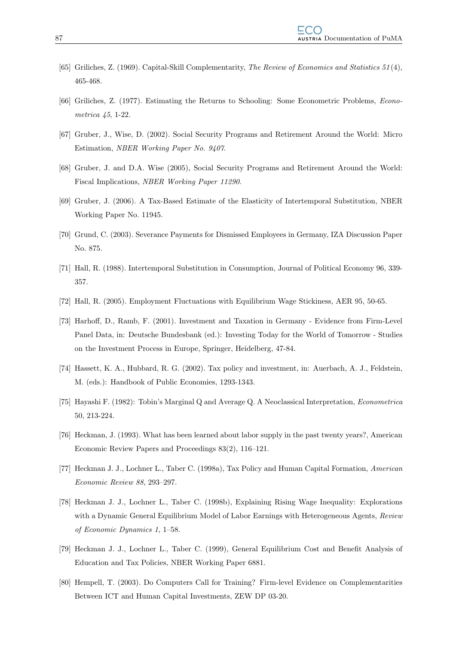- [65] Griliches, Z. (1969). Capital-Skill Complementarity, The Review of Economics and Statistics 51 (4), 465-468.
- [66] Griliches, Z. (1977). Estimating the Returns to Schooling: Some Econometric Problems, Econometrica 45, 1-22.
- [67] Gruber, J., Wise, D. (2002). Social Security Programs and Retirement Around the World: Micro Estimation, NBER Working Paper No. 9407.
- [68] Gruber, J. and D.A. Wise (2005), Social Security Programs and Retirement Around the World: Fiscal Implications, NBER Working Paper 11290.
- [69] Gruber, J. (2006). A Tax-Based Estimate of the Elasticity of Intertemporal Substitution, NBER Working Paper No. 11945.
- [70] Grund, C. (2003). Severance Payments for Dismissed Employees in Germany, IZA Discussion Paper No. 875.
- [71] Hall, R. (1988). Intertemporal Substitution in Consumption, Journal of Political Economy 96, 339- 357.
- [72] Hall, R. (2005). Employment Fluctuations with Equilibrium Wage Stickiness, AER 95, 50-65.
- [73] Harhoff, D., Ramb, F. (2001). Investment and Taxation in Germany Evidence from Firm-Level Panel Data, in: Deutsche Bundesbank (ed.): Investing Today for the World of Tomorrow - Studies on the Investment Process in Europe, Springer, Heidelberg, 47-84.
- [74] Hassett, K. A., Hubbard, R. G. (2002). Tax policy and investment, in: Auerbach, A. J., Feldstein, M. (eds.): Handbook of Public Economies, 1293-1343.
- [75] Hayashi F. (1982): Tobin's Marginal Q and Average Q. A Neoclassical Interpretation, Econometrica 50, 213-224.
- [76] Heckman, J. (1993). What has been learned about labor supply in the past twenty years?, American Economic Review Papers and Proceedings 83(2), 116–121.
- [77] Heckman J. J., Lochner L., Taber C. (1998a), Tax Policy and Human Capital Formation, American Economic Review 88, 293–297.
- [78] Heckman J. J., Lochner L., Taber C. (1998b), Explaining Rising Wage Inequality: Explorations with a Dynamic General Equilibrium Model of Labor Earnings with Heterogeneous Agents, Review of Economic Dynamics 1, 1–58.
- [79] Heckman J. J., Lochner L., Taber C. (1999), General Equilibrium Cost and Benefit Analysis of Education and Tax Policies, NBER Working Paper 6881.
- [80] Hempell, T. (2003). Do Computers Call for Training? Firm-level Evidence on Complementarities Between ICT and Human Capital Investments, ZEW DP 03-20.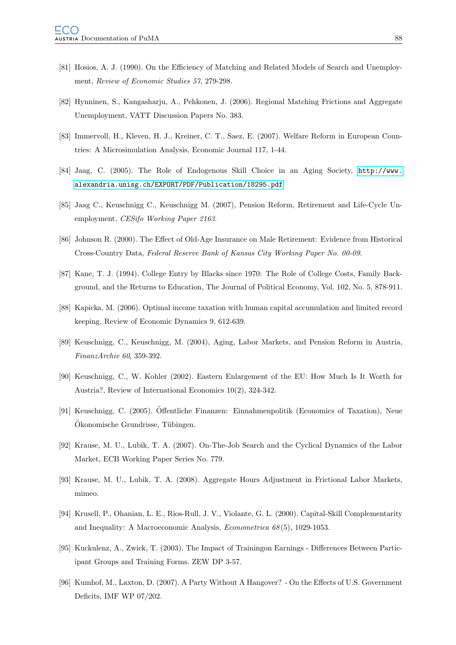- [81] Hosios, A. J. (1990). On the Efficiency of Matching and Related Models of Search and Unemployment, Review of Economic Studies 57, 279-298.
- [82] Hynninen, S., Kangasharju, A., Pehkonen, J. (2006). Regional Matching Frictions and Aggregate Unemployment, VATT Discussion Papers No. 383.
- [83] Immervoll, H., Kleven, H. J., Kreiner, C. T., Saez, E. (2007). Welfare Reform in European Countries: A Microsimulation Analysis, Economic Journal 117, 1-44.
- [84] Jaag, C. (2005). The Role of Endogenous Skill Choice in an Aging Society, [http://www.](http://www.alexandria.unisg.ch/EXPORT/PDF/Publication/18295.pdf) [alexandria.unisg.ch/EXPORT/PDF/Publication/18295.pdf](http://www.alexandria.unisg.ch/EXPORT/PDF/Publication/18295.pdf).
- [85] Jaag C., Keuschnigg C., Keuschnigg M. (2007), Pension Reform, Retirement and Life-Cycle Unemployment, CESifo Working Paper 2163.
- [86] Johnson R. (2000). The Effect of Old-Age Insurance on Male Retirement: Evidence from Historical Cross-Country Data, Federal Reserve Bank of Kansas City Working Paper No. 00-09.
- [87] Kane, T. J. (1994). College Entry by Blacks since 1970: The Role of College Costs, Family Background, and the Returns to Education, The Journal of Political Economy, Vol. 102, No. 5, 878-911.
- [88] Kapicka, M. (2006). Optimal income taxation with human capital accumulation and limited record keeping, Review of Economic Dynamics 9, 612-639.
- [89] Keuschnigg, C., Keuschnigg, M. (2004), Aging, Labor Markets, and Pension Reform in Austria, FinanzArchiv 60, 359-392.
- [90] Keuschnigg, C., W. Kohler (2002). Eastern Enlargement of the EU: How Much Is It Worth for Austria?, Review of International Economics 10(2), 324-342.
- [91] Keuschnigg, C. (2005). Öffentliche Finanzen: Einnahmenpolitik (Economics of Taxation), Neue Ökonomische Grundrisse, Tübingen.
- [92] Krause, M. U., Lubik, T. A. (2007). On-The-Job Search and the Cyclical Dynamics of the Labor Market, ECB Working Paper Series No. 779.
- [93] Krause, M. U., Lubik, T. A. (2008). Aggregate Hours Adjustment in Frictional Labor Markets, mimeo.
- [94] Krusell, P., Ohanian, L. E., Rios-Rull, J. V., Violante, G. L. (2000). Capital-Skill Complementarity and Inequality: A Macroeconomic Analysis, Econometrica 68 (5), 1029-1053.
- [95] Kuckulenz, A., Zwick, T. (2003). The Impact of Trainingon Earnings Differences Between Participant Groups and Training Forms. ZEW DP 3-57.
- [96] Kumhof, M., Laxton, D. (2007). A Party Without A Hangover? On the Effects of U.S. Government Deficits, IMF WP 07/202.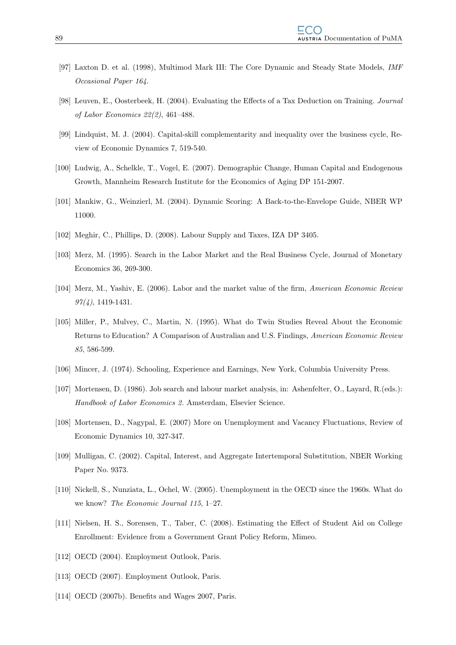- [97] Laxton D. et al. (1998), Multimod Mark III: The Core Dynamic and Steady State Models, IMF Occasional Paper 164.
- [98] Leuven, E., Oosterbeek, H. (2004). Evaluating the Effects of a Tax Deduction on Training. Journal of Labor Economics 22(2), 461–488.
- [99] Lindquist, M. J. (2004). Capital-skill complementarity and inequality over the business cycle, Review of Economic Dynamics 7, 519-540.
- [100] Ludwig, A., Schelkle, T., Vogel, E. (2007). Demographic Change, Human Capital and Endogenous Growth, Mannheim Research Institute for the Economics of Aging DP 151-2007.
- [101] Mankiw, G., Weinzierl, M. (2004). Dynamic Scoring: A Back-to-the-Envelope Guide, NBER WP 11000.
- [102] Meghir, C., Phillips, D. (2008). Labour Supply and Taxes, IZA DP 3405.
- [103] Merz, M. (1995). Search in the Labor Market and the Real Business Cycle, Journal of Monetary Economics 36, 269-300.
- [104] Merz, M., Yashiv, E. (2006). Labor and the market value of the firm, American Economic Review  $97(4)$ , 1419-1431.
- [105] Miller, P., Mulvey, C., Martin, N. (1995). What do Twin Studies Reveal About the Economic Returns to Education? A Comparison of Australian and U.S. Findings, American Economic Review 85, 586-599.
- [106] Mincer, J. (1974). Schooling, Experience and Earnings, New York, Columbia University Press.
- [107] Mortensen, D. (1986). Job search and labour market analysis, in: Ashenfelter, O., Layard, R.(eds.): Handbook of Labor Economics 2. Amsterdam, Elsevier Science.
- [108] Mortensen, D., Nagypal, E. (2007) More on Unemployment and Vacancy Fluctuations, Review of Economic Dynamics 10, 327-347.
- [109] Mulligan, C. (2002). Capital, Interest, and Aggregate Intertemporal Substitution, NBER Working Paper No. 9373.
- [110] Nickell, S., Nunziata, L., Ochel, W. (2005). Unemployment in the OECD since the 1960s. What do we know? The Economic Journal 115, 1–27.
- [111] Nielsen, H. S., Sorensen, T., Taber, C. (2008). Estimating the Effect of Student Aid on College Enrollment: Evidence from a Government Grant Policy Reform, Mimeo.
- [112] OECD (2004). Employment Outlook, Paris.
- [113] OECD (2007). Employment Outlook, Paris.
- [114] OECD (2007b). Benefits and Wages 2007, Paris.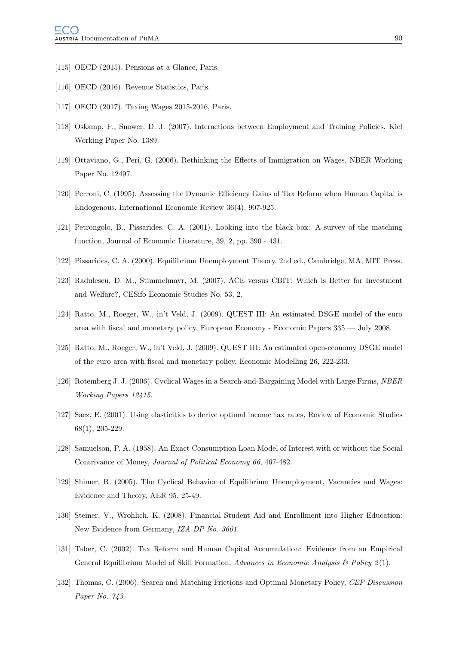- [115] OECD (2015). Pensions at a Glance, Paris.
- [116] OECD (2016). Revenue Statistics, Paris.
- [117] OECD (2017). Taxing Wages 2015-2016, Paris.
- [118] Oskamp, F., Snower, D. J. (2007). Interactions between Employment and Training Policies, Kiel Working Paper No. 1389.
- [119] Ottaviano, G., Peri, G. (2006). Rethinking the Effects of Immigration on Wages, NBER Working Paper No. 12497.
- [120] Perroni, C. (1995). Assessing the Dynamic Efficiency Gains of Tax Reform when Human Capital is Endogenous, International Economic Review 36(4), 907-925.
- [121] Petrongolo, B., Pissarides, C. A. (2001). Looking into the black box: A survey of the matching function, Journal of Economic Literature, 39, 2, pp. 390 - 431.
- [122] Pissarides, C. A. (2000). Equilibrium Unemployment Theory. 2nd ed., Cambridge, MA, MIT Press.
- [123] Radulescu, D. M., Stimmelmayr, M. (2007). ACE versus CBIT: Which is Better for Investment and Welfare?, CESifo Economic Studies No. 53, 2.
- [124] Ratto, M., Roeger, W., in't Veld, J. (2009). QUEST III: An estimated DSGE model of the euro area with fiscal and monetary policy, European Economy - Economic Papers 335 — July 2008.
- [125] Ratto, M., Roeger, W., in't Veld, J. (2009). QUEST III: An estimated open-economy DSGE model of the euro area with fiscal and monetary policy, Economic Modelling 26, 222-233.
- [126] Rotemberg J. J. (2006). Cyclical Wages in a Search-and-Bargaining Model with Large Firms, NBER Working Papers 12415.
- [127] Saez, E. (2001). Using elasticities to derive optimal income tax rates, Review of Economic Studies 68(1), 205-229.
- [128] Samuelson, P. A. (1958). An Exact Consumption Loan Model of Interest with or without the Social Contrivance of Money, Journal of Political Economy 66, 467-482.
- [129] Shimer, R. (2005). The Cyclical Behavior of Equilibrium Unemployment, Vacancies and Wages: Evidence and Theory, AER 95, 25-49.
- [130] Steiner, V., Wrohlich, K. (2008). Financial Student Aid and Enrollment into Higher Education: New Evidence from Germany, IZA DP No. 3601.
- [131] Taber, C. (2002). Tax Reform and Human Capital Accumulation: Evidence from an Empirical General Equilibrium Model of Skill Formation, Advances in Economic Analysis  $\mathcal B$  Policy 2(1).
- [132] Thomas, C. (2006). Search and Matching Frictions and Optimal Monetary Policy, CEP Discussion Paper No. 743.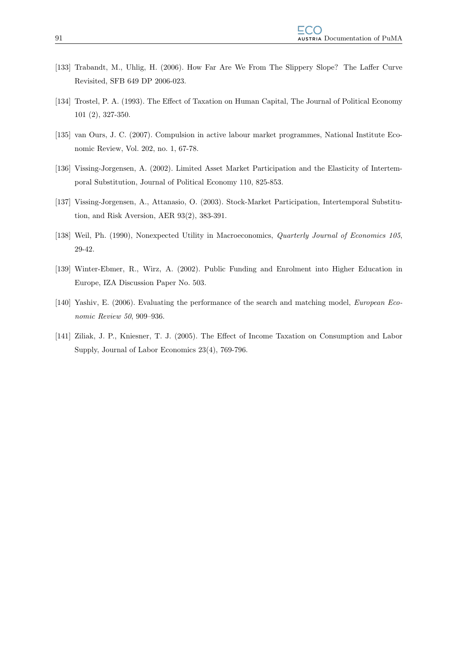- [133] Trabandt, M., Uhlig, H. (2006). How Far Are We From The Slippery Slope? The Laffer Curve Revisited, SFB 649 DP 2006-023.
- [134] Trostel, P. A. (1993). The Effect of Taxation on Human Capital, The Journal of Political Economy 101 (2), 327-350.
- [135] van Ours, J. C. (2007). Compulsion in active labour market programmes, National Institute Economic Review, Vol. 202, no. 1, 67-78.
- [136] Vissing-Jorgensen, A. (2002). Limited Asset Market Participation and the Elasticity of Intertemporal Substitution, Journal of Political Economy 110, 825-853.
- [137] Vissing-Jorgensen, A., Attanasio, O. (2003). Stock-Market Participation, Intertemporal Substitution, and Risk Aversion, AER 93(2), 383-391.
- [138] Weil, Ph. (1990), Nonexpected Utility in Macroeconomics, Quarterly Journal of Economics 105, 29-42.
- [139] Winter-Ebmer, R., Wirz, A. (2002). Public Funding and Enrolment into Higher Education in Europe, IZA Discussion Paper No. 503.
- [140] Yashiv, E. (2006). Evaluating the performance of the search and matching model, European Economic Review 50, 909–936.
- [141] Ziliak, J. P., Kniesner, T. J. (2005). The Effect of Income Taxation on Consumption and Labor Supply, Journal of Labor Economics 23(4), 769-796.